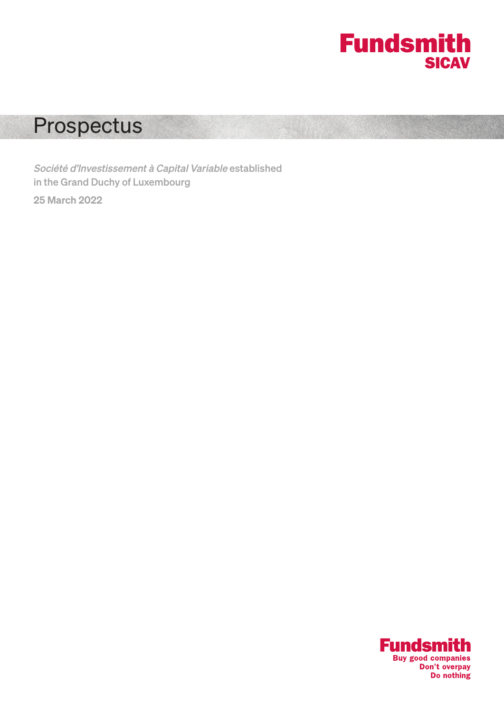

# Prospectus

Société d'Investissement à Capital Variable established in the Grand Duchy of Luxembourg

25 March 2022

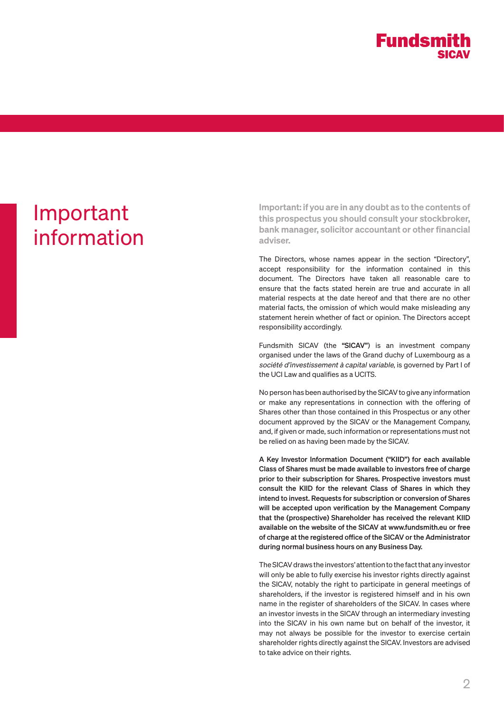

# Important information

Important: if you are in any doubt as to the contents of this prospectus you should consult your stockbroker, bank manager, solicitor accountant or other financial adviser.

The Directors, whose names appear in the section "Directory", accept responsibility for the information contained in this document. The Directors have taken all reasonable care to ensure that the facts stated herein are true and accurate in all material respects at the date hereof and that there are no other material facts, the omission of which would make misleading any statement herein whether of fact or opinion. The Directors accept responsibility accordingly.

Fundsmith SICAV (the "SICAV") is an investment company organised under the laws of the Grand duchy of Luxembourg as a société d'investissement à capital variable, is governed by Part I of the UCI Law and qualifies as a UCITS.

No person has been authorised by the SICAV to give any information or make any representations in connection with the offering of Shares other than those contained in this Prospectus or any other document approved by the SICAV or the Management Company, and, if given or made, such information or representations must not be relied on as having been made by the SICAV.

A Key Investor Information Document ("KIID") for each available Class of Shares must be made available to investors free of charge prior to their subscription for Shares. Prospective investors must consult the KIID for the relevant Class of Shares in which they intend to invest. Requests for subscription or conversion of Shares will be accepted upon verification by the Management Company that the (prospective) Shareholder has received the relevant KIID available on the website of the SICAV at www.fundsmith.eu or free of charge at the registered office of the SICAV or the Administrator during normal business hours on any Business Day.

The SICAV draws the investors' attention to the fact that any investor will only be able to fully exercise his investor rights directly against the SICAV, notably the right to participate in general meetings of shareholders, if the investor is registered himself and in his own name in the register of shareholders of the SICAV. In cases where an investor invests in the SICAV through an intermediary investing into the SICAV in his own name but on behalf of the investor, it may not always be possible for the investor to exercise certain shareholder rights directly against the SICAV. Investors are advised to take advice on their rights.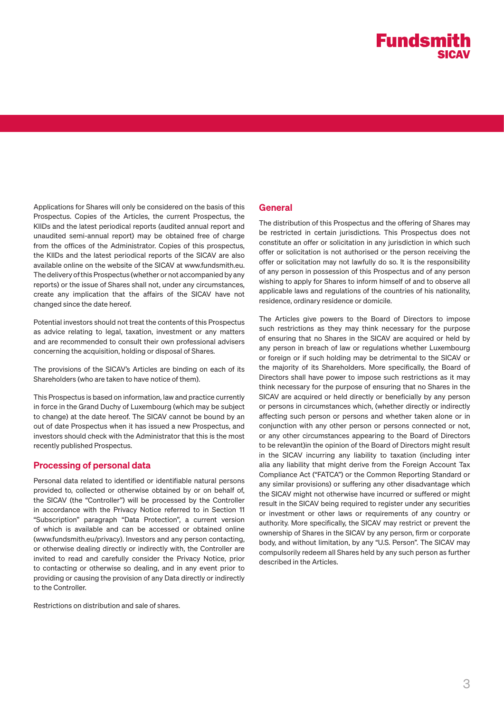Applications for Shares will only be considered on the basis of this Prospectus. Copies of the Articles, the current Prospectus, the KIIDs and the latest periodical reports (audited annual report and unaudited semi-annual report) may be obtained free of charge from the offices of the Administrator. Copies of this prospectus, the KIIDs and the latest periodical reports of the SICAV are also available online on the website of the SICAV at www.fundsmith.eu. The delivery of this Prospectus (whether or not accompanied by any reports) or the issue of Shares shall not, under any circumstances, create any implication that the affairs of the SICAV have not changed since the date hereof.

Potential investors should not treat the contents of this Prospectus as advice relating to legal, taxation, investment or any matters and are recommended to consult their own professional advisers concerning the acquisition, holding or disposal of Shares.

The provisions of the SICAV's Articles are binding on each of its Shareholders (who are taken to have notice of them).

This Prospectus is based on information, law and practice currently in force in the Grand Duchy of Luxembourg (which may be subject to change) at the date hereof. The SICAV cannot be bound by an out of date Prospectus when it has issued a new Prospectus, and investors should check with the Administrator that this is the most recently published Prospectus.

# Processing of personal data

Personal data related to identified or identifiable natural persons provided to, collected or otherwise obtained by or on behalf of, the SICAV (the "Controller") will be processed by the Controller in accordance with the Privacy Notice referred to in Section 11 "Subscription" paragraph "Data Protection", a current version of which is available and can be accessed or obtained online (www.fundsmith.eu/privacy). Investors and any person contacting, or otherwise dealing directly or indirectly with, the Controller are invited to read and carefully consider the Privacy Notice, prior to contacting or otherwise so dealing, and in any event prior to providing or causing the provision of any Data directly or indirectly to the Controller.

Restrictions on distribution and sale of shares.

# **General**

The distribution of this Prospectus and the offering of Shares may be restricted in certain jurisdictions. This Prospectus does not constitute an offer or solicitation in any jurisdiction in which such offer or solicitation is not authorised or the person receiving the offer or solicitation may not lawfully do so. It is the responsibility of any person in possession of this Prospectus and of any person wishing to apply for Shares to inform himself of and to observe all applicable laws and regulations of the countries of his nationality, residence, ordinary residence or domicile.

The Articles give powers to the Board of Directors to impose such restrictions as they may think necessary for the purpose of ensuring that no Shares in the SICAV are acquired or held by any person in breach of law or regulations whether Luxembourg or foreign or if such holding may be detrimental to the SICAV or the majority of its Shareholders. More specifically, the Board of Directors shall have power to impose such restrictions as it may think necessary for the purpose of ensuring that no Shares in the SICAV are acquired or held directly or beneficially by any person or persons in circumstances which, (whether directly or indirectly affecting such person or persons and whether taken alone or in conjunction with any other person or persons connected or not, or any other circumstances appearing to the Board of Directors to be relevant)in the opinion of the Board of Directors might result in the SICAV incurring any liability to taxation (including inter alia any liability that might derive from the Foreign Account Tax Compliance Act ("FATCA") or the Common Reporting Standard or any similar provisions) or suffering any other disadvantage which the SICAV might not otherwise have incurred or suffered or might result in the SICAV being required to register under any securities or investment or other laws or requirements of any country or authority. More specifically, the SICAV may restrict or prevent the ownership of Shares in the SICAV by any person, firm or corporate body, and without limitation, by any "U.S. Person". The SICAV may compulsorily redeem all Shares held by any such person as further described in the Articles.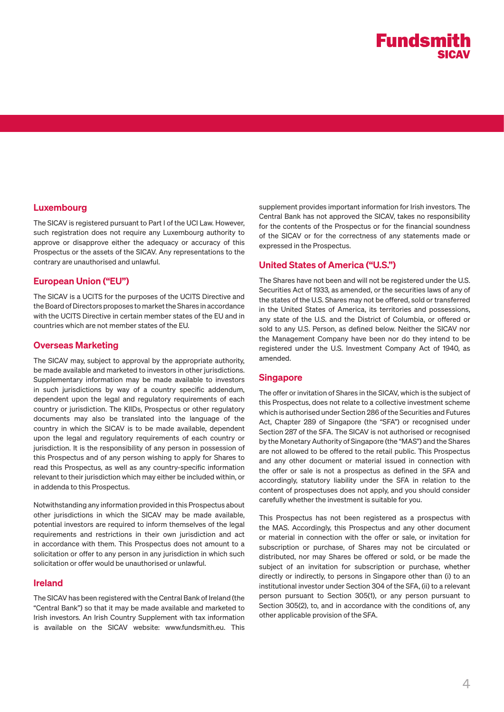# Luxembourg

The SICAV is registered pursuant to Part I of the UCI Law. However, such registration does not require any Luxembourg authority to approve or disapprove either the adequacy or accuracy of this Prospectus or the assets of the SICAV. Any representations to the contrary are unauthorised and unlawful.

# European Union ("EU")

The SICAV is a UCITS for the purposes of the UCITS Directive and the Board of Directors proposes to market the Shares in accordance with the UCITS Directive in certain member states of the EU and in countries which are not member states of the EU.

## Overseas Marketing

The SICAV may, subject to approval by the appropriate authority, be made available and marketed to investors in other jurisdictions. Supplementary information may be made available to investors in such jurisdictions by way of a country specific addendum, dependent upon the legal and regulatory requirements of each country or jurisdiction. The KIIDs, Prospectus or other regulatory documents may also be translated into the language of the country in which the SICAV is to be made available, dependent upon the legal and regulatory requirements of each country or jurisdiction. It is the responsibility of any person in possession of this Prospectus and of any person wishing to apply for Shares to read this Prospectus, as well as any country-specific information relevant to their jurisdiction which may either be included within, or in addenda to this Prospectus.

Notwithstanding any information provided in this Prospectus about other jurisdictions in which the SICAV may be made available, potential investors are required to inform themselves of the legal requirements and restrictions in their own jurisdiction and act in accordance with them. This Prospectus does not amount to a solicitation or offer to any person in any jurisdiction in which such solicitation or offer would be unauthorised or unlawful.

## Ireland

The SICAV has been registered with the Central Bank of Ireland (the "Central Bank") so that it may be made available and marketed to Irish investors. An Irish Country Supplement with tax information is available on the SICAV website: www.fundsmith.eu. This

supplement provides important information for Irish investors. The Central Bank has not approved the SICAV, takes no responsibility for the contents of the Prospectus or for the financial soundness of the SICAV or for the correctness of any statements made or expressed in the Prospectus.

# United States of America ("U.S.")

The Shares have not been and will not be registered under the U.S. Securities Act of 1933, as amended, or the securities laws of any of the states of the U.S. Shares may not be offered, sold or transferred in the United States of America, its territories and possessions, any state of the U.S. and the District of Columbia, or offered or sold to any U.S. Person, as defined below. Neither the SICAV nor the Management Company have been nor do they intend to be registered under the U.S. Investment Company Act of 1940, as amended.

## Singapore

The offer or invitation of Shares in the SICAV, which is the subject of this Prospectus, does not relate to a collective investment scheme which is authorised under Section 286 of the Securities and Futures Act, Chapter 289 of Singapore (the "SFA") or recognised under Section 287 of the SFA. The SICAV is not authorised or recognised by the Monetary Authority of Singapore (the "MAS") and the Shares are not allowed to be offered to the retail public. This Prospectus and any other document or material issued in connection with the offer or sale is not a prospectus as defined in the SFA and accordingly, statutory liability under the SFA in relation to the content of prospectuses does not apply, and you should consider carefully whether the investment is suitable for you.

This Prospectus has not been registered as a prospectus with the MAS. Accordingly, this Prospectus and any other document or material in connection with the offer or sale, or invitation for subscription or purchase, of Shares may not be circulated or distributed, nor may Shares be offered or sold, or be made the subject of an invitation for subscription or purchase, whether directly or indirectly, to persons in Singapore other than (i) to an institutional investor under Section 304 of the SFA, (ii) to a relevant person pursuant to Section 305(1), or any person pursuant to Section 305(2), to, and in accordance with the conditions of, any other applicable provision of the SFA.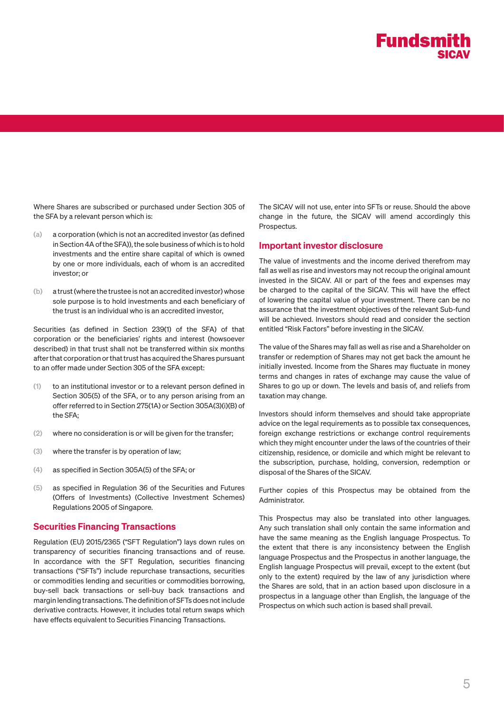

Where Shares are subscribed or purchased under Section 305 of the SFA by a relevant person which is:

- (a) a corporation (which is not an accredited investor (as defined in Section 4A of the SFA)), the sole business of which is to hold investments and the entire share capital of which is owned by one or more individuals, each of whom is an accredited investor; or
- (b) a trust (where the trustee is not an accredited investor) whose sole purpose is to hold investments and each beneficiary of the trust is an individual who is an accredited investor,

Securities (as defined in Section 239(1) of the SFA) of that corporation or the beneficiaries' rights and interest (howsoever described) in that trust shall not be transferred within six months after that corporation or that trust has acquired the Shares pursuant to an offer made under Section 305 of the SFA except:

- (1) to an institutional investor or to a relevant person defined in Section 305(5) of the SFA, or to any person arising from an offer referred to in Section 275(1A) or Section 305A(3)(i)(B) of the SFA;
- (2) where no consideration is or will be given for the transfer;
- (3) where the transfer is by operation of law;
- (4) as specified in Section 305A(5) of the SFA; or
- (5) as specified in Regulation 36 of the Securities and Futures (Offers of Investments) (Collective Investment Schemes) Regulations 2005 of Singapore.

#### Securities Financing Transactions

Regulation (EU) 2015/2365 ("SFT Regulation") lays down rules on transparency of securities financing transactions and of reuse. In accordance with the SFT Regulation, securities financing transactions ("SFTs") include repurchase transactions, securities or commodities lending and securities or commodities borrowing, buy-sell back transactions or sell-buy back transactions and margin lending transactions. The definition of SFTs does not include derivative contracts. However, it includes total return swaps which have effects equivalent to Securities Financing Transactions.

The SICAV will not use, enter into SFTs or reuse. Should the above change in the future, the SICAV will amend accordingly this Prospectus.

#### Important investor disclosure

The value of investments and the income derived therefrom may fall as well as rise and investors may not recoup the original amount invested in the SICAV. All or part of the fees and expenses may be charged to the capital of the SICAV. This will have the effect of lowering the capital value of your investment. There can be no assurance that the investment objectives of the relevant Sub-fund will be achieved. Investors should read and consider the section entitled "Risk Factors" before investing in the SICAV.

The value of the Shares may fall as well as rise and a Shareholder on transfer or redemption of Shares may not get back the amount he initially invested. Income from the Shares may fluctuate in money terms and changes in rates of exchange may cause the value of Shares to go up or down. The levels and basis of, and reliefs from taxation may change.

Investors should inform themselves and should take appropriate advice on the legal requirements as to possible tax consequences, foreign exchange restrictions or exchange control requirements which they might encounter under the laws of the countries of their citizenship, residence, or domicile and which might be relevant to the subscription, purchase, holding, conversion, redemption or disposal of the Shares of the SICAV.

Further copies of this Prospectus may be obtained from the Administrator.

This Prospectus may also be translated into other languages. Any such translation shall only contain the same information and have the same meaning as the English language Prospectus. To the extent that there is any inconsistency between the English language Prospectus and the Prospectus in another language, the English language Prospectus will prevail, except to the extent (but only to the extent) required by the law of any jurisdiction where the Shares are sold, that in an action based upon disclosure in a prospectus in a language other than English, the language of the Prospectus on which such action is based shall prevail.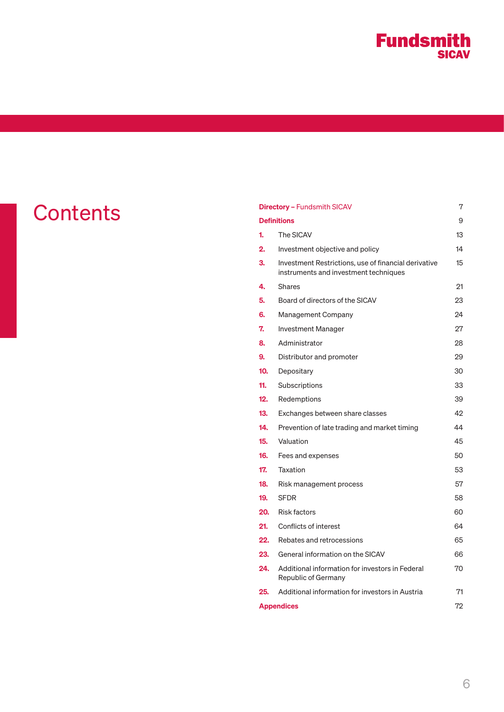# **Fundsmith**

|                 |                         | 7<br><b>Directory - Fundsmith SICAV</b>                                                       |    |  |
|-----------------|-------------------------|-----------------------------------------------------------------------------------------------|----|--|
| <b>Contents</b> | <b>Definitions</b><br>9 |                                                                                               |    |  |
|                 | 1.                      | The SICAV                                                                                     | 13 |  |
|                 | 2.                      | Investment objective and policy                                                               | 14 |  |
|                 | 3.                      | Investment Restrictions, use of financial derivative<br>instruments and investment techniques | 15 |  |
|                 | 4.                      | <b>Shares</b>                                                                                 | 21 |  |
|                 | 5.                      | Board of directors of the SICAV                                                               | 23 |  |
|                 | 6.                      | Management Company                                                                            | 24 |  |
|                 | 7.                      | Investment Manager                                                                            | 27 |  |
|                 | 8.                      | Administrator                                                                                 | 28 |  |
|                 | 9.                      | Distributor and promoter                                                                      | 29 |  |
|                 | 10.                     | Depositary                                                                                    | 30 |  |
|                 | 11.                     | Subscriptions                                                                                 | 33 |  |
|                 | $12.$                   | Redemptions                                                                                   | 39 |  |
|                 | 13.                     | Exchanges between share classes                                                               | 42 |  |
|                 | 14.                     | Prevention of late trading and market timing                                                  | 44 |  |
|                 | 15.                     | Valuation                                                                                     | 45 |  |
|                 | 16.                     | Fees and expenses                                                                             | 50 |  |
|                 | 17.                     | Taxation                                                                                      | 53 |  |
|                 | 18.                     | Risk management process                                                                       | 57 |  |
|                 | 19.                     | <b>SFDR</b>                                                                                   | 58 |  |
|                 | 20.                     | <b>Risk factors</b>                                                                           | 60 |  |
|                 | 21.                     | Conflicts of interest                                                                         | 64 |  |
|                 | 22.                     | Rebates and retrocessions                                                                     | 65 |  |
|                 | 23.                     | General information on the SICAV                                                              | 66 |  |
|                 | 24.                     | Additional information for investors in Federal<br>Republic of Germany                        | 70 |  |
|                 | 25.                     | Additional information for investors in Austria                                               | 71 |  |
|                 |                         | <b>Appendices</b>                                                                             | 72 |  |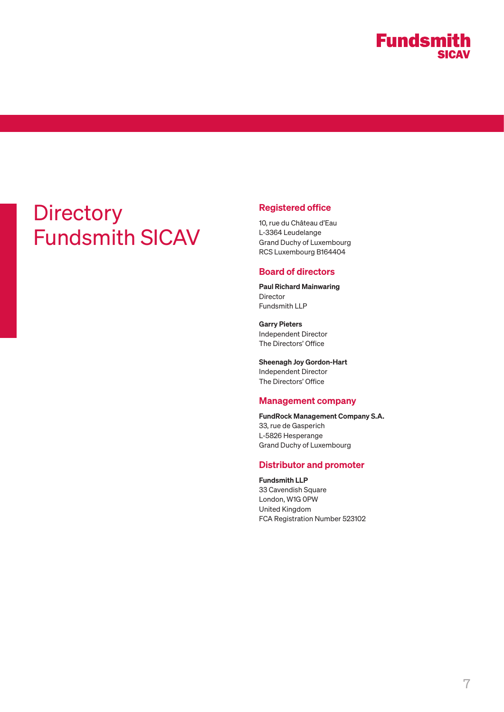# **Directory** Fundsmith SICAV

# Registered office

10, rue du Château d'Eau L-3364 Leudelange Grand Duchy of Luxembourg RCS Luxembourg B164404

# Board of directors

Paul Richard Mainwaring Director Fundsmith LLP

Garry Pieters Independent Director The Directors' Office

Sheenagh Joy Gordon-Hart Independent Director The Directors' Office

## Management company

FundRock Management Company S.A. 33, rue de Gasperich L-5826 Hesperange Grand Duchy of Luxembourg

# Distributor and promoter

Fundsmith LLP 33 Cavendish Square London, W1G 0PW United Kingdom FCA Registration Number 523102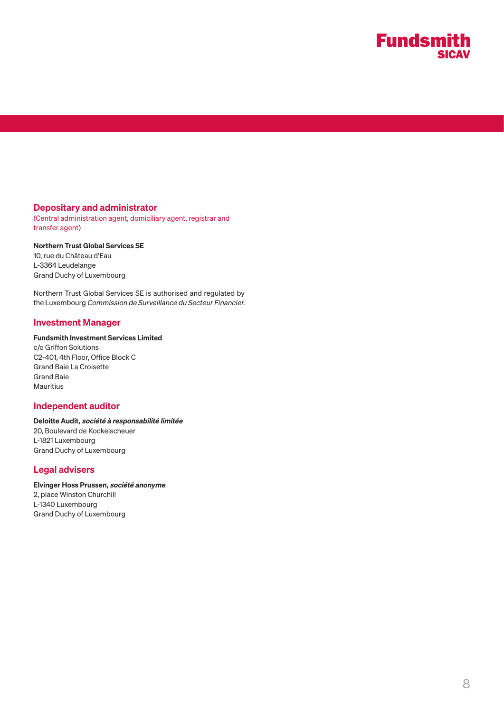

## Depositary and administrator

(Central administration agent, domiciliary agent, registrar and transfer agent)

## Northern Trust Global Services SE

10, rue du Château d'Eau L-3364 Leudelange Grand Duchy of Luxembourg

Northern Trust Global Services SE is authorised and regulated by the Luxembourg Commission de Surveillance du Secteur Financier.

## Investment Manager

## Fundsmith Investment Services Limited

c/o Griffon Solutions C2-401, 4th Floor, Office Block C Grand Baie La Croisette Grand Baie **Mauritius** 

#### Independent auditor

# Deloitte Audit, société à responsabilité limitée 20, Boulevard de Kockelscheuer

L-1821 Luxembourg Grand Duchy of Luxembourg

## Legal advisers

# Elvinger Hoss Prussen, société anonyme

2, place Winston Churchill L-1340 Luxembourg Grand Duchy of Luxembourg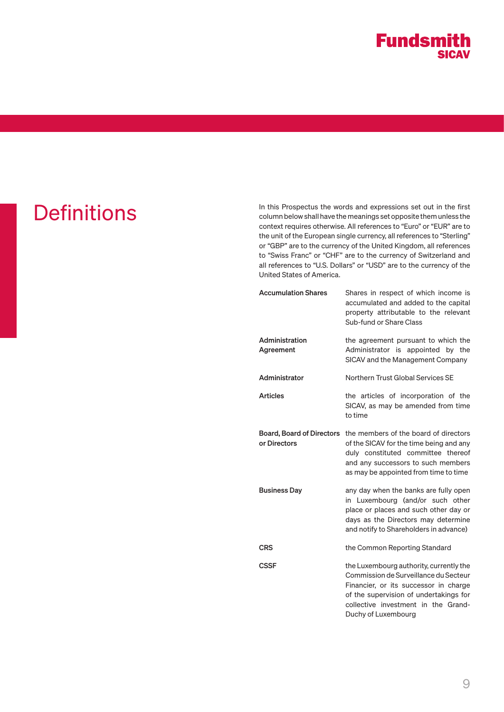

**Definitions**<br>
In this Prospectus the words and expressions set out in the first column below shall have the meanings set opposite them unless the context requires otherwise. All references to "Euro" or "EUR" are to the unit of the European single currency, all references to "Sterling" or "GBP" are to the currency of the United Kingdom, all references to "Swiss Franc" or "CHF" are to the currency of Switzerland and all references to "U.S. Dollars" or "USD" are to the currency of the United States of America.

| <b>Accumulation Shares</b>                       | Shares in respect of which income is<br>accumulated and added to the capital<br>property attributable to the relevant<br>Sub-fund or Share Class                                                                                  |
|--------------------------------------------------|-----------------------------------------------------------------------------------------------------------------------------------------------------------------------------------------------------------------------------------|
| Administration<br>Agreement                      | the agreement pursuant to which the<br>Administrator is appointed by the<br>SICAV and the Management Company                                                                                                                      |
| Administrator                                    | Northern Trust Global Services SE                                                                                                                                                                                                 |
| <b>Articles</b>                                  | the articles of incorporation of the<br>SICAV, as may be amended from time<br>to time                                                                                                                                             |
| <b>Board, Board of Directors</b><br>or Directors | the members of the board of directors<br>of the SICAV for the time being and any<br>duly constituted committee thereof<br>and any successors to such members<br>as may be appointed from time to time                             |
| <b>Business Day</b>                              | any day when the banks are fully open<br>in Luxembourg (and/or such other<br>place or places and such other day or<br>days as the Directors may determine<br>and notify to Shareholders in advance)                               |
| <b>CRS</b>                                       | the Common Reporting Standard                                                                                                                                                                                                     |
| CSSF                                             | the Luxembourg authority, currently the<br>Commission de Surveillance du Secteur<br>Financier, or its successor in charge<br>of the supervision of undertakings for<br>collective investment in the Grand-<br>Duchy of Luxembourg |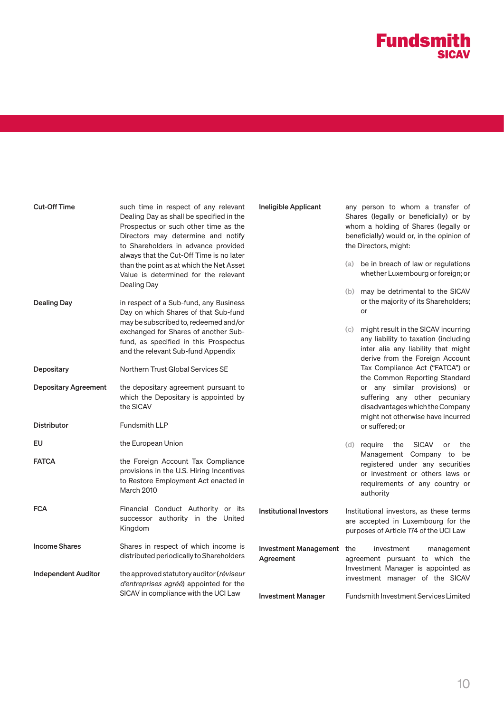# **Fundsmith**

| <b>Cut-Off Time</b><br>Dealing Day | such time in respect of any relevant<br>Dealing Day as shall be specified in the<br>Prospectus or such other time as the<br>Directors may determine and notify<br>to Shareholders in advance provided<br>always that the Cut-Off Time is no later | <b>Ineligible Applicant</b>            | any person to whom a transfer of<br>Shares (legally or beneficially) or by<br>whom a holding of Shares (legally or<br>beneficially) would or, in the opinion of<br>the Directors, might:<br>be in breach of law or regulations<br>(a) |  |
|------------------------------------|---------------------------------------------------------------------------------------------------------------------------------------------------------------------------------------------------------------------------------------------------|----------------------------------------|---------------------------------------------------------------------------------------------------------------------------------------------------------------------------------------------------------------------------------------|--|
|                                    | than the point as at which the Net Asset<br>Value is determined for the relevant                                                                                                                                                                  |                                        | whether Luxembourg or foreign; or                                                                                                                                                                                                     |  |
| <b>Dealing Day</b>                 | in respect of a Sub-fund, any Business<br>Day on which Shares of that Sub-fund<br>may be subscribed to, redeemed and/or                                                                                                                           |                                        | (b) may be detrimental to the SICAV<br>or the majority of its Shareholders;<br>or                                                                                                                                                     |  |
|                                    | exchanged for Shares of another Sub-<br>fund, as specified in this Prospectus<br>and the relevant Sub-fund Appendix                                                                                                                               |                                        | might result in the SICAV incurring<br>(c)<br>any liability to taxation (including<br>inter alia any liability that might<br>derive from the Foreign Account                                                                          |  |
| Depositary                         | Northern Trust Global Services SE                                                                                                                                                                                                                 |                                        | Tax Compliance Act ("FATCA") or<br>the Common Reporting Standard                                                                                                                                                                      |  |
| <b>Depositary Agreement</b>        | the depositary agreement pursuant to<br>which the Depositary is appointed by<br>the SICAV                                                                                                                                                         |                                        | or any similar provisions) or<br>suffering any other pecuniary<br>disadvantages which the Company<br>might not otherwise have incurred                                                                                                |  |
| <b>Distributor</b>                 | <b>Fundsmith LLP</b>                                                                                                                                                                                                                              |                                        | or suffered; or                                                                                                                                                                                                                       |  |
| EU                                 | the European Union                                                                                                                                                                                                                                |                                        | (d) require<br>the<br><b>SICAV</b><br>or<br>the                                                                                                                                                                                       |  |
| <b>FATCA</b>                       | the Foreign Account Tax Compliance<br>provisions in the U.S. Hiring Incentives<br>to Restore Employment Act enacted in<br><b>March 2010</b>                                                                                                       |                                        | Management Company to be<br>registered under any securities<br>or investment or others laws or<br>requirements of any country or<br>authority                                                                                         |  |
| <b>FCA</b>                         | Financial Conduct Authority or its<br>successor authority in the United<br>Kingdom                                                                                                                                                                | <b>Institutional Investors</b>         | Institutional investors, as these terms<br>are accepted in Luxembourg for the<br>purposes of Article 174 of the UCI Law                                                                                                               |  |
| <b>Income Shares</b>               | Shares in respect of which income is<br>distributed periodically to Shareholders                                                                                                                                                                  | Investment Management the<br>Agreement | investment<br>management<br>agreement pursuant to which the                                                                                                                                                                           |  |
| <b>Independent Auditor</b>         | the approved statutory auditor (réviseur<br>d'entreprises agréé) appointed for the<br>SICAV in compliance with the UCI Law                                                                                                                        |                                        | Investment Manager is appointed as<br>investment manager of the SICAV                                                                                                                                                                 |  |
|                                    |                                                                                                                                                                                                                                                   | <b>Investment Manager</b>              | Fundsmith Investment Services Limited                                                                                                                                                                                                 |  |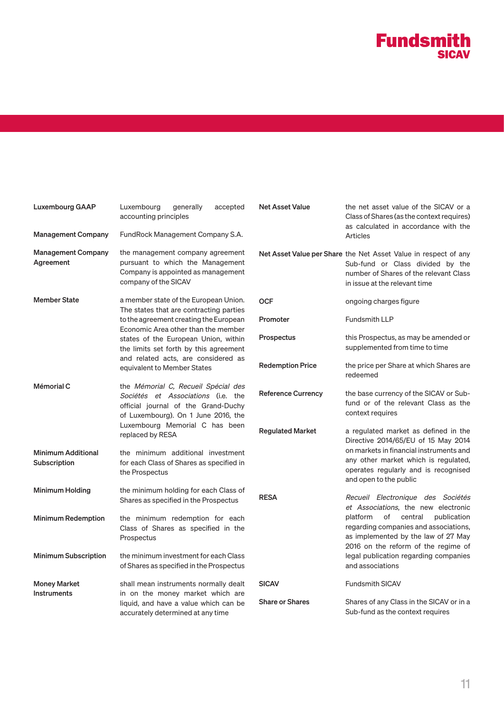

Net Asset Value the net asset value of the SICAV or a

| <b>Management Company</b>                 | accounting principles<br>FundRock Management Company S.A.                                                                                               |                           | Class of Shares (as the context requires)<br>as calculated in accordance with the<br>Articles                                                                                  |
|-------------------------------------------|---------------------------------------------------------------------------------------------------------------------------------------------------------|---------------------------|--------------------------------------------------------------------------------------------------------------------------------------------------------------------------------|
| <b>Management Company</b><br>Agreement    | the management company agreement<br>pursuant to which the Management<br>Company is appointed as management<br>company of the SICAV                      |                           | Net Asset Value per Share the Net Asset Value in respect of any<br>Sub-fund or Class divided by the<br>number of Shares of the relevant Class<br>in issue at the relevant time |
| <b>Member State</b>                       | a member state of the European Union.<br>The states that are contracting parties                                                                        | <b>OCF</b>                | ongoing charges figure                                                                                                                                                         |
|                                           | to the agreement creating the European<br>Economic Area other than the member                                                                           | <b>Promoter</b>           | <b>Fundsmith LLP</b>                                                                                                                                                           |
|                                           | states of the European Union, within<br>the limits set forth by this agreement                                                                          | <b>Prospectus</b>         | this Prospectus, as may be amended or<br>supplemented from time to time                                                                                                        |
|                                           | and related acts, are considered as<br>equivalent to Member States                                                                                      | <b>Redemption Price</b>   | the price per Share at which Shares are<br>redeemed                                                                                                                            |
| Mémorial C                                | the Mémorial C, Recueil Spécial des<br>Sociétés et Associations (i.e. the<br>official journal of the Grand-Duchy<br>of Luxembourg). On 1 June 2016, the | <b>Reference Currency</b> | the base currency of the SICAV or Sub-<br>fund or of the relevant Class as the<br>context requires                                                                             |
|                                           | Luxembourg Memorial C has been<br>replaced by RESA                                                                                                      | <b>Regulated Market</b>   | a regulated market as defined in the<br>Directive 2014/65/EU of 15 May 2014                                                                                                    |
| <b>Minimum Additional</b><br>Subscription | the minimum additional investment<br>for each Class of Shares as specified in<br>the Prospectus                                                         |                           | on markets in financial instruments and<br>any other market which is regulated,<br>operates regularly and is recognised<br>and open to the public                              |
| <b>Minimum Holding</b>                    | the minimum holding for each Class of<br>Shares as specified in the Prospectus                                                                          | <b>RESA</b>               | Recueil Electronique des Sociétés<br>et Associations, the new electronic                                                                                                       |
| <b>Minimum Redemption</b>                 | the minimum redemption for each<br>Class of Shares as specified in the<br>Prospectus                                                                    |                           | platform<br>of central<br>publication<br>regarding companies and associations,<br>as implemented by the law of 27 May<br>2016 on the reform of the regime of                   |
| <b>Minimum Subscription</b>               | the minimum investment for each Class<br>of Shares as specified in the Prospectus                                                                       |                           | legal publication regarding companies<br>and associations                                                                                                                      |
| <b>Money Market</b><br><b>Instruments</b> | shall mean instruments normally dealt<br>in on the money market which are<br>liquid, and have a value which can be<br>accurately determined at any time | <b>SICAV</b>              | <b>Fundsmith SICAV</b>                                                                                                                                                         |
|                                           |                                                                                                                                                         | <b>Share or Shares</b>    | Shares of any Class in the SICAV or in a<br>Sub-fund as the context requires                                                                                                   |

Luxembourg GAAP Luxembourg generally accepted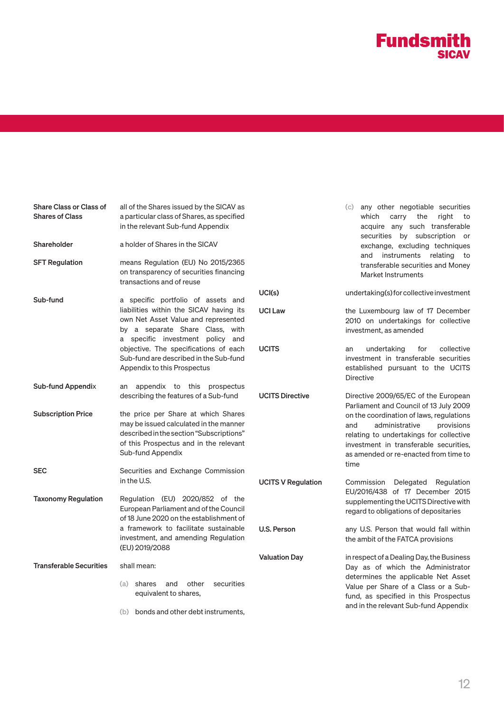

| <b>Share Class or Class of</b><br><b>Shares of Class</b> | all of the Shares issued by the SICAV as<br>a particular class of Shares, as specified<br>in the relevant Sub-fund Appendix                                                              |                           | (c) any other negotiable securities<br>carry the<br>which<br>right<br>to<br>acquire any such transferable<br>securities by subscription or                                                                            |  |
|----------------------------------------------------------|------------------------------------------------------------------------------------------------------------------------------------------------------------------------------------------|---------------------------|-----------------------------------------------------------------------------------------------------------------------------------------------------------------------------------------------------------------------|--|
| Shareholder                                              | a holder of Shares in the SICAV                                                                                                                                                          |                           | exchange, excluding techniques                                                                                                                                                                                        |  |
| <b>SFT Regulation</b>                                    | means Regulation (EU) No 2015/2365<br>on transparency of securities financing<br>transactions and of reuse                                                                               |                           | and instruments relating<br>to to<br>transferable securities and Money<br><b>Market Instruments</b>                                                                                                                   |  |
| Sub-fund                                                 | a specific portfolio of assets and                                                                                                                                                       | UCI(s)                    | undertaking(s) for collective investment                                                                                                                                                                              |  |
|                                                          | liabilities within the SICAV having its<br>own Net Asset Value and represented<br>by a separate Share Class, with<br>a specific investment policy and                                    | <b>UCI Law</b>            | the Luxembourg law of 17 December<br>2010 on undertakings for collective<br>investment, as amended                                                                                                                    |  |
|                                                          | objective. The specifications of each<br>Sub-fund are described in the Sub-fund<br>Appendix to this Prospectus                                                                           | <b>UCITS</b>              | collective<br>undertaking<br>for<br>an<br>investment in transferable securities<br>established pursuant to the UCITS<br><b>Directive</b>                                                                              |  |
| <b>Sub-fund Appendix</b>                                 | an appendix to this prospectus<br>describing the features of a Sub-fund                                                                                                                  | <b>UCITS Directive</b>    | Directive 2009/65/EC of the European<br>Parliament and Council of 13 July 2009                                                                                                                                        |  |
| <b>Subscription Price</b>                                | the price per Share at which Shares<br>may be issued calculated in the manner<br>described in the section "Subscriptions"<br>of this Prospectus and in the relevant<br>Sub-fund Appendix |                           | on the coordination of laws, regulations<br>administrative<br>provisions<br>and<br>relating to undertakings for collective<br>investment in transferable securities,<br>as amended or re-enacted from time to<br>time |  |
| <b>SEC</b>                                               | Securities and Exchange Commission<br>in the U.S.                                                                                                                                        | <b>UCITS V Regulation</b> | Commission Delegated Regulation                                                                                                                                                                                       |  |
| <b>Taxonomy Regulation</b>                               | Regulation (EU) 2020/852 of the<br>European Parliament and of the Council<br>of 18 June 2020 on the establishment of                                                                     |                           | EU/2016/438 of 17 December 2015<br>supplementing the UCITS Directive with<br>regard to obligations of depositaries                                                                                                    |  |
|                                                          | a framework to facilitate sustainable<br>investment, and amending Regulation<br>(EU) 2019/2088                                                                                           | U.S. Person               | any U.S. Person that would fall within<br>the ambit of the FATCA provisions                                                                                                                                           |  |
| <b>Transferable Securities</b>                           | shall mean:                                                                                                                                                                              | <b>Valuation Day</b>      | in respect of a Dealing Day, the Business<br>Day as of which the Administrator<br>determines the applicable Net Asset<br>Value per Share of a Class or a Sub-<br>fund, as specified in this Prospectus                |  |
|                                                          | and<br>other<br>securities<br>(a) shares<br>equivalent to shares,                                                                                                                        |                           |                                                                                                                                                                                                                       |  |
|                                                          | (b) bonds and other debt instruments,                                                                                                                                                    |                           | and in the relevant Sub-fund Appendix                                                                                                                                                                                 |  |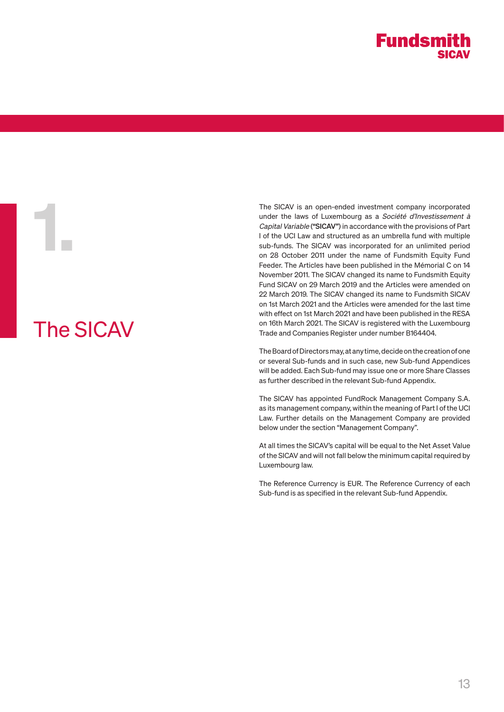# The SICAV

1.

The SICAV is an open-ended investment company incorporated under the laws of Luxembourg as a Société d'Investissement à Capital Variable ("SICAV") in accordance with the provisions of Part I of the UCI Law and structured as an umbrella fund with multiple sub-funds. The SICAV was incorporated for an unlimited period on 28 October 2011 under the name of Fundsmith Equity Fund Feeder. The Articles have been published in the Mémorial C on 14 November 2011. The SICAV changed its name to Fundsmith Equity Fund SICAV on 29 March 2019 and the Articles were amended on 22 March 2019. The SICAV changed its name to Fundsmith SICAV on 1st March 2021 and the Articles were amended for the last time with effect on 1st March 2021 and have been published in the RESA on 16th March 2021. The SICAV is registered with the Luxembourg Trade and Companies Register under number B164404.

The Board of Directors may, at any time, decide on the creation of one or several Sub-funds and in such case, new Sub-fund Appendices will be added. Each Sub-fund may issue one or more Share Classes as further described in the relevant Sub-fund Appendix.

The SICAV has appointed FundRock Management Company S.A. as its management company, within the meaning of Part I of the UCI Law. Further details on the Management Company are provided below under the section "Management Company".

At all times the SICAV's capital will be equal to the Net Asset Value of the SICAV and will not fall below the minimum capital required by Luxembourg law.

The Reference Currency is EUR. The Reference Currency of each Sub-fund is as specified in the relevant Sub-fund Appendix.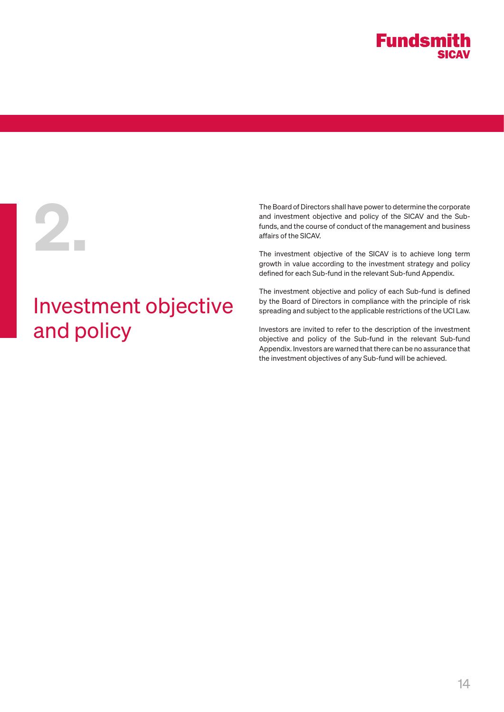

# 2.

# Investment objective and policy

The Board of Directors shall have power to determine the corporate and investment objective and policy of the SICAV and the Subfunds, and the course of conduct of the management and business affairs of the SICAV.

The investment objective of the SICAV is to achieve long term growth in value according to the investment strategy and policy defined for each Sub-fund in the relevant Sub-fund Appendix.

The investment objective and policy of each Sub-fund is defined by the Board of Directors in compliance with the principle of risk spreading and subject to the applicable restrictions of the UCI Law.

Investors are invited to refer to the description of the investment objective and policy of the Sub-fund in the relevant Sub-fund Appendix. Investors are warned that there can be no assurance that the investment objectives of any Sub-fund will be achieved.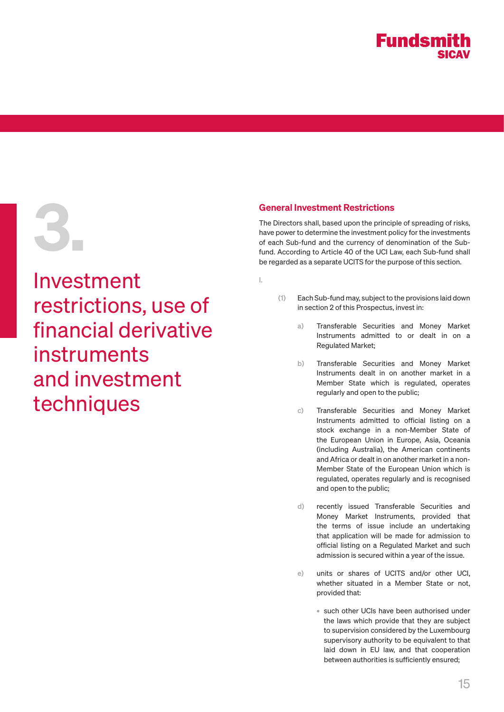# 3.

Investment restrictions, use of financial derivative instruments and investment techniques

# General Investment Restrictions

The Directors shall, based upon the principle of spreading of risks, have power to determine the investment policy for the investments of each Sub-fund and the currency of denomination of the Subfund. According to Article 40 of the UCI Law, each Sub-fund shall be regarded as a separate UCITS for the purpose of this section.

- I.
- (1) Each Sub-fund may, subject to the provisions laid down in section 2 of this Prospectus, invest in:
	- a) Transferable Securities and Money Market Instruments admitted to or dealt in on a Regulated Market;
	- b) Transferable Securities and Money Market Instruments dealt in on another market in a Member State which is regulated, operates regularly and open to the public;
	- c) Transferable Securities and Money Market Instruments admitted to official listing on a stock exchange in a non-Member State of the European Union in Europe, Asia, Oceania (including Australia), the American continents and Africa or dealt in on another market in a non-Member State of the European Union which is regulated, operates regularly and is recognised and open to the public;
	- d) recently issued Transferable Securities and Money Market Instruments, provided that the terms of issue include an undertaking that application will be made for admission to official listing on a Regulated Market and such admission is secured within a year of the issue.
	- e) units or shares of UCITS and/or other UCI, whether situated in a Member State or not, provided that:
		- such other UCIs have been authorised under the laws which provide that they are subject to supervision considered by the Luxembourg supervisory authority to be equivalent to that laid down in EU law, and that cooperation between authorities is sufficiently ensured;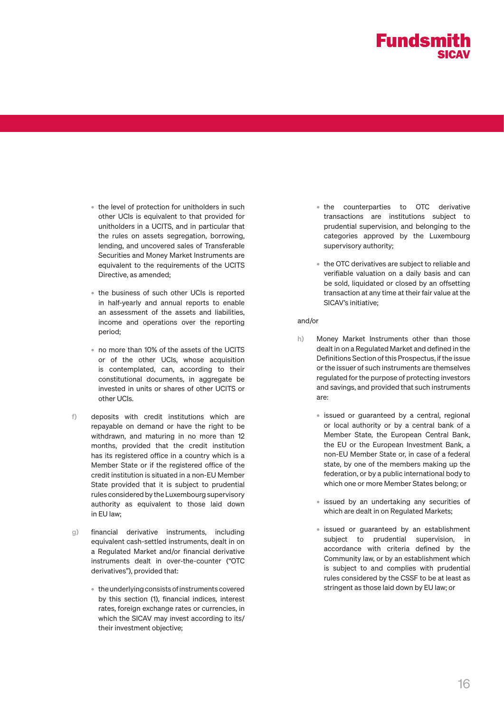

- the level of protection for unitholders in such other UCIs is equivalent to that provided for unitholders in a UCITS, and in particular that the rules on assets segregation, borrowing, lending, and uncovered sales of Transferable Securities and Money Market Instruments are equivalent to the requirements of the UCITS Directive, as amended;
- the business of such other UCIs is reported in half-yearly and annual reports to enable an assessment of the assets and liabilities, income and operations over the reporting period;
- no more than 10% of the assets of the UCITS or of the other UCIs, whose acquisition is contemplated, can, according to their constitutional documents, in aggregate be invested in units or shares of other UCITS or other UCIs.
- f) deposits with credit institutions which are repayable on demand or have the right to be withdrawn, and maturing in no more than 12 months, provided that the credit institution has its registered office in a country which is a Member State or if the registered office of the credit institution is situated in a non-EU Member State provided that it is subject to prudential rules considered by the Luxembourg supervisory authority as equivalent to those laid down in EU law;
- g) financial derivative instruments, including equivalent cash-settled instruments, dealt in on a Regulated Market and/or financial derivative instruments dealt in over-the-counter ("OTC derivatives"), provided that:
	- the underlying consists of instruments covered by this section (1), financial indices, interest rates, foreign exchange rates or currencies, in which the SICAV may invest according to its/ their investment objective;
- the counterparties to OTC derivative transactions are institutions subject to prudential supervision, and belonging to the categories approved by the Luxembourg supervisory authority;
- the OTC derivatives are subject to reliable and verifiable valuation on a daily basis and can be sold, liquidated or closed by an offsetting transaction at any time at their fair value at the SICAV's initiative;

#### and/or

- h) Money Market Instruments other than those dealt in on a Regulated Market and defined in the Definitions Section of this Prospectus, if the issue or the issuer of such instruments are themselves regulated for the purpose of protecting investors and savings, and provided that such instruments are:
	- issued or guaranteed by a central, regional or local authority or by a central bank of a Member State, the European Central Bank, the EU or the European Investment Bank, a non-EU Member State or, in case of a federal state, by one of the members making up the federation, or by a public international body to which one or more Member States belong; or
	- issued by an undertaking any securities of which are dealt in on Regulated Markets;
	- issued or guaranteed by an establishment subject to prudential supervision, in accordance with criteria defined by the Community law, or by an establishment which is subject to and complies with prudential rules considered by the CSSF to be at least as stringent as those laid down by EU law; or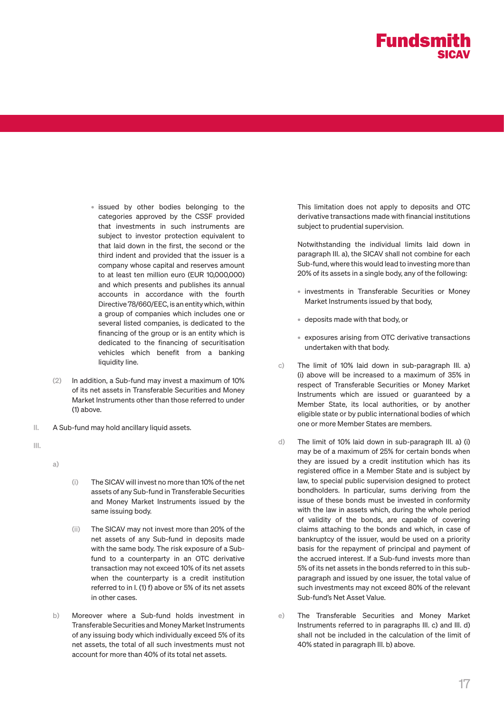

- issued by other bodies belonging to the categories approved by the CSSF provided that investments in such instruments are subject to investor protection equivalent to that laid down in the first, the second or the third indent and provided that the issuer is a company whose capital and reserves amount to at least ten million euro (EUR 10,000,000) and which presents and publishes its annual accounts in accordance with the fourth Directive 78/660/EEC, is an entity which, within a group of companies which includes one or several listed companies, is dedicated to the financing of the group or is an entity which is dedicated to the financing of securitisation vehicles which benefit from a banking liquidity line.
- (2) In addition, a Sub-fund may invest a maximum of 10% of its net assets in Transferable Securities and Money Market Instruments other than those referred to under (1) above.
- II. A Sub-fund may hold ancillary liquid assets.
- III.

a)

- (i) The SICAV will invest no more than 10% of the net assets of any Sub-fund in Transferable Securities and Money Market Instruments issued by the same issuing body.
- (ii) The SICAV may not invest more than 20% of the net assets of any Sub-fund in deposits made with the same body. The risk exposure of a Subfund to a counterparty in an OTC derivative transaction may not exceed 10% of its net assets when the counterparty is a credit institution referred to in I. (1) f) above or 5% of its net assets in other cases.
- b) Moreover where a Sub-fund holds investment in Transferable Securities and Money Market Instruments of any issuing body which individually exceed 5% of its net assets, the total of all such investments must not account for more than 40% of its total net assets.

This limitation does not apply to deposits and OTC derivative transactions made with financial institutions subject to prudential supervision.

Notwithstanding the individual limits laid down in paragraph III. a), the SICAV shall not combine for each Sub-fund, where this would lead to investing more than 20% of its assets in a single body, any of the following:

- investments in Transferable Securities or Money Market Instruments issued by that body,
- deposits made with that body, or
- exposures arising from OTC derivative transactions undertaken with that body.
- c) The limit of 10% laid down in sub-paragraph III. a) (i) above will be increased to a maximum of 35% in respect of Transferable Securities or Money Market Instruments which are issued or guaranteed by a Member State, its local authorities, or by another eligible state or by public international bodies of which one or more Member States are members.
- d) The limit of 10% laid down in sub-paragraph III. a) (i) may be of a maximum of 25% for certain bonds when they are issued by a credit institution which has its registered office in a Member State and is subject by law, to special public supervision designed to protect bondholders. In particular, sums deriving from the issue of these bonds must be invested in conformity with the law in assets which, during the whole period of validity of the bonds, are capable of covering claims attaching to the bonds and which, in case of bankruptcy of the issuer, would be used on a priority basis for the repayment of principal and payment of the accrued interest. If a Sub-fund invests more than 5% of its net assets in the bonds referred to in this subparagraph and issued by one issuer, the total value of such investments may not exceed 80% of the relevant Sub-fund's Net Asset Value.
- e) The Transferable Securities and Money Market Instruments referred to in paragraphs III. c) and III. d) shall not be included in the calculation of the limit of 40% stated in paragraph III. b) above.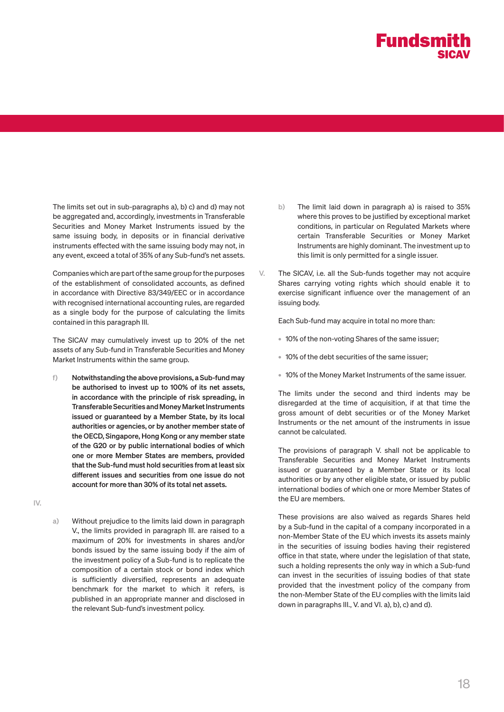

The limits set out in sub-paragraphs a), b) c) and d) may not be aggregated and, accordingly, investments in Transferable Securities and Money Market Instruments issued by the same issuing body, in deposits or in financial derivative instruments effected with the same issuing body may not, in any event, exceed a total of 35% of any Sub-fund's net assets.

Companies which are part of the same group for the purposes of the establishment of consolidated accounts, as defined in accordance with Directive 83/349/EEC or in accordance with recognised international accounting rules, are regarded as a single body for the purpose of calculating the limits contained in this paragraph III.

The SICAV may cumulatively invest up to 20% of the net assets of any Sub-fund in Transferable Securities and Money Market Instruments within the same group.

- f) Notwithstanding the above provisions, a Sub-fund may be authorised to invest up to 100% of its net assets, in accordance with the principle of risk spreading, in Transferable Securities and Money Market Instruments issued or guaranteed by a Member State, by its local authorities or agencies, or by another member state of the OECD, Singapore, Hong Kong or any member state of the G20 or by public international bodies of which one or more Member States are members, provided that the Sub-fund must hold securities from at least six different issues and securities from one issue do not account for more than 30% of its total net assets.
- IV.
- a) Without prejudice to the limits laid down in paragraph V., the limits provided in paragraph III. are raised to a maximum of 20% for investments in shares and/or bonds issued by the same issuing body if the aim of the investment policy of a Sub-fund is to replicate the composition of a certain stock or bond index which is sufficiently diversified, represents an adequate benchmark for the market to which it refers, is published in an appropriate manner and disclosed in the relevant Sub-fund's investment policy.
- b) The limit laid down in paragraph a) is raised to 35% where this proves to be justified by exceptional market conditions, in particular on Regulated Markets where certain Transferable Securities or Money Market Instruments are highly dominant. The investment up to this limit is only permitted for a single issuer.
- V. The SICAV, i.e. all the Sub-funds together may not acquire Shares carrying voting rights which should enable it to exercise significant influence over the management of an issuing body.

Each Sub-fund may acquire in total no more than:

- 10% of the non-voting Shares of the same issuer;
- 10% of the debt securities of the same issuer;
- 10% of the Money Market Instruments of the same issuer.

The limits under the second and third indents may be disregarded at the time of acquisition, if at that time the gross amount of debt securities or of the Money Market Instruments or the net amount of the instruments in issue cannot be calculated.

The provisions of paragraph V. shall not be applicable to Transferable Securities and Money Market Instruments issued or guaranteed by a Member State or its local authorities or by any other eligible state, or issued by public international bodies of which one or more Member States of the EU are members.

These provisions are also waived as regards Shares held by a Sub-fund in the capital of a company incorporated in a non-Member State of the EU which invests its assets mainly in the securities of issuing bodies having their registered office in that state, where under the legislation of that state, such a holding represents the only way in which a Sub-fund can invest in the securities of issuing bodies of that state provided that the investment policy of the company from the non-Member State of the EU complies with the limits laid down in paragraphs III., V. and VI. a), b), c) and d).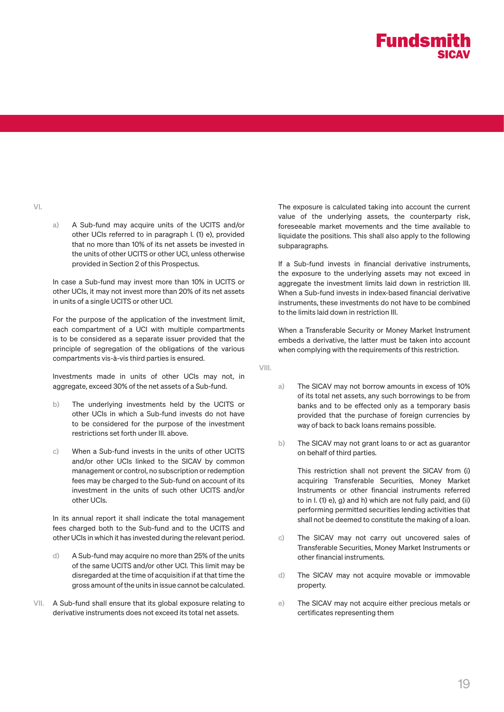a) A Sub-fund may acquire units of the UCITS and/or other UCIs referred to in paragraph I. (1) e), provided that no more than 10% of its net assets be invested in the units of other UCITS or other UCI, unless otherwise provided in Section 2 of this Prospectus.

In case a Sub-fund may invest more than 10% in UCITS or other UCIs, it may not invest more than 20% of its net assets in units of a single UCITS or other UCI.

For the purpose of the application of the investment limit, each compartment of a UCI with multiple compartments is to be considered as a separate issuer provided that the principle of segregation of the obligations of the various compartments vis-à-vis third parties is ensured.

Investments made in units of other UCIs may not, in aggregate, exceed 30% of the net assets of a Sub-fund.

- b) The underlying investments held by the UCITS or other UCIs in which a Sub-fund invests do not have to be considered for the purpose of the investment restrictions set forth under III. above.
- c) When a Sub-fund invests in the units of other UCITS and/or other UCIs linked to the SICAV by common management or control, no subscription or redemption fees may be charged to the Sub-fund on account of its investment in the units of such other UCITS and/or other UCIs.

In its annual report it shall indicate the total management fees charged both to the Sub-fund and to the UCITS and other UCIs in which it has invested during the relevant period.

- d) A Sub-fund may acquire no more than 25% of the units of the same UCITS and/or other UCI. This limit may be disregarded at the time of acquisition if at that time the gross amount of the units in issue cannot be calculated.
- VII. A Sub-fund shall ensure that its global exposure relating to derivative instruments does not exceed its total net assets.

The exposure is calculated taking into account the current value of the underlying assets, the counterparty risk, foreseeable market movements and the time available to liquidate the positions. This shall also apply to the following subparagraphs.

If a Sub-fund invests in financial derivative instruments, the exposure to the underlying assets may not exceed in aggregate the investment limits laid down in restriction III. When a Sub-fund invests in index-based financial derivative instruments, these investments do not have to be combined to the limits laid down in restriction III.

When a Transferable Security or Money Market Instrument embeds a derivative, the latter must be taken into account when complying with the requirements of this restriction.

VIII.

- a) The SICAV may not borrow amounts in excess of 10% of its total net assets, any such borrowings to be from banks and to be effected only as a temporary basis provided that the purchase of foreign currencies by way of back to back loans remains possible.
- b) The SICAV may not grant loans to or act as guarantor on behalf of third parties.

This restriction shall not prevent the SICAV from (i) acquiring Transferable Securities, Money Market Instruments or other financial instruments referred to in I. (1) e), g) and h) which are not fully paid, and (ii) performing permitted securities lending activities that shall not be deemed to constitute the making of a loan.

- c) The SICAV may not carry out uncovered sales of Transferable Securities, Money Market Instruments or other financial instruments.
- d) The SICAV may not acquire movable or immovable property.
- e) The SICAV may not acquire either precious metals or certificates representing them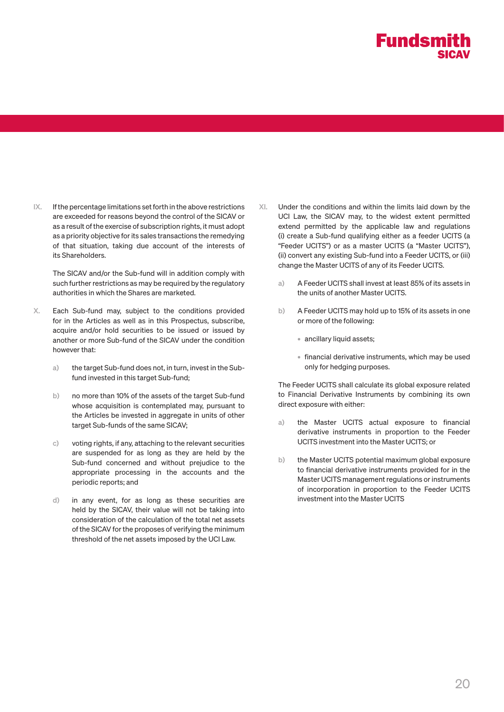IX. If the percentage limitations set forth in the above restrictions are exceeded for reasons beyond the control of the SICAV or as a result of the exercise of subscription rights, it must adopt as a priority objective for its sales transactions the remedying of that situation, taking due account of the interests of its Shareholders.

The SICAV and/or the Sub-fund will in addition comply with such further restrictions as may be required by the regulatory authorities in which the Shares are marketed.

- X. Each Sub-fund may, subject to the conditions provided for in the Articles as well as in this Prospectus, subscribe, acquire and/or hold securities to be issued or issued by another or more Sub-fund of the SICAV under the condition however that:
	- a) the target Sub-fund does not, in turn, invest in the Subfund invested in this target Sub-fund;
	- b) no more than 10% of the assets of the target Sub-fund whose acquisition is contemplated may, pursuant to the Articles be invested in aggregate in units of other target Sub-funds of the same SICAV;
	- c) voting rights, if any, attaching to the relevant securities are suspended for as long as they are held by the Sub-fund concerned and without prejudice to the appropriate processing in the accounts and the periodic reports; and
	- d) in any event, for as long as these securities are held by the SICAV, their value will not be taking into consideration of the calculation of the total net assets of the SICAV for the proposes of verifying the minimum threshold of the net assets imposed by the UCI Law.
- XI. Under the conditions and within the limits laid down by the UCI Law, the SICAV may, to the widest extent permitted extend permitted by the applicable law and regulations (i) create a Sub-fund qualifying either as a feeder UCITS (a "Feeder UCITS") or as a master UCITS (a "Master UCITS"), (ii) convert any existing Sub-fund into a Feeder UCITS, or (iii) change the Master UCITS of any of its Feeder UCITS.
	- a) A Feeder UCITS shall invest at least 85% of its assets in the units of another Master UCITS.
	- b) A Feeder UCITS may hold up to 15% of its assets in one or more of the following:
		- ancillary liquid assets;
		- financial derivative instruments, which may be used only for hedging purposes.

The Feeder UCITS shall calculate its global exposure related to Financial Derivative Instruments by combining its own direct exposure with either:

- a) the Master UCITS actual exposure to financial derivative instruments in proportion to the Feeder UCITS investment into the Master UCITS; or
- b) the Master UCITS potential maximum global exposure to financial derivative instruments provided for in the Master UCITS management regulations or instruments of incorporation in proportion to the Feeder UCITS investment into the Master UCITS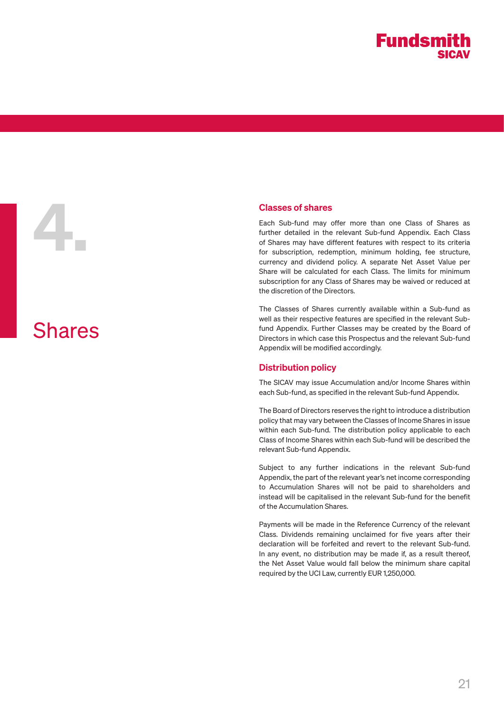**Classes of shares**<br>Each Sub-fund may<br>further detailed in the<br>of Shares may have di<br>for subscription, rede<br>currency and divident Each Sub-fund may offer more than one Class of Shares as further detailed in the relevant Sub-fund Appendix. Each Class of Shares may have different features with respect to its criteria for subscription, redemption, minimum holding, fee structure, currency and dividend policy. A separate Net Asset Value per Share will be calculated for each Class. The limits for minimum subscription for any Class of Shares may be waived or reduced at the discretion of the Directors.

> The Classes of Shares currently available within a Sub-fund as well as their respective features are specified in the relevant Subfund Appendix. Further Classes may be created by the Board of Directors in which case this Prospectus and the relevant Sub-fund Appendix will be modified accordingly.

## Distribution policy

The SICAV may issue Accumulation and/or Income Shares within each Sub-fund, as specified in the relevant Sub-fund Appendix.

The Board of Directors reserves the right to introduce a distribution policy that may vary between the Classes of Income Shares in issue within each Sub-fund. The distribution policy applicable to each Class of Income Shares within each Sub-fund will be described the relevant Sub-fund Appendix.

Subject to any further indications in the relevant Sub-fund Appendix, the part of the relevant year's net income corresponding to Accumulation Shares will not be paid to shareholders and instead will be capitalised in the relevant Sub-fund for the benefit of the Accumulation Shares.

Payments will be made in the Reference Currency of the relevant Class. Dividends remaining unclaimed for five years after their declaration will be forfeited and revert to the relevant Sub-fund. In any event, no distribution may be made if, as a result thereof, the Net Asset Value would fall below the minimum share capital required by the UCI Law, currently EUR 1,250,000.

Shares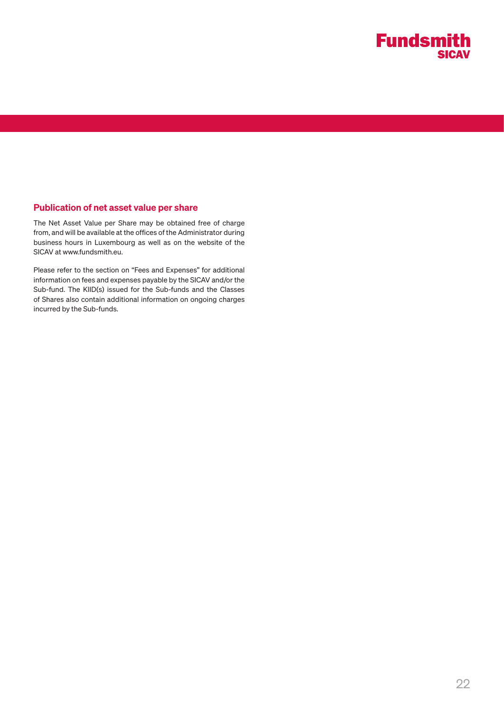

# Publication of net asset value per share

The Net Asset Value per Share may be obtained free of charge from, and will be available at the offices of the Administrator during business hours in Luxembourg as well as on the website of the SICAV at www.fundsmith.eu.

Please refer to the section on "Fees and Expenses" for additional information on fees and expenses payable by the SICAV and/or the Sub-fund. The KIID(s) issued for the Sub-funds and the Classes of Shares also contain additional information on ongoing charges incurred by the Sub-funds.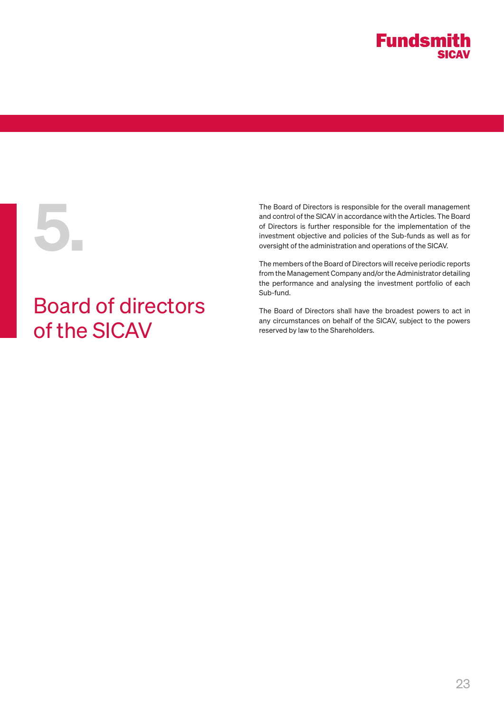

# Board of directors of the SICAV

The Board of Directors is responsible for the overall management<br>and control of the SICAV in accordance with the Articles. The Board<br>of Directors is further responsible for the implementation of the<br>investment objective an and control of the SICAV in accordance with the Articles. The Board of Directors is further responsible for the implementation of the investment objective and policies of the Sub-funds as well as for oversight of the administration and operations of the SICAV.

The members of the Board of Directors will receive periodic reports from the Management Company and/or the Administrator detailing the performance and analysing the investment portfolio of each Sub-fund.

The Board of Directors shall have the broadest powers to act in any circumstances on behalf of the SICAV, subject to the powers reserved by law to the Shareholders.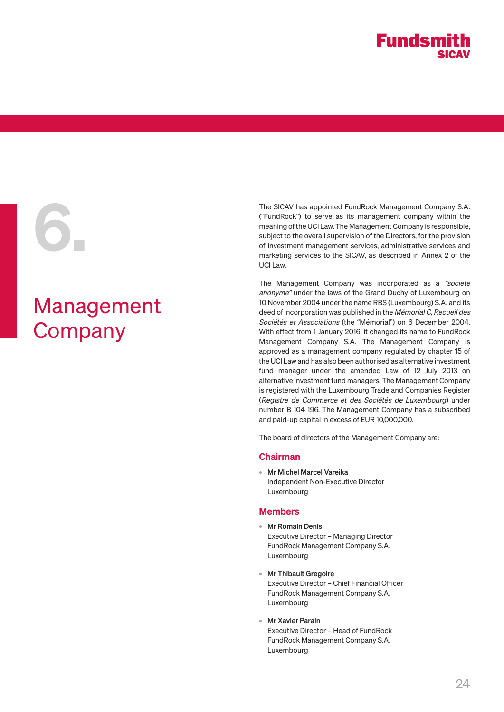

# Management **Company**

The SICAV has appointed FundRock Management Company S.A.<br>
("FundRock") to serve as its management company within the<br>
meaning of the UCI Law. The Management Company is responsible,<br>
subject to the overall supervision of th ("FundRock") to serve as its management company within the meaning of the UCI Law. The Management Company is responsible, subject to the overall supervision of the Directors, for the provision of investment management services, administrative services and marketing services to the SICAV, as described in Annex 2 of the UCI Law.

> The Management Company was incorporated as a "société anonyme" under the laws of the Grand Duchy of Luxembourg on 10 November 2004 under the name RBS (Luxembourg) S.A. and its deed of incorporation was published in the Mémorial C, Recueil des Sociétés et Associations (the "Mémorial") on 6 December 2004. With effect from 1 January 2016, it changed its name to FundRock Management Company S.A. The Management Company is approved as a management company regulated by chapter 15 of the UCI Law and has also been authorised as alternative investment fund manager under the amended Law of 12 July 2013 on alternative investment fund managers. The Management Company is registered with the Luxembourg Trade and Companies Register (Registre de Commerce et des Sociétés de Luxembourg) under number B 104 196. The Management Company has a subscribed and paid-up capital in excess of EUR 10,000,000.

The board of directors of the Management Company are:

#### Chairman

• Mr Michel Marcel Vareika Independent Non-Executive Director Luxembourg

## Members

- Mr Romain Denis Executive Director – Managing Director FundRock Management Company S.A. Luxembourg
- Mr Thibault Gregoire Executive Director – Chief Financial Officer FundRock Management Company S.A. Luxembourg
- Mr Xavier Parain Executive Director – Head of FundRock FundRock Management Company S.A. Luxembourg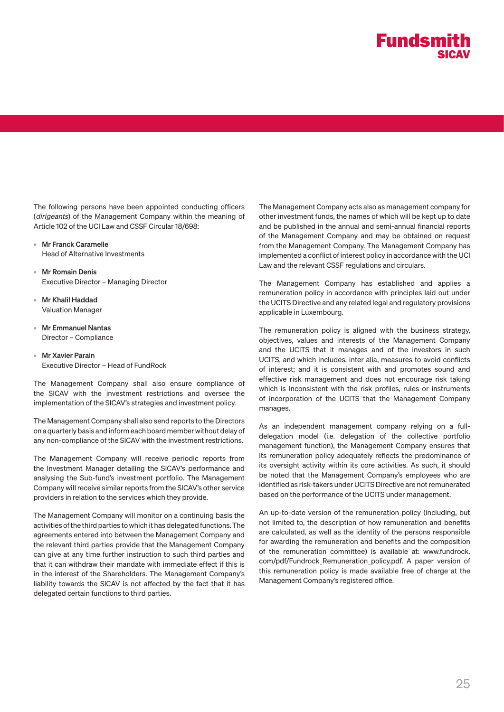

The following persons have been appointed conducting officers (dirigeants) of the Management Company within the meaning of Article 102 of the UCI Law and CSSF Circular 18/698:

- Mr Franck Caramelle Head of Alternative Investments
- Mr Romain Denis Executive Director – Managing Director
- Mr Khalil Haddad Valuation Manager
- Mr Emmanuel Nantas Director – Compliance
- Mr Xavier Parain Executive Director – Head of FundRock

The Management Company shall also ensure compliance of the SICAV with the investment restrictions and oversee the implementation of the SICAV's strategies and investment policy.

The Management Company shall also send reports to the Directors on a quarterly basis and inform each board member without delay of any non-compliance of the SICAV with the investment restrictions.

The Management Company will receive periodic reports from the Investment Manager detailing the SICAV's performance and analysing the Sub-fund's investment portfolio. The Management Company will receive similar reports from the SICAV's other service providers in relation to the services which they provide.

The Management Company will monitor on a continuing basis the activities of the third parties to which it has delegated functions. The agreements entered into between the Management Company and the relevant third parties provide that the Management Company can give at any time further instruction to such third parties and that it can withdraw their mandate with immediate effect if this is in the interest of the Shareholders. The Management Company's liability towards the SICAV is not affected by the fact that it has delegated certain functions to third parties.

The Management Company acts also as management company for other investment funds, the names of which will be kept up to date and be published in the annual and semi-annual financial reports of the Management Company and may be obtained on request from the Management Company. The Management Company has implemented a conflict of interest policy in accordance with the UCI Law and the relevant CSSF regulations and circulars.

The Management Company has established and applies a remuneration policy in accordance with principles laid out under the UCITS Directive and any related legal and regulatory provisions applicable in Luxembourg.

The remuneration policy is aligned with the business strategy, objectives, values and interests of the Management Company and the UCITS that it manages and of the investors in such UCITS, and which includes, inter alia, measures to avoid conflicts of interest; and it is consistent with and promotes sound and effective risk management and does not encourage risk taking which is inconsistent with the risk profiles, rules or instruments of incorporation of the UCITS that the Management Company manages.

As an independent management company relying on a fulldelegation model (i.e. delegation of the collective portfolio management function), the Management Company ensures that its remuneration policy adequately reflects the predominance of its oversight activity within its core activities. As such, it should be noted that the Management Company's employees who are identified as risk-takers under UCITS Directive are not remunerated based on the performance of the UCITS under management.

An up-to-date version of the remuneration policy (including, but not limited to, the description of how remuneration and benefits are calculated, as well as the identity of the persons responsible for awarding the remuneration and benefits and the composition of the remuneration committee) is available at: www.fundrock. com/pdf/Fundrock\_Remuneration\_policy.pdf. A paper version of this remuneration policy is made available free of charge at the Management Company's registered office.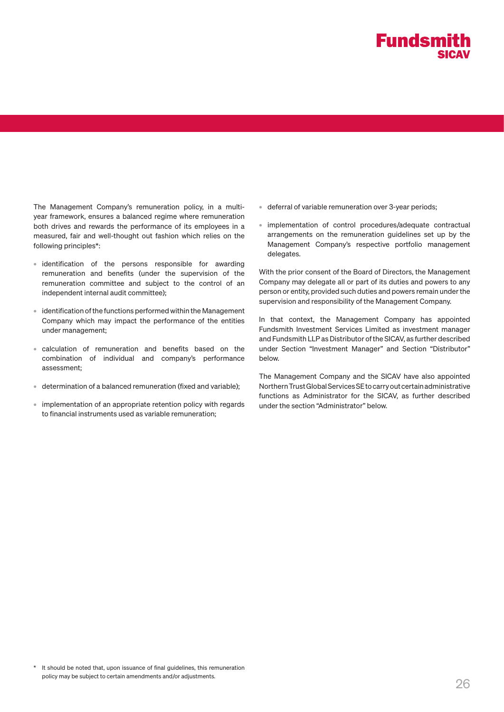

The Management Company's remuneration policy, in a multiyear framework, ensures a balanced regime where remuneration both drives and rewards the performance of its employees in a measured, fair and well-thought out fashion which relies on the following principles\*:

- identification of the persons responsible for awarding remuneration and benefits (under the supervision of the remuneration committee and subject to the control of an independent internal audit committee);
- identification of the functions performed within the Management Company which may impact the performance of the entities under management;
- calculation of remuneration and benefits based on the combination of individual and company's performance assessment;
- determination of a balanced remuneration (fixed and variable);
- implementation of an appropriate retention policy with regards to financial instruments used as variable remuneration;
- deferral of variable remuneration over 3-year periods;
- implementation of control procedures/adequate contractual arrangements on the remuneration guidelines set up by the Management Company's respective portfolio management delegates.

With the prior consent of the Board of Directors, the Management Company may delegate all or part of its duties and powers to any person or entity, provided such duties and powers remain under the supervision and responsibility of the Management Company.

In that context, the Management Company has appointed Fundsmith Investment Services Limited as investment manager and Fundsmith LLP as Distributor of the SICAV, as further described under Section "Investment Manager" and Section "Distributor" below.

The Management Company and the SICAV have also appointed Northern Trust Global Services SE to carry out certain administrative functions as Administrator for the SICAV, as further described under the section "Administrator" below.

\* It should be noted that, upon issuance of final guidelines, this remuneration policy may be subject to certain amendments and/or adjustments.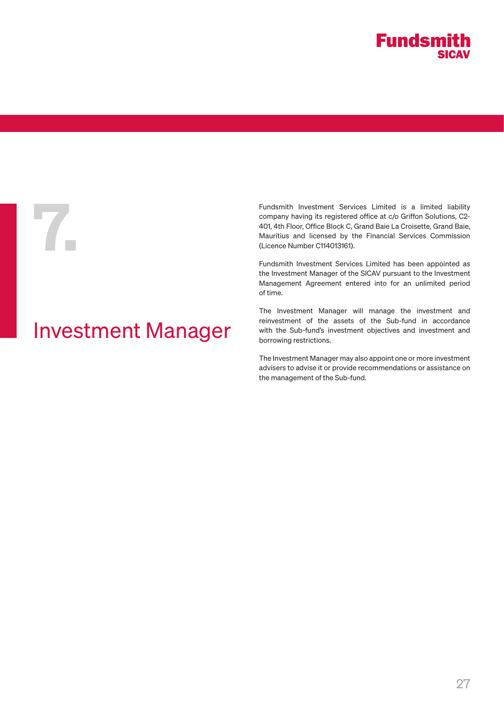

# Investment Manager

Fundsmith Investment Services Limited is a limited liability<br>company having its registered office at c/o Griffon Solutions, C2-<br>401, 4th Floor, Office Block C, Grand Baie La Croisette, Grand Baie,<br>Mauritius and licensed by company having its registered office at c/o Griffon Solutions, C2- 401, 4th Floor, Office Block C, Grand Baie La Croisette, Grand Baie, Mauritius and licensed by the Financial Services Commission (Licence Number C114013161).

Fundsmith Investment Services Limited has been appointed as the Investment Manager of the SICAV pursuant to the Investment Management Agreement entered into for an unlimited period of time.

The Investment Manager will manage the investment and reinvestment of the assets of the Sub-fund in accordance with the Sub-fund's investment objectives and investment and borrowing restrictions.

The Investment Manager may also appoint one or more investment advisers to advise it or provide recommendations or assistance on the management of the Sub-fund.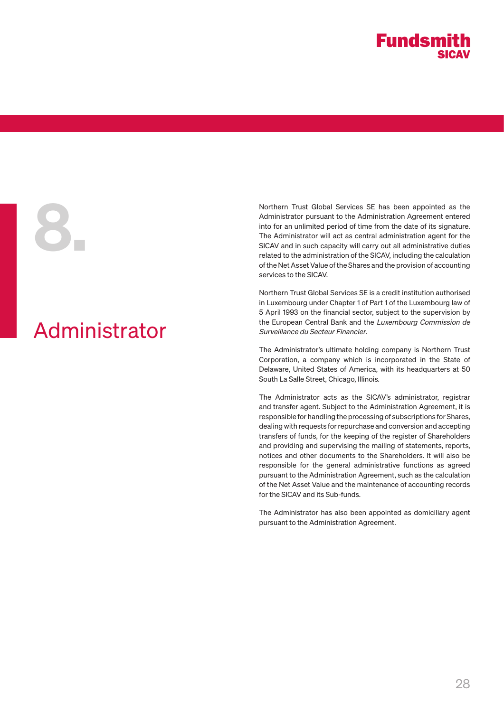

# Administrator

Northern Trust Global Services SE has been appointed as the<br>Administrator pursuant to the Administration Agreement entered<br>into for an unlimited period of time from the date of its signature.<br>The Administrator will act as Administrator pursuant to the Administration Agreement entered into for an unlimited period of time from the date of its signature. The Administrator will act as central administration agent for the SICAV and in such capacity will carry out all administrative duties related to the administration of the SICAV, including the calculation of the Net Asset Value of the Shares and the provision of accounting services to the SICAV.

> Northern Trust Global Services SE is a credit institution authorised in Luxembourg under Chapter 1 of Part 1 of the Luxembourg law of 5 April 1993 on the financial sector, subject to the supervision by the European Central Bank and the Luxembourg Commission de Surveillance du Secteur Financier.

> The Administrator's ultimate holding company is Northern Trust Corporation, a company which is incorporated in the State of Delaware, United States of America, with its headquarters at 50 South La Salle Street, Chicago, Illinois.

> The Administrator acts as the SICAV's administrator, registrar and transfer agent. Subject to the Administration Agreement, it is responsible for handling the processing of subscriptions for Shares, dealing with requests for repurchase and conversion and accepting transfers of funds, for the keeping of the register of Shareholders and providing and supervising the mailing of statements, reports, notices and other documents to the Shareholders. It will also be responsible for the general administrative functions as agreed pursuant to the Administration Agreement, such as the calculation of the Net Asset Value and the maintenance of accounting records for the SICAV and its Sub-funds.

> The Administrator has also been appointed as domiciliary agent pursuant to the Administration Agreement.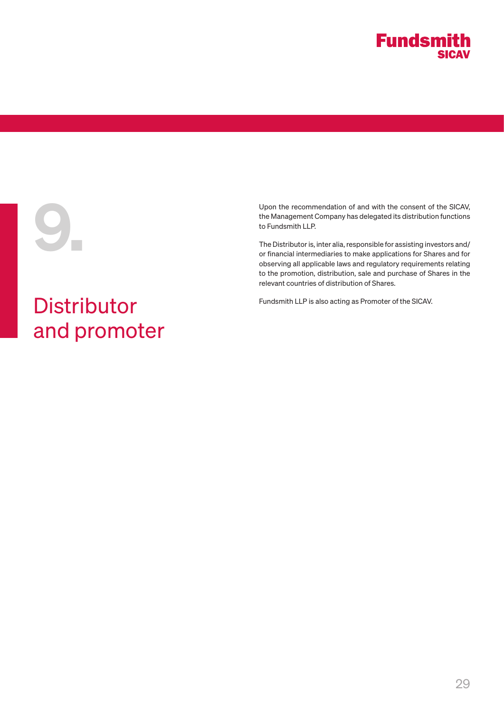

# **Distributor** and promoter

Upon the recommendation of and with the consent of the SICAV,<br>the Management Company has delegated its distribution functions<br>to Fundsmith LLP.<br>The Distributor is, inter alia, responsible for assisting investors and/<br>or fi the Management Company has delegated its distribution functions to Fundsmith LLP.

The Distributor is, inter alia, responsible for assisting investors and/ or financial intermediaries to make applications for Shares and for observing all applicable laws and regulatory requirements relating to the promotion, distribution, sale and purchase of Shares in the relevant countries of distribution of Shares.

Fundsmith LLP is also acting as Promoter of the SICAV.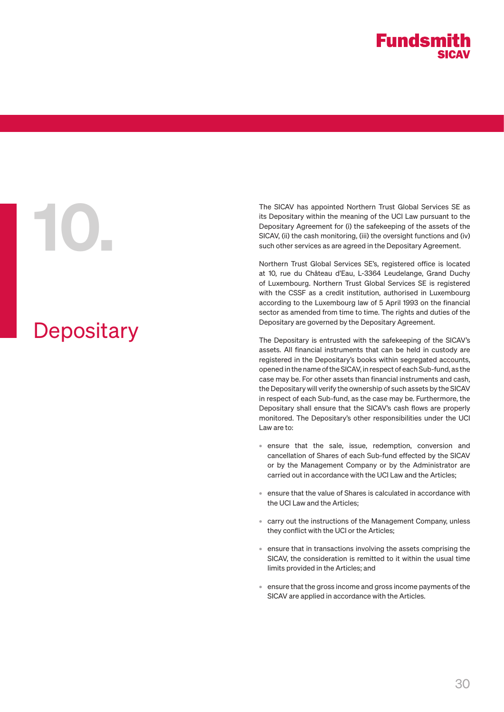# **Depositary**

The SICAV has appointed Northern Trust Global Services SE as<br>its Depositary within the meaning of the UCI Law pursuant to the<br>Depositary Agreement for (i) the safekeeping of the assets of the<br>SICAV, (ii) the cash monitorin its Depositary within the meaning of the UCI Law pursuant to the Depositary Agreement for (i) the safekeeping of the assets of the SICAV, (ii) the cash monitoring, (iii) the oversight functions and (iv) such other services as are agreed in the Depositary Agreement.

Northern Trust Global Services SE's, registered office is located at 10, rue du Château d'Eau, L-3364 Leudelange, Grand Duchy of Luxembourg. Northern Trust Global Services SE is registered with the CSSF as a credit institution, authorised in Luxembourg according to the Luxembourg law of 5 April 1993 on the financial sector as amended from time to time. The rights and duties of the Depositary are governed by the Depositary Agreement.

The Depositary is entrusted with the safekeeping of the SICAV's assets. All financial instruments that can be held in custody are registered in the Depositary's books within segregated accounts, opened in the name of the SICAV, in respect of each Sub-fund, as the case may be. For other assets than financial instruments and cash, the Depositary will verify the ownership of such assets by the SICAV in respect of each Sub-fund, as the case may be. Furthermore, the Depositary shall ensure that the SICAV's cash flows are properly monitored. The Depositary's other responsibilities under the UCI Law are to:

- ensure that the sale, issue, redemption, conversion and cancellation of Shares of each Sub-fund effected by the SICAV or by the Management Company or by the Administrator are carried out in accordance with the UCI Law and the Articles;
- ensure that the value of Shares is calculated in accordance with the UCI Law and the Articles;
- carry out the instructions of the Management Company, unless they conflict with the UCI or the Articles;
- ensure that in transactions involving the assets comprising the SICAV, the consideration is remitted to it within the usual time limits provided in the Articles; and
- ensure that the gross income and gross income payments of the SICAV are applied in accordance with the Articles.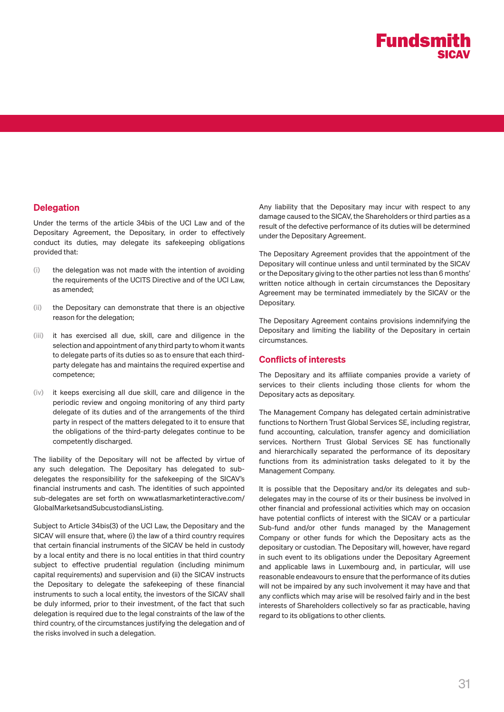# Delegation

Under the terms of the article 34bis of the UCI Law and of the Depositary Agreement, the Depositary, in order to effectively conduct its duties, may delegate its safekeeping obligations provided that:

- (i) the delegation was not made with the intention of avoiding the requirements of the UCITS Directive and of the UCI Law, as amended;
- (ii) the Depositary can demonstrate that there is an objective reason for the delegation;
- (iii) it has exercised all due, skill, care and diligence in the selection and appointment of any third party to whom it wants to delegate parts of its duties so as to ensure that each thirdparty delegate has and maintains the required expertise and competence;
- (iv) it keeps exercising all due skill, care and diligence in the periodic review and ongoing monitoring of any third party delegate of its duties and of the arrangements of the third party in respect of the matters delegated to it to ensure that the obligations of the third-party delegates continue to be competently discharged.

The liability of the Depositary will not be affected by virtue of any such delegation. The Depositary has delegated to subdelegates the responsibility for the safekeeping of the SICAV's financial instruments and cash. The identities of such appointed sub-delegates are set forth on www.atlasmarketinteractive.com/ GlobalMarketsandSubcustodiansListing.

Subject to Article 34bis(3) of the UCI Law, the Depositary and the SICAV will ensure that, where (i) the law of a third country requires that certain financial instruments of the SICAV be held in custody by a local entity and there is no local entities in that third country subject to effective prudential regulation (including minimum capital requirements) and supervision and (ii) the SICAV instructs the Depositary to delegate the safekeeping of these financial instruments to such a local entity, the investors of the SICAV shall be duly informed, prior to their investment, of the fact that such delegation is required due to the legal constraints of the law of the third country, of the circumstances justifying the delegation and of the risks involved in such a delegation.

Any liability that the Depositary may incur with respect to any damage caused to the SICAV, the Shareholders or third parties as a result of the defective performance of its duties will be determined under the Depositary Agreement.

The Depositary Agreement provides that the appointment of the Depositary will continue unless and until terminated by the SICAV or the Depositary giving to the other parties not less than 6 months' written notice although in certain circumstances the Depositary Agreement may be terminated immediately by the SICAV or the Depositary.

The Depositary Agreement contains provisions indemnifying the Depositary and limiting the liability of the Depositary in certain circumstances.

# Conflicts of interests

The Depositary and its affiliate companies provide a variety of services to their clients including those clients for whom the Depositary acts as depositary.

The Management Company has delegated certain administrative functions to Northern Trust Global Services SE, including registrar, fund accounting, calculation, transfer agency and domiciliation services. Northern Trust Global Services SE has functionally and hierarchically separated the performance of its depositary functions from its administration tasks delegated to it by the Management Company.

It is possible that the Depositary and/or its delegates and subdelegates may in the course of its or their business be involved in other financial and professional activities which may on occasion have potential conflicts of interest with the SICAV or a particular Sub-fund and/or other funds managed by the Management Company or other funds for which the Depositary acts as the depositary or custodian. The Depositary will, however, have regard in such event to its obligations under the Depositary Agreement and applicable laws in Luxembourg and, in particular, will use reasonable endeavours to ensure that the performance of its duties will not be impaired by any such involvement it may have and that any conflicts which may arise will be resolved fairly and in the best interests of Shareholders collectively so far as practicable, having regard to its obligations to other clients.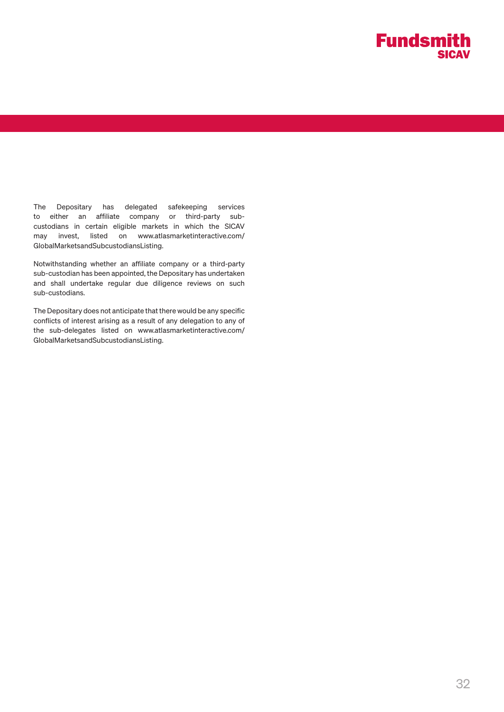

The Depositary has delegated safekeeping services to either an affiliate company or third-party subcustodians in certain eligible markets in which the SICAV may invest, listed on www.atlasmarketinteractive.com/ GlobalMarketsandSubcustodiansListing.

Notwithstanding whether an affiliate company or a third-party sub-custodian has been appointed, the Depositary has undertaken and shall undertake regular due diligence reviews on such sub-custodians.

The Depositary does not anticipate that there would be any specific conflicts of interest arising as a result of any delegation to any of the sub-delegates listed on www.atlasmarketinteractive.com/ GlobalMarketsandSubcustodiansListing.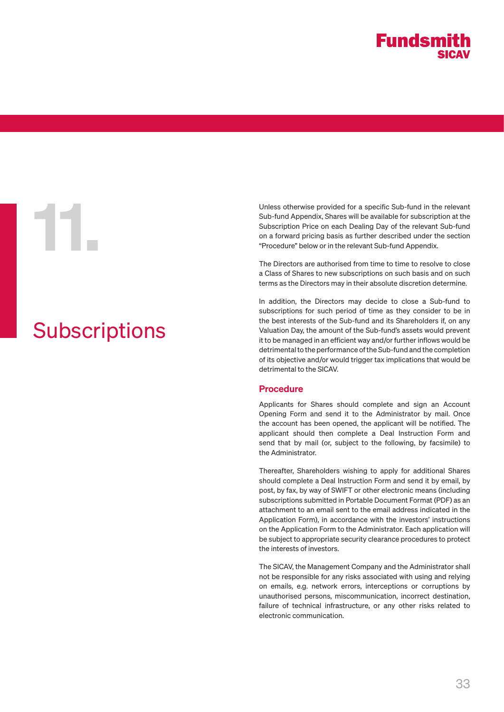

# **Subscriptions**

Unless otherwise provided for a specific Sub-fund in the relevant<br>
Sub-fund Appendix, Shares will be available for subscription at the<br>
Subscription Price on each Dealing Day of the relevant Sub-fund<br>
on a forward pricing Sub-fund Appendix, Shares will be available for subscription at the Subscription Price on each Dealing Day of the relevant Sub-fund on a forward pricing basis as further described under the section "Procedure" below or in the relevant Sub-fund Appendix.

The Directors are authorised from time to time to resolve to close a Class of Shares to new subscriptions on such basis and on such terms as the Directors may in their absolute discretion determine.

In addition, the Directors may decide to close a Sub-fund to subscriptions for such period of time as they consider to be in the best interests of the Sub-fund and its Shareholders if, on any Valuation Day, the amount of the Sub-fund's assets would prevent it to be managed in an efficient way and/or further inflows would be detrimental to the performance of the Sub-fund and the completion of its objective and/or would trigger tax implications that would be detrimental to the SICAV.

# Procedure

Applicants for Shares should complete and sign an Account Opening Form and send it to the Administrator by mail. Once the account has been opened, the applicant will be notified. The applicant should then complete a Deal Instruction Form and send that by mail (or, subject to the following, by facsimile) to the Administrator.

Thereafter, Shareholders wishing to apply for additional Shares should complete a Deal Instruction Form and send it by email, by post, by fax, by way of SWIFT or other electronic means (including subscriptions submitted in Portable Document Format (PDF) as an attachment to an email sent to the email address indicated in the Application Form), in accordance with the investors' instructions on the Application Form to the Administrator. Each application will be subject to appropriate security clearance procedures to protect the interests of investors.

The SICAV, the Management Company and the Administrator shall not be responsible for any risks associated with using and relying on emails, e.g. network errors, interceptions or corruptions by unauthorised persons, miscommunication, incorrect destination, failure of technical infrastructure, or any other risks related to electronic communication.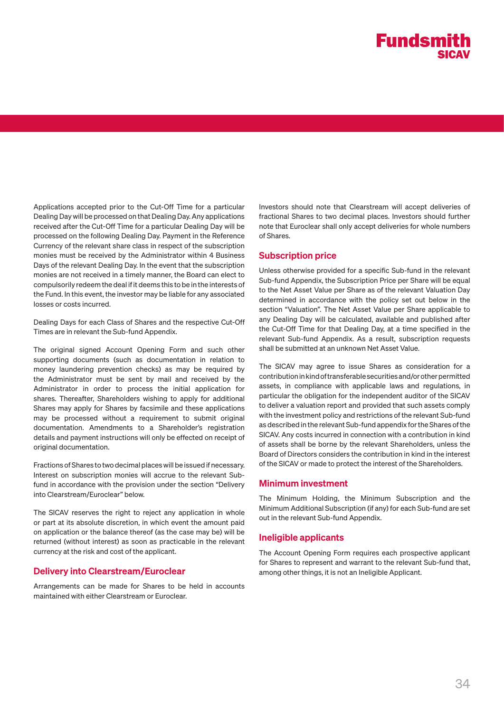Applications accepted prior to the Cut-Off Time for a particular Dealing Day will be processed on that Dealing Day. Any applications received after the Cut-Off Time for a particular Dealing Day will be processed on the following Dealing Day. Payment in the Reference Currency of the relevant share class in respect of the subscription monies must be received by the Administrator within 4 Business Days of the relevant Dealing Day. In the event that the subscription monies are not received in a timely manner, the Board can elect to compulsorily redeem the deal if it deems this to be in the interests of the Fund. In this event, the investor may be liable for any associated losses or costs incurred.

Dealing Days for each Class of Shares and the respective Cut-Off Times are in relevant the Sub-fund Appendix.

The original signed Account Opening Form and such other supporting documents (such as documentation in relation to money laundering prevention checks) as may be required by the Administrator must be sent by mail and received by the Administrator in order to process the initial application for shares. Thereafter, Shareholders wishing to apply for additional Shares may apply for Shares by facsimile and these applications may be processed without a requirement to submit original documentation. Amendments to a Shareholder's registration details and payment instructions will only be effected on receipt of original documentation.

Fractions of Shares to two decimal places will be issued if necessary. Interest on subscription monies will accrue to the relevant Subfund in accordance with the provision under the section "Delivery into Clearstream/Euroclear" below.

The SICAV reserves the right to reject any application in whole or part at its absolute discretion, in which event the amount paid on application or the balance thereof (as the case may be) will be returned (without interest) as soon as practicable in the relevant currency at the risk and cost of the applicant.

## Delivery into Clearstream/Euroclear

Arrangements can be made for Shares to be held in accounts maintained with either Clearstream or Euroclear.

Investors should note that Clearstream will accept deliveries of fractional Shares to two decimal places. Investors should further note that Euroclear shall only accept deliveries for whole numbers of Shares.

## Subscription price

Unless otherwise provided for a specific Sub-fund in the relevant Sub-fund Appendix, the Subscription Price per Share will be equal to the Net Asset Value per Share as of the relevant Valuation Day determined in accordance with the policy set out below in the section "Valuation". The Net Asset Value per Share applicable to any Dealing Day will be calculated, available and published after the Cut-Off Time for that Dealing Day, at a time specified in the relevant Sub-fund Appendix. As a result, subscription requests shall be submitted at an unknown Net Asset Value.

The SICAV may agree to issue Shares as consideration for a contribution in kind of transferable securities and/or other permitted assets, in compliance with applicable laws and regulations, in particular the obligation for the independent auditor of the SICAV to deliver a valuation report and provided that such assets comply with the investment policy and restrictions of the relevant Sub-fund as described in the relevant Sub-fund appendix for the Shares of the SICAV. Any costs incurred in connection with a contribution in kind of assets shall be borne by the relevant Shareholders, unless the Board of Directors considers the contribution in kind in the interest of the SICAV or made to protect the interest of the Shareholders.

#### Minimum investment

The Minimum Holding, the Minimum Subscription and the Minimum Additional Subscription (if any) for each Sub-fund are set out in the relevant Sub-fund Appendix.

## Ineligible applicants

The Account Opening Form requires each prospective applicant for Shares to represent and warrant to the relevant Sub-fund that, among other things, it is not an Ineligible Applicant.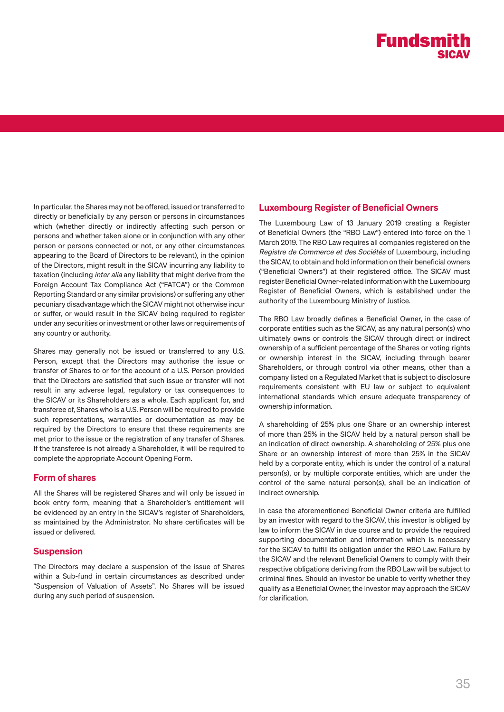In particular, the Shares may not be offered, issued or transferred to directly or beneficially by any person or persons in circumstances which (whether directly or indirectly affecting such person or persons and whether taken alone or in conjunction with any other person or persons connected or not, or any other circumstances appearing to the Board of Directors to be relevant), in the opinion of the Directors, might result in the SICAV incurring any liability to taxation (including inter alia any liability that might derive from the Foreign Account Tax Compliance Act ("FATCA") or the Common Reporting Standard or any similar provisions) or suffering any other pecuniary disadvantage which the SICAV might not otherwise incur or suffer, or would result in the SICAV being required to register under any securities or investment or other laws or requirements of any country or authority.

Shares may generally not be issued or transferred to any U.S. Person, except that the Directors may authorise the issue or transfer of Shares to or for the account of a U.S. Person provided that the Directors are satisfied that such issue or transfer will not result in any adverse legal, regulatory or tax consequences to the SICAV or its Shareholders as a whole. Each applicant for, and transferee of, Shares who is a U.S. Person will be required to provide such representations, warranties or documentation as may be required by the Directors to ensure that these requirements are met prior to the issue or the registration of any transfer of Shares. If the transferee is not already a Shareholder, it will be required to complete the appropriate Account Opening Form.

# Form of shares

All the Shares will be registered Shares and will only be issued in book entry form, meaning that a Shareholder's entitlement will be evidenced by an entry in the SICAV's register of Shareholders, as maintained by the Administrator. No share certificates will be issued or delivered.

# Suspension

The Directors may declare a suspension of the issue of Shares within a Sub-fund in certain circumstances as described under "Suspension of Valuation of Assets". No Shares will be issued during any such period of suspension.

# Luxembourg Register of Beneficial Owners

The Luxembourg Law of 13 January 2019 creating a Register of Beneficial Owners (the "RBO Law") entered into force on the 1 March 2019. The RBO Law requires all companies registered on the Registre de Commerce et des Sociétés of Luxembourg, including the SICAV, to obtain and hold information on their beneficial owners ("Beneficial Owners") at their registered office. The SICAV must register Beneficial Owner-related information with the Luxembourg Register of Beneficial Owners, which is established under the authority of the Luxembourg Ministry of Justice.

The RBO Law broadly defines a Beneficial Owner, in the case of corporate entities such as the SICAV, as any natural person(s) who ultimately owns or controls the SICAV through direct or indirect ownership of a sufficient percentage of the Shares or voting rights or ownership interest in the SICAV, including through bearer Shareholders, or through control via other means, other than a company listed on a Regulated Market that is subject to disclosure requirements consistent with EU law or subject to equivalent international standards which ensure adequate transparency of ownership information.

A shareholding of 25% plus one Share or an ownership interest of more than 25% in the SICAV held by a natural person shall be an indication of direct ownership. A shareholding of 25% plus one Share or an ownership interest of more than 25% in the SICAV held by a corporate entity, which is under the control of a natural person(s), or by multiple corporate entities, which are under the control of the same natural person(s), shall be an indication of indirect ownership.

In case the aforementioned Beneficial Owner criteria are fulfilled by an investor with regard to the SICAV, this investor is obliged by law to inform the SICAV in due course and to provide the required supporting documentation and information which is necessary for the SICAV to fulfill its obligation under the RBO Law. Failure by the SICAV and the relevant Beneficial Owners to comply with their respective obligations deriving from the RBO Law will be subject to criminal fines. Should an investor be unable to verify whether they qualify as a Beneficial Owner, the investor may approach the SICAV for clarification.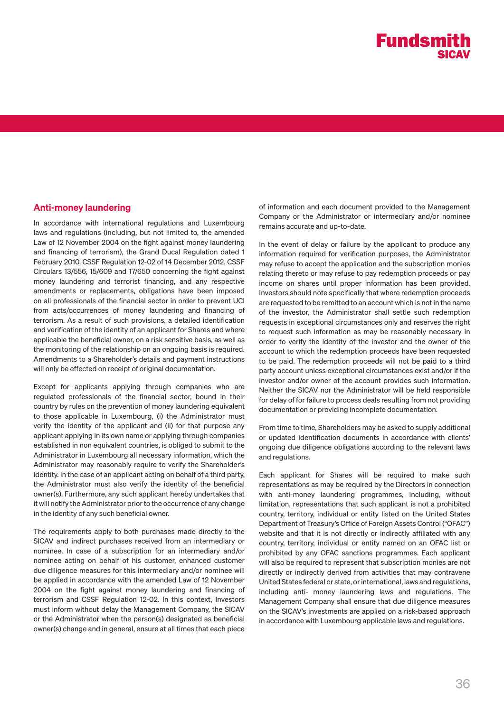# Anti-money laundering

In accordance with international regulations and Luxembourg laws and regulations (including, but not limited to, the amended Law of 12 November 2004 on the fight against money laundering and financing of terrorism), the Grand Ducal Regulation dated 1 February 2010, CSSF Regulation 12-02 of 14 December 2012, CSSF Circulars 13/556, 15/609 and 17/650 concerning the fight against money laundering and terrorist financing, and any respective amendments or replacements, obligations have been imposed on all professionals of the financial sector in order to prevent UCI from acts/occurrences of money laundering and financing of terrorism. As a result of such provisions, a detailed identification and verification of the identity of an applicant for Shares and where applicable the beneficial owner, on a risk sensitive basis, as well as the monitoring of the relationship on an ongoing basis is required. Amendments to a Shareholder's details and payment instructions will only be effected on receipt of original documentation.

Except for applicants applying through companies who are regulated professionals of the financial sector, bound in their country by rules on the prevention of money laundering equivalent to those applicable in Luxembourg, (i) the Administrator must verify the identity of the applicant and (ii) for that purpose any applicant applying in its own name or applying through companies established in non equivalent countries, is obliged to submit to the Administrator in Luxembourg all necessary information, which the Administrator may reasonably require to verify the Shareholder's identity. In the case of an applicant acting on behalf of a third party, the Administrator must also verify the identity of the beneficial owner(s). Furthermore, any such applicant hereby undertakes that it will notify the Administrator prior to the occurrence of any change in the identity of any such beneficial owner.

The requirements apply to both purchases made directly to the SICAV and indirect purchases received from an intermediary or nominee. In case of a subscription for an intermediary and/or nominee acting on behalf of his customer, enhanced customer due diligence measures for this intermediary and/or nominee will be applied in accordance with the amended Law of 12 November 2004 on the fight against money laundering and financing of terrorism and CSSF Regulation 12-02. In this context, Investors must inform without delay the Management Company, the SICAV or the Administrator when the person(s) designated as beneficial owner(s) change and in general, ensure at all times that each piece of information and each document provided to the Management Company or the Administrator or intermediary and/or nominee remains accurate and up-to-date.

In the event of delay or failure by the applicant to produce any information required for verification purposes, the Administrator may refuse to accept the application and the subscription monies relating thereto or may refuse to pay redemption proceeds or pay income on shares until proper information has been provided. Investors should note specifically that where redemption proceeds are requested to be remitted to an account which is not in the name of the investor, the Administrator shall settle such redemption requests in exceptional circumstances only and reserves the right to request such information as may be reasonably necessary in order to verify the identity of the investor and the owner of the account to which the redemption proceeds have been requested to be paid. The redemption proceeds will not be paid to a third party account unless exceptional circumstances exist and/or if the investor and/or owner of the account provides such information. Neither the SICAV nor the Administrator will be held responsible for delay of for failure to process deals resulting from not providing documentation or providing incomplete documentation.

From time to time, Shareholders may be asked to supply additional or updated identification documents in accordance with clients' ongoing due diligence obligations according to the relevant laws and regulations.

Each applicant for Shares will be required to make such representations as may be required by the Directors in connection with anti-money laundering programmes, including, without limitation, representations that such applicant is not a prohibited country, territory, individual or entity listed on the United States Department of Treasury's Office of Foreign Assets Control ("OFAC") website and that it is not directly or indirectly affiliated with any country, territory, individual or entity named on an OFAC list or prohibited by any OFAC sanctions programmes. Each applicant will also be required to represent that subscription monies are not directly or indirectly derived from activities that may contravene United States federal or state, or international, laws and regulations, including anti- money laundering laws and regulations. The Management Company shall ensure that due diligence measures on the SICAV's investments are applied on a risk-based approach in accordance with Luxembourg applicable laws and regulations.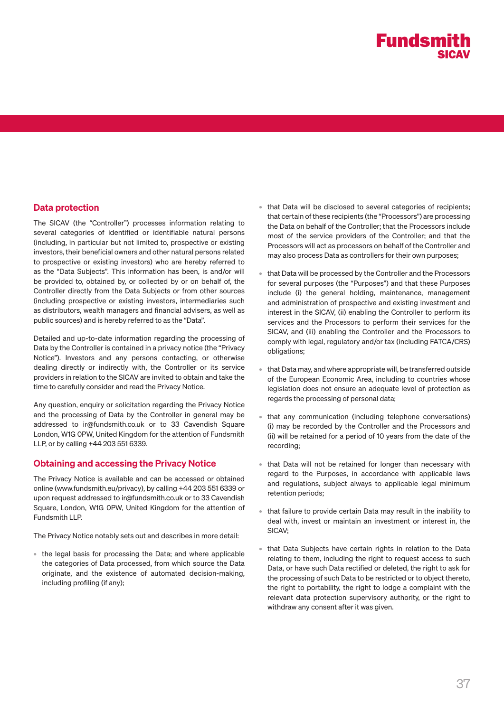#### Data protection

The SICAV (the "Controller") processes information relating to several categories of identified or identifiable natural persons (including, in particular but not limited to, prospective or existing investors, their beneficial owners and other natural persons related to prospective or existing investors) who are hereby referred to as the "Data Subjects". This information has been, is and/or will be provided to, obtained by, or collected by or on behalf of, the Controller directly from the Data Subjects or from other sources (including prospective or existing investors, intermediaries such as distributors, wealth managers and financial advisers, as well as public sources) and is hereby referred to as the "Data".

Detailed and up-to-date information regarding the processing of Data by the Controller is contained in a privacy notice (the "Privacy Notice"). Investors and any persons contacting, or otherwise dealing directly or indirectly with, the Controller or its service providers in relation to the SICAV are invited to obtain and take the time to carefully consider and read the Privacy Notice.

Any question, enquiry or solicitation regarding the Privacy Notice and the processing of Data by the Controller in general may be addressed to ir@fundsmith.co.uk or to 33 Cavendish Square London, W1G 0PW, United Kingdom for the attention of Fundsmith LLP, or by calling +44 203 551 6339.

#### Obtaining and accessing the Privacy Notice

The Privacy Notice is available and can be accessed or obtained online (www.fundsmith.eu/privacy), by calling +44 203 551 6339 or upon request addressed to ir@fundsmith.co.uk or to 33 Cavendish Square, London, W1G 0PW, United Kingdom for the attention of Fundsmith LLP.

The Privacy Notice notably sets out and describes in more detail:

• the legal basis for processing the Data; and where applicable the categories of Data processed, from which source the Data originate, and the existence of automated decision-making, including profiling (if any);

- that Data will be disclosed to several categories of recipients; that certain of these recipients (the "Processors") are processing the Data on behalf of the Controller; that the Processors include most of the service providers of the Controller; and that the Processors will act as processors on behalf of the Controller and may also process Data as controllers for their own purposes;
- that Data will be processed by the Controller and the Processors for several purposes (the "Purposes") and that these Purposes include (i) the general holding, maintenance, management and administration of prospective and existing investment and interest in the SICAV, (ii) enabling the Controller to perform its services and the Processors to perform their services for the SICAV, and (iii) enabling the Controller and the Processors to comply with legal, regulatory and/or tax (including FATCA/CRS) obligations;
- that Data may, and where appropriate will, be transferred outside of the European Economic Area, including to countries whose legislation does not ensure an adequate level of protection as regards the processing of personal data;
- that any communication (including telephone conversations) (i) may be recorded by the Controller and the Processors and (ii) will be retained for a period of 10 years from the date of the recording;
- that Data will not be retained for longer than necessary with regard to the Purposes, in accordance with applicable laws and regulations, subject always to applicable legal minimum retention periods;
- that failure to provide certain Data may result in the inability to deal with, invest or maintain an investment or interest in, the SICAV;
- that Data Subjects have certain rights in relation to the Data relating to them, including the right to request access to such Data, or have such Data rectified or deleted, the right to ask for the processing of such Data to be restricted or to object thereto, the right to portability, the right to lodge a complaint with the relevant data protection supervisory authority, or the right to withdraw any consent after it was given.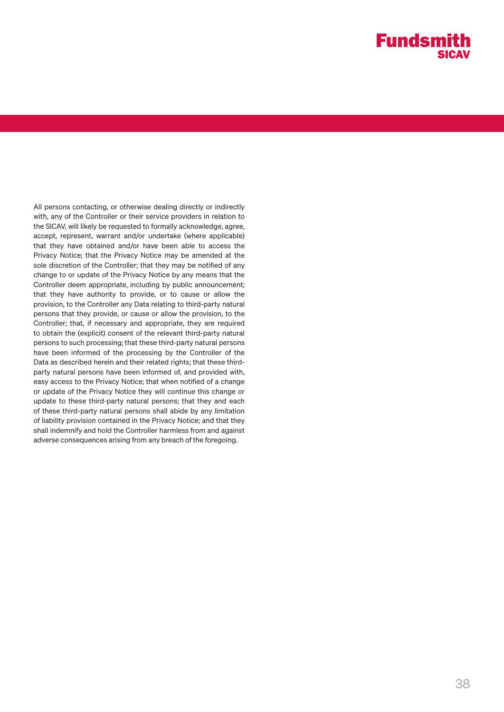All persons contacting, or otherwise dealing directly or indirectly with, any of the Controller or their service providers in relation to the SICAV, will likely be requested to formally acknowledge, agree, accept, represent, warrant and/or undertake (where applicable) that they have obtained and/or have been able to access the Privacy Notice; that the Privacy Notice may be amended at the sole discretion of the Controller; that they may be notified of any change to or update of the Privacy Notice by any means that the Controller deem appropriate, including by public announcement; that they have authority to provide, or to cause or allow the provision, to the Controller any Data relating to third-party natural persons that they provide, or cause or allow the provision, to the Controller; that, if necessary and appropriate, they are required to obtain the (explicit) consent of the relevant third-party natural persons to such processing; that these third-party natural persons have been informed of the processing by the Controller of the Data as described herein and their related rights; that these thirdparty natural persons have been informed of, and provided with, easy access to the Privacy Notice; that when notified of a change or update of the Privacy Notice they will continue this change or update to these third-party natural persons; that they and each of these third-party natural persons shall abide by any limitation of liability provision contained in the Privacy Notice; and that they shall indemnify and hold the Controller harmless from and against adverse consequences arising from any breach of the foregoing.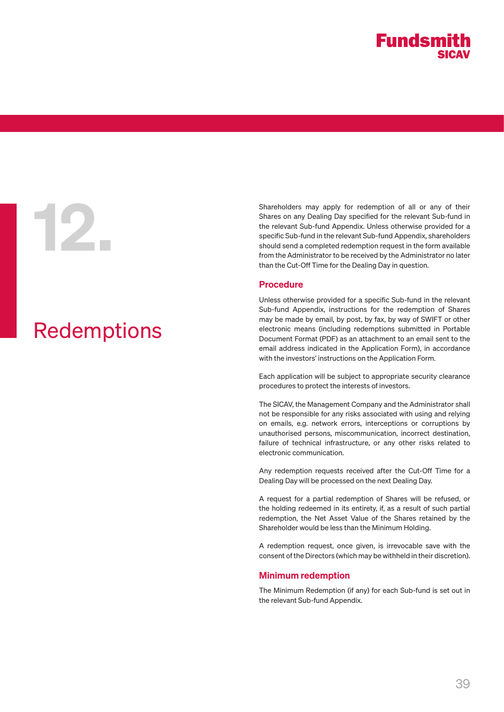# Redemptions

Shareholders may apply for redemption of all or any of their<br>Shares on any Dealing Day specified for the relevant Sub-fund in<br>the relevant Sub-fund Appendix. Unless otherwise provided for a<br>specific Sub-fund in the relevan Shares on any Dealing Day specified for the relevant Sub-fund in the relevant Sub-fund Appendix. Unless otherwise provided for a specific Sub-fund in the relevant Sub-fund Appendix, shareholders should send a completed redemption request in the form available from the Administrator to be received by the Administrator no later than the Cut-Off Time for the Dealing Day in question.

#### Procedure

Unless otherwise provided for a specific Sub-fund in the relevant Sub-fund Appendix, instructions for the redemption of Shares may be made by email, by post, by fax, by way of SWIFT or other electronic means (including redemptions submitted in Portable Document Format (PDF) as an attachment to an email sent to the email address indicated in the Application Form), in accordance with the investors' instructions on the Application Form.

Each application will be subject to appropriate security clearance procedures to protect the interests of investors.

The SICAV, the Management Company and the Administrator shall not be responsible for any risks associated with using and relying on emails, e.g. network errors, interceptions or corruptions by unauthorised persons, miscommunication, incorrect destination, failure of technical infrastructure, or any other risks related to electronic communication.

Any redemption requests received after the Cut-Off Time for a Dealing Day will be processed on the next Dealing Day.

A request for a partial redemption of Shares will be refused, or the holding redeemed in its entirety, if, as a result of such partial redemption, the Net Asset Value of the Shares retained by the Shareholder would be less than the Minimum Holding.

A redemption request, once given, is irrevocable save with the consent of the Directors (which may be withheld in their discretion).

#### Minimum redemption

The Minimum Redemption (if any) for each Sub-fund is set out in the relevant Sub-fund Appendix.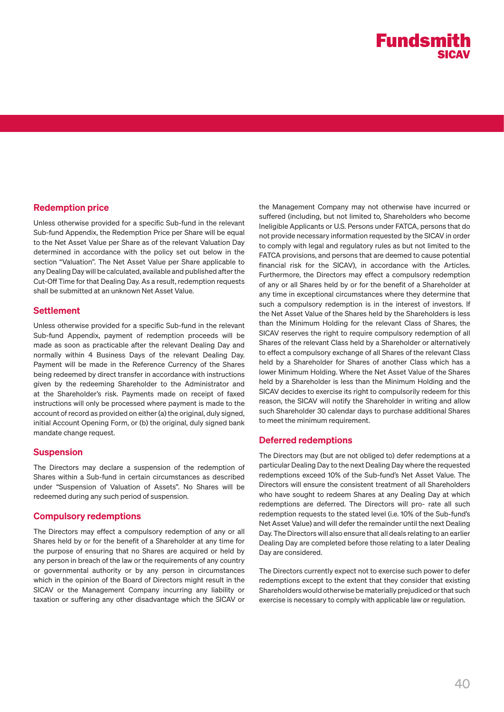#### Redemption price

Unless otherwise provided for a specific Sub-fund in the relevant Sub-fund Appendix, the Redemption Price per Share will be equal to the Net Asset Value per Share as of the relevant Valuation Day determined in accordance with the policy set out below in the section "Valuation". The Net Asset Value per Share applicable to any Dealing Day will be calculated, available and published after the Cut-Off Time for that Dealing Day. As a result, redemption requests shall be submitted at an unknown Net Asset Value.

#### **Settlement**

Unless otherwise provided for a specific Sub-fund in the relevant Sub-fund Appendix, payment of redemption proceeds will be made as soon as practicable after the relevant Dealing Day and normally within 4 Business Days of the relevant Dealing Day. Payment will be made in the Reference Currency of the Shares being redeemed by direct transfer in accordance with instructions given by the redeeming Shareholder to the Administrator and at the Shareholder's risk. Payments made on receipt of faxed instructions will only be processed where payment is made to the account of record as provided on either (a) the original, duly signed, initial Account Opening Form, or (b) the original, duly signed bank mandate change request.

#### Suspension

The Directors may declare a suspension of the redemption of Shares within a Sub-fund in certain circumstances as described under "Suspension of Valuation of Assets". No Shares will be redeemed during any such period of suspension.

#### Compulsory redemptions

The Directors may effect a compulsory redemption of any or all Shares held by or for the benefit of a Shareholder at any time for the purpose of ensuring that no Shares are acquired or held by any person in breach of the law or the requirements of any country or governmental authority or by any person in circumstances which in the opinion of the Board of Directors might result in the SICAV or the Management Company incurring any liability or taxation or suffering any other disadvantage which the SICAV or

the Management Company may not otherwise have incurred or suffered (including, but not limited to, Shareholders who become Ineligible Applicants or U.S. Persons under FATCA, persons that do not provide necessary information requested by the SICAV in order to comply with legal and regulatory rules as but not limited to the FATCA provisions, and persons that are deemed to cause potential financial risk for the SICAV), in accordance with the Articles. Furthermore, the Directors may effect a compulsory redemption of any or all Shares held by or for the benefit of a Shareholder at any time in exceptional circumstances where they determine that such a compulsory redemption is in the interest of investors. If the Net Asset Value of the Shares held by the Shareholders is less than the Minimum Holding for the relevant Class of Shares, the SICAV reserves the right to require compulsory redemption of all Shares of the relevant Class held by a Shareholder or alternatively to effect a compulsory exchange of all Shares of the relevant Class held by a Shareholder for Shares of another Class which has a lower Minimum Holding. Where the Net Asset Value of the Shares held by a Shareholder is less than the Minimum Holding and the SICAV decides to exercise its right to compulsorily redeem for this reason, the SICAV will notify the Shareholder in writing and allow such Shareholder 30 calendar days to purchase additional Shares to meet the minimum requirement.

#### Deferred redemptions

The Directors may (but are not obliged to) defer redemptions at a particular Dealing Day to the next Dealing Day where the requested redemptions exceed 10% of the Sub-fund's Net Asset Value. The Directors will ensure the consistent treatment of all Shareholders who have sought to redeem Shares at any Dealing Day at which redemptions are deferred. The Directors will pro- rate all such redemption requests to the stated level (i.e. 10% of the Sub-fund's Net Asset Value) and will defer the remainder until the next Dealing Day. The Directors will also ensure that all deals relating to an earlier Dealing Day are completed before those relating to a later Dealing Day are considered.

The Directors currently expect not to exercise such power to defer redemptions except to the extent that they consider that existing Shareholders would otherwise be materially prejudiced or that such exercise is necessary to comply with applicable law or regulation.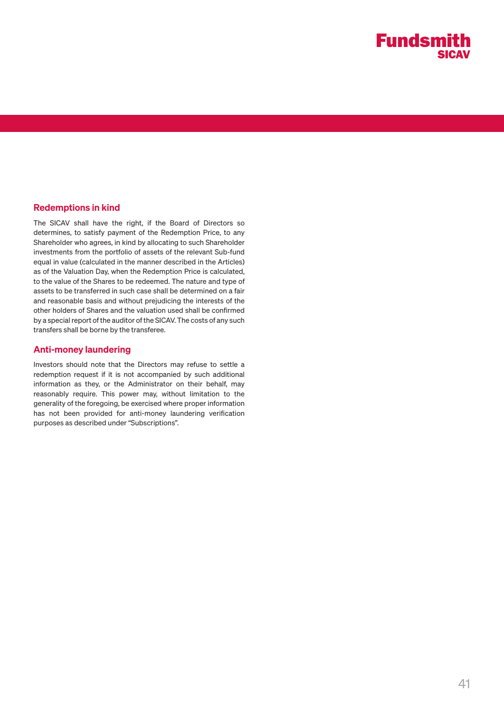

#### Redemptions in kind

The SICAV shall have the right, if the Board of Directors so determines, to satisfy payment of the Redemption Price, to any Shareholder who agrees, in kind by allocating to such Shareholder investments from the portfolio of assets of the relevant Sub-fund equal in value (calculated in the manner described in the Articles) as of the Valuation Day, when the Redemption Price is calculated, to the value of the Shares to be redeemed. The nature and type of assets to be transferred in such case shall be determined on a fair and reasonable basis and without prejudicing the interests of the other holders of Shares and the valuation used shall be confirmed by a special report of the auditor of the SICAV. The costs of any such transfers shall be borne by the transferee.

#### Anti-money laundering

Investors should note that the Directors may refuse to settle a redemption request if it is not accompanied by such additional information as they, or the Administrator on their behalf, may reasonably require. This power may, without limitation to the generality of the foregoing, be exercised where proper information has not been provided for anti-money laundering verification purposes as described under "Subscriptions".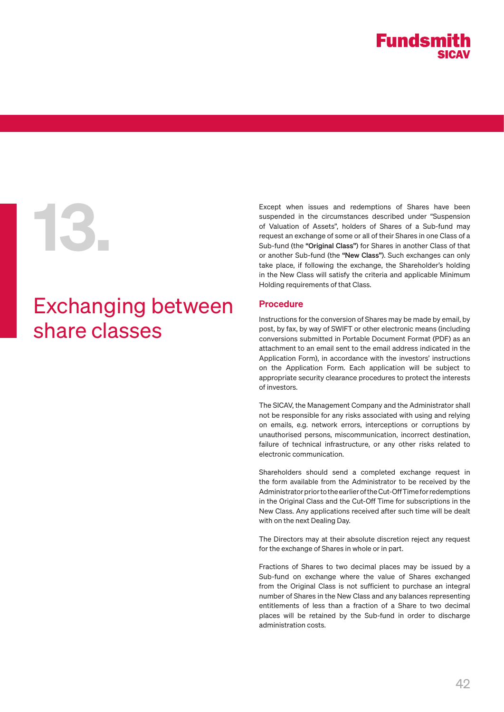

## Exchanging between share classes

Except when issues and redemptions of Shares have been<br>suspended in the circumstances described under "Suspension<br>of Valuation of Assets", holders of Shares of a Sub-fund may<br>request an exchange of some or all of their Sha suspended in the circumstances described under "Suspension of Valuation of Assets", holders of Shares of a Sub-fund may request an exchange of some or all of their Shares in one Class of a Sub-fund (the "Original Class") for Shares in another Class of that or another Sub-fund (the "New Class"). Such exchanges can only take place, if following the exchange, the Shareholder's holding in the New Class will satisfy the criteria and applicable Minimum Holding requirements of that Class.

#### Procedure

Instructions for the conversion of Shares may be made by email, by post, by fax, by way of SWIFT or other electronic means (including conversions submitted in Portable Document Format (PDF) as an attachment to an email sent to the email address indicated in the Application Form), in accordance with the investors' instructions on the Application Form. Each application will be subject to appropriate security clearance procedures to protect the interests of investors.

The SICAV, the Management Company and the Administrator shall not be responsible for any risks associated with using and relying on emails, e.g. network errors, interceptions or corruptions by unauthorised persons, miscommunication, incorrect destination, failure of technical infrastructure, or any other risks related to electronic communication.

Shareholders should send a completed exchange request in the form available from the Administrator to be received by the Administrator prior to the earlier of the Cut-Off Time for redemptions in the Original Class and the Cut-Off Time for subscriptions in the New Class. Any applications received after such time will be dealt with on the next Dealing Day.

The Directors may at their absolute discretion reject any request for the exchange of Shares in whole or in part.

Fractions of Shares to two decimal places may be issued by a Sub-fund on exchange where the value of Shares exchanged from the Original Class is not sufficient to purchase an integral number of Shares in the New Class and any balances representing entitlements of less than a fraction of a Share to two decimal places will be retained by the Sub-fund in order to discharge administration costs.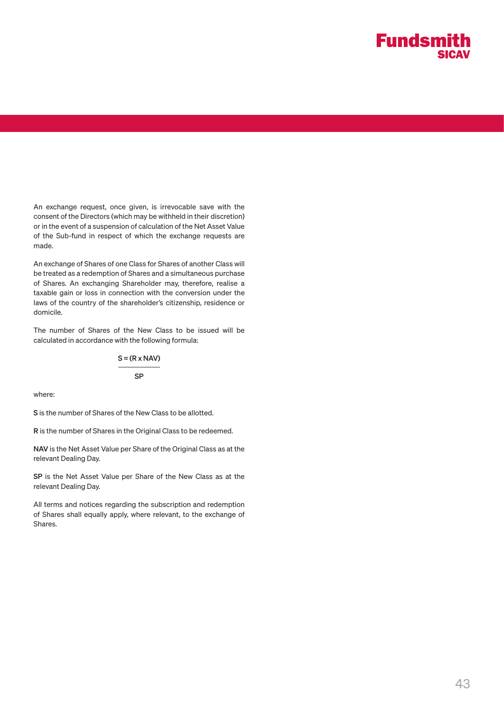An exchange request, once given, is irrevocable save with the consent of the Directors (which may be withheld in their discretion) or in the event of a suspension of calculation of the Net Asset Value of the Sub-fund in respect of which the exchange requests are made.

An exchange of Shares of one Class for Shares of another Class will be treated as a redemption of Shares and a simultaneous purchase of Shares. An exchanging Shareholder may, therefore, realise a taxable gain or loss in connection with the conversion under the laws of the country of the shareholder's citizenship, residence or domicile.

The number of Shares of the New Class to be issued will be calculated in accordance with the following formula:

$$
S = (R \times NAV)
$$
  
SP

where:

S is the number of Shares of the New Class to be allotted.

R is the number of Shares in the Original Class to be redeemed.

NAV is the Net Asset Value per Share of the Original Class as at the relevant Dealing Day.

SP is the Net Asset Value per Share of the New Class as at the relevant Dealing Day.

All terms and notices regarding the subscription and redemption of Shares shall equally apply, where relevant, to the exchange of Shares.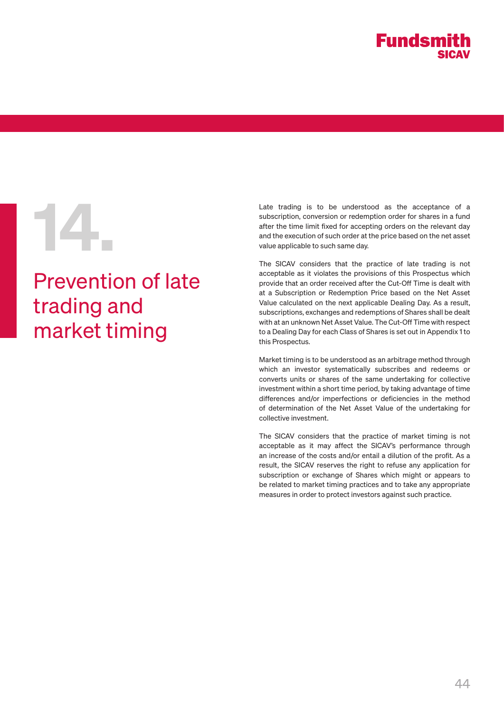

# Prevention of late trading and market timing

Late trading is to be understood as the acceptance of a subscription, conversion or redemption order for shares in a fund after the time limit fixed for accepting orders on the relevant day and the execution of such order subscription, conversion or redemption order for shares in a fund after the time limit fixed for accepting orders on the relevant day and the execution of such order at the price based on the net asset value applicable to such same day.

The SICAV considers that the practice of late trading is not acceptable as it violates the provisions of this Prospectus which provide that an order received after the Cut-Off Time is dealt with at a Subscription or Redemption Price based on the Net Asset Value calculated on the next applicable Dealing Day. As a result, subscriptions, exchanges and redemptions of Shares shall be dealt with at an unknown Net Asset Value. The Cut-Off Time with respect to a Dealing Day for each Class of Shares is set out in Appendix 1 to this Prospectus.

Market timing is to be understood as an arbitrage method through which an investor systematically subscribes and redeems or converts units or shares of the same undertaking for collective investment within a short time period, by taking advantage of time differences and/or imperfections or deficiencies in the method of determination of the Net Asset Value of the undertaking for collective investment.

The SICAV considers that the practice of market timing is not acceptable as it may affect the SICAV's performance through an increase of the costs and/or entail a dilution of the profit. As a result, the SICAV reserves the right to refuse any application for subscription or exchange of Shares which might or appears to be related to market timing practices and to take any appropriate measures in order to protect investors against such practice.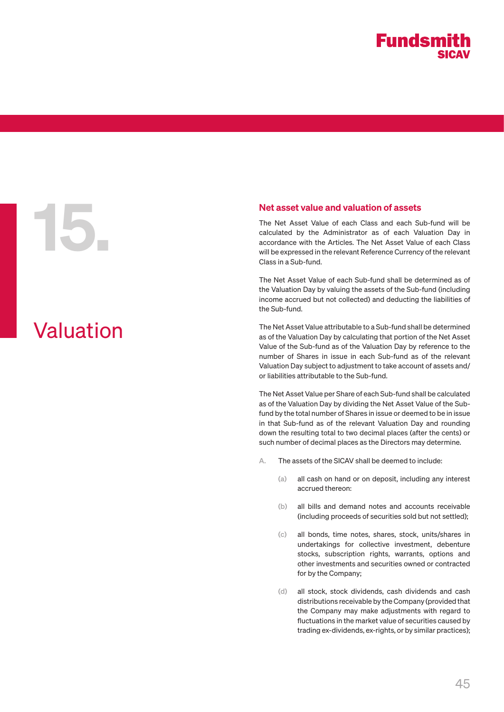# Valuation

**15. Net asset value and valuation of assets**<br>The Net Asset Value of each Class and each Sucalculated by the Administrator as of each Va<br>accordance with the Articles. The Net Asset Value<br>will be expressed in the relevant R The Net Asset Value of each Class and each Sub-fund will be calculated by the Administrator as of each Valuation Day in accordance with the Articles. The Net Asset Value of each Class will be expressed in the relevant Reference Currency of the relevant Class in a Sub-fund.

> The Net Asset Value of each Sub-fund shall be determined as of the Valuation Day by valuing the assets of the Sub-fund (including income accrued but not collected) and deducting the liabilities of the Sub-fund.

> The Net Asset Value attributable to a Sub-fund shall be determined as of the Valuation Day by calculating that portion of the Net Asset Value of the Sub-fund as of the Valuation Day by reference to the number of Shares in issue in each Sub-fund as of the relevant Valuation Day subject to adjustment to take account of assets and/ or liabilities attributable to the Sub-fund.

> The Net Asset Value per Share of each Sub-fund shall be calculated as of the Valuation Day by dividing the Net Asset Value of the Subfund by the total number of Shares in issue or deemed to be in issue in that Sub-fund as of the relevant Valuation Day and rounding down the resulting total to two decimal places (after the cents) or such number of decimal places as the Directors may determine.

- A. The assets of the SICAV shall be deemed to include:
	- (a) all cash on hand or on deposit, including any interest accrued thereon:
	- (b) all bills and demand notes and accounts receivable (including proceeds of securities sold but not settled);
	- (c) all bonds, time notes, shares, stock, units/shares in undertakings for collective investment, debenture stocks, subscription rights, warrants, options and other investments and securities owned or contracted for by the Company;
	- (d) all stock, stock dividends, cash dividends and cash distributions receivable by the Company (provided that the Company may make adjustments with regard to fluctuations in the market value of securities caused by trading ex-dividends, ex-rights, or by similar practices);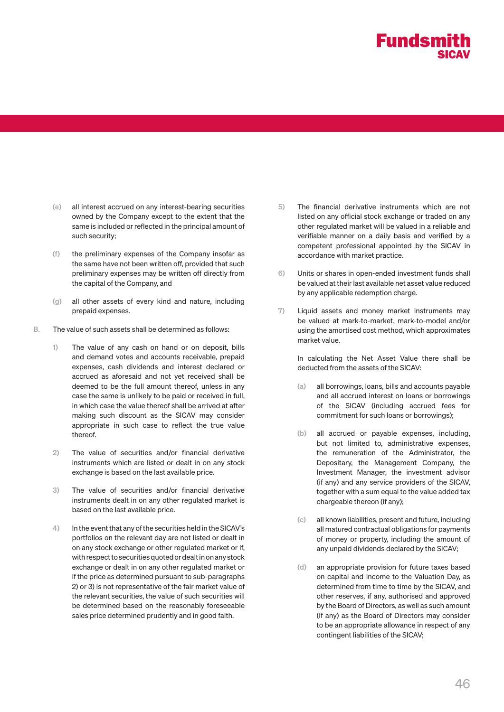

- (e) all interest accrued on any interest-bearing securities owned by the Company except to the extent that the same is included or reflected in the principal amount of such security;
- (f) the preliminary expenses of the Company insofar as the same have not been written off, provided that such preliminary expenses may be written off directly from the capital of the Company, and
- (g) all other assets of every kind and nature, including prepaid expenses.
- B. The value of such assets shall be determined as follows:
	- 1) The value of any cash on hand or on deposit, bills and demand votes and accounts receivable, prepaid expenses, cash dividends and interest declared or accrued as aforesaid and not yet received shall be deemed to be the full amount thereof, unless in any case the same is unlikely to be paid or received in full, in which case the value thereof shall be arrived at after making such discount as the SICAV may consider appropriate in such case to reflect the true value thereof.
	- 2) The value of securities and/or financial derivative instruments which are listed or dealt in on any stock exchange is based on the last available price.
	- 3) The value of securities and/or financial derivative instruments dealt in on any other regulated market is based on the last available price.
	- 4) In the event that any of the securities held in the SICAV's portfolios on the relevant day are not listed or dealt in on any stock exchange or other regulated market or if, with respect to securities quoted or dealt in on any stock exchange or dealt in on any other regulated market or if the price as determined pursuant to sub-paragraphs 2) or 3) is not representative of the fair market value of the relevant securities, the value of such securities will be determined based on the reasonably foreseeable sales price determined prudently and in good faith.
- 5) The financial derivative instruments which are not listed on any official stock exchange or traded on any other regulated market will be valued in a reliable and verifiable manner on a daily basis and verified by a competent professional appointed by the SICAV in accordance with market practice.
- 6) Units or shares in open-ended investment funds shall be valued at their last available net asset value reduced by any applicable redemption charge.
- 7) Liquid assets and money market instruments may be valued at mark-to-market, mark-to-model and/or using the amortised cost method, which approximates market value.

In calculating the Net Asset Value there shall be deducted from the assets of the SICAV:

- (a) all borrowings, loans, bills and accounts payable and all accrued interest on loans or borrowings of the SICAV (including accrued fees for commitment for such loans or borrowings);
- (b) all accrued or payable expenses, including, but not limited to, administrative expenses, the remuneration of the Administrator, the Depositary, the Management Company, the Investment Manager, the investment advisor (if any) and any service providers of the SICAV, together with a sum equal to the value added tax chargeable thereon (if any);
- (c) all known liabilities, present and future, including all matured contractual obligations for payments of money or property, including the amount of any unpaid dividends declared by the SICAV;
- (d) an appropriate provision for future taxes based on capital and income to the Valuation Day, as determined from time to time by the SICAV, and other reserves, if any, authorised and approved by the Board of Directors, as well as such amount (if any) as the Board of Directors may consider to be an appropriate allowance in respect of any contingent liabilities of the SICAV;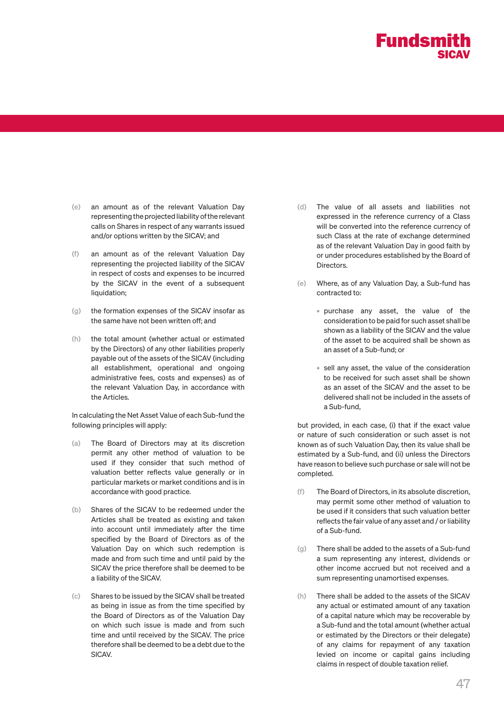

- (e) an amount as of the relevant Valuation Day representing the projected liability of the relevant calls on Shares in respect of any warrants issued and/or options written by the SICAV; and
- (f) an amount as of the relevant Valuation Day representing the projected liability of the SICAV in respect of costs and expenses to be incurred by the SICAV in the event of a subsequent liquidation:
- (g) the formation expenses of the SICAV insofar as the same have not been written off; and
- (h) the total amount (whether actual or estimated by the Directors) of any other liabilities properly payable out of the assets of the SICAV (including all establishment, operational and ongoing administrative fees, costs and expenses) as of the relevant Valuation Day, in accordance with the Articles.

In calculating the Net Asset Value of each Sub-fund the following principles will apply:

- (a) The Board of Directors may at its discretion permit any other method of valuation to be used if they consider that such method of valuation better reflects value generally or in particular markets or market conditions and is in accordance with good practice.
- (b) Shares of the SICAV to be redeemed under the Articles shall be treated as existing and taken into account until immediately after the time specified by the Board of Directors as of the Valuation Day on which such redemption is made and from such time and until paid by the SICAV the price therefore shall be deemed to be a liability of the SICAV.
- (c) Shares to be issued by the SICAV shall be treated as being in issue as from the time specified by the Board of Directors as of the Valuation Day on which such issue is made and from such time and until received by the SICAV. The price therefore shall be deemed to be a debt due to the **SICAV**
- (d) The value of all assets and liabilities not expressed in the reference currency of a Class will be converted into the reference currency of such Class at the rate of exchange determined as of the relevant Valuation Day in good faith by or under procedures established by the Board of Directors.
- (e) Where, as of any Valuation Day, a Sub-fund has contracted to:
	- purchase any asset, the value of the consideration to be paid for such asset shall be shown as a liability of the SICAV and the value of the asset to be acquired shall be shown as an asset of a Sub-fund; or
	- sell any asset, the value of the consideration to be received for such asset shall be shown as an asset of the SICAV and the asset to be delivered shall not be included in the assets of a Sub-fund,

but provided, in each case, (i) that if the exact value or nature of such consideration or such asset is not known as of such Valuation Day, then its value shall be estimated by a Sub-fund, and (ii) unless the Directors have reason to believe such purchase or sale will not be completed.

- (f) The Board of Directors, in its absolute discretion, may permit some other method of valuation to be used if it considers that such valuation better reflects the fair value of any asset and / or liability of a Sub-fund.
- $(a)$  There shall be added to the assets of a Sub-fund a sum representing any interest, dividends or other income accrued but not received and a sum representing unamortised expenses.
- (h) There shall be added to the assets of the SICAV any actual or estimated amount of any taxation of a capital nature which may be recoverable by a Sub-fund and the total amount (whether actual or estimated by the Directors or their delegate) of any claims for repayment of any taxation levied on income or capital gains including claims in respect of double taxation relief.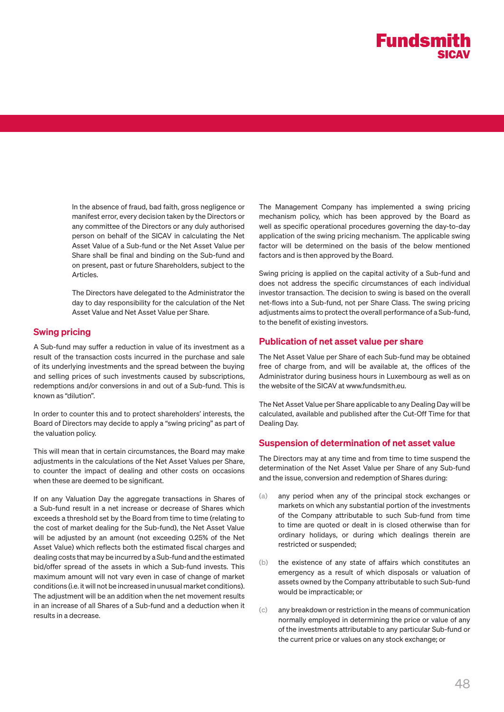In the absence of fraud, bad faith, gross negligence or manifest error, every decision taken by the Directors or any committee of the Directors or any duly authorised person on behalf of the SICAV in calculating the Net Asset Value of a Sub-fund or the Net Asset Value per Share shall be final and binding on the Sub-fund and on present, past or future Shareholders, subject to the Articles.

The Directors have delegated to the Administrator the day to day responsibility for the calculation of the Net Asset Value and Net Asset Value per Share.

#### Swing pricing

A Sub-fund may suffer a reduction in value of its investment as a result of the transaction costs incurred in the purchase and sale of its underlying investments and the spread between the buying and selling prices of such investments caused by subscriptions, redemptions and/or conversions in and out of a Sub-fund. This is known as "dilution".

In order to counter this and to protect shareholders' interests, the Board of Directors may decide to apply a "swing pricing" as part of the valuation policy.

This will mean that in certain circumstances, the Board may make adjustments in the calculations of the Net Asset Values per Share, to counter the impact of dealing and other costs on occasions when these are deemed to be significant.

If on any Valuation Day the aggregate transactions in Shares of a Sub-fund result in a net increase or decrease of Shares which exceeds a threshold set by the Board from time to time (relating to the cost of market dealing for the Sub-fund), the Net Asset Value will be adjusted by an amount (not exceeding 0.25% of the Net Asset Value) which reflects both the estimated fiscal charges and dealing costs that may be incurred by a Sub-fund and the estimated bid/offer spread of the assets in which a Sub-fund invests. This maximum amount will not vary even in case of change of market conditions (i.e. it will not be increased in unusual market conditions). The adjustment will be an addition when the net movement results in an increase of all Shares of a Sub-fund and a deduction when it results in a decrease.

The Management Company has implemented a swing pricing mechanism policy, which has been approved by the Board as well as specific operational procedures governing the day-to-day application of the swing pricing mechanism. The applicable swing factor will be determined on the basis of the below mentioned factors and is then approved by the Board.

Swing pricing is applied on the capital activity of a Sub-fund and does not address the specific circumstances of each individual investor transaction. The decision to swing is based on the overall net-flows into a Sub-fund, not per Share Class. The swing pricing adjustments aims to protect the overall performance of a Sub-fund, to the benefit of existing investors.

#### Publication of net asset value per share

The Net Asset Value per Share of each Sub-fund may be obtained free of charge from, and will be available at, the offices of the Administrator during business hours in Luxembourg as well as on the website of the SICAV at www.fundsmith.eu.

The Net Asset Value per Share applicable to any Dealing Day will be calculated, available and published after the Cut-Off Time for that Dealing Day.

#### Suspension of determination of net asset value

The Directors may at any time and from time to time suspend the determination of the Net Asset Value per Share of any Sub-fund and the issue, conversion and redemption of Shares during:

- (a) any period when any of the principal stock exchanges or markets on which any substantial portion of the investments of the Company attributable to such Sub-fund from time to time are quoted or dealt in is closed otherwise than for ordinary holidays, or during which dealings therein are restricted or suspended;
- (b) the existence of any state of affairs which constitutes an emergency as a result of which disposals or valuation of assets owned by the Company attributable to such Sub-fund would be impracticable; or
- any breakdown or restriction in the means of communication normally employed in determining the price or value of any of the investments attributable to any particular Sub-fund or the current price or values on any stock exchange; or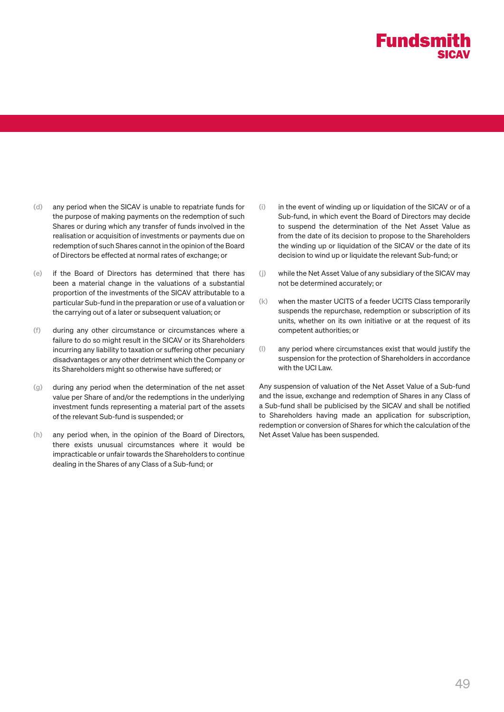- (d) any period when the SICAV is unable to repatriate funds for the purpose of making payments on the redemption of such Shares or during which any transfer of funds involved in the realisation or acquisition of investments or payments due on redemption of such Shares cannot in the opinion of the Board of Directors be effected at normal rates of exchange; or
- (e) if the Board of Directors has determined that there has been a material change in the valuations of a substantial proportion of the investments of the SICAV attributable to a particular Sub-fund in the preparation or use of a valuation or the carrying out of a later or subsequent valuation; or
- (f) during any other circumstance or circumstances where a failure to do so might result in the SICAV or its Shareholders incurring any liability to taxation or suffering other pecuniary disadvantages or any other detriment which the Company or its Shareholders might so otherwise have suffered; or
- (g) during any period when the determination of the net asset value per Share of and/or the redemptions in the underlying investment funds representing a material part of the assets of the relevant Sub-fund is suspended; or
- (h) any period when, in the opinion of the Board of Directors, there exists unusual circumstances where it would be impracticable or unfair towards the Shareholders to continue dealing in the Shares of any Class of a Sub-fund; or
- $(i)$  in the event of winding up or liquidation of the SICAV or of a Sub-fund, in which event the Board of Directors may decide to suspend the determination of the Net Asset Value as from the date of its decision to propose to the Shareholders the winding up or liquidation of the SICAV or the date of its decision to wind up or liquidate the relevant Sub-fund; or
- (j) while the Net Asset Value of any subsidiary of the SICAV may not be determined accurately; or
- (k) when the master UCITS of a feeder UCITS Class temporarily suspends the repurchase, redemption or subscription of its units, whether on its own initiative or at the request of its competent authorities; or
- (l) any period where circumstances exist that would justify the suspension for the protection of Shareholders in accordance with the UCI Law.

Any suspension of valuation of the Net Asset Value of a Sub-fund and the issue, exchange and redemption of Shares in any Class of a Sub-fund shall be publicised by the SICAV and shall be notified to Shareholders having made an application for subscription, redemption or conversion of Shares for which the calculation of the Net Asset Value has been suspended.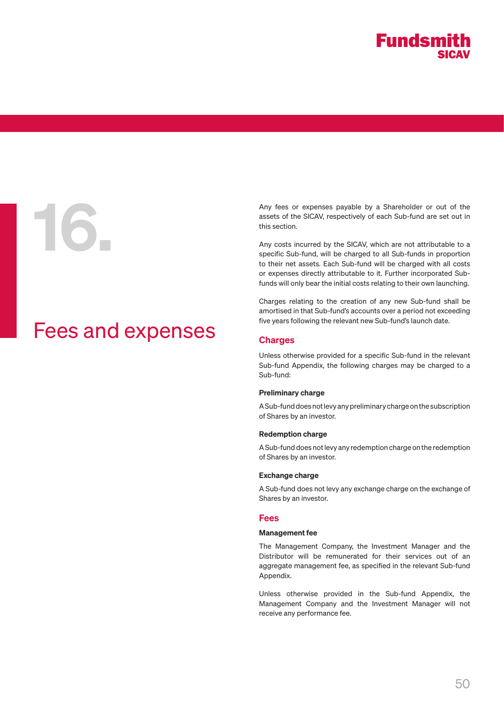

## Fees and expenses

Any fees or expenses payable by a Shareholder or out of the<br>assets of the SICAV, respectively of each Sub-fund are set out in<br>this section.<br>Any costs incurred by the SICAV, which are not attributable to a<br>specific Sub-fund assets of the SICAV, respectively of each Sub-fund are set out in this section.

Any costs incurred by the SICAV, which are not attributable to a specific Sub-fund, will be charged to all Sub-funds in proportion to their net assets. Each Sub-fund will be charged with all costs or expenses directly attributable to it. Further incorporated Subfunds will only bear the initial costs relating to their own launching.

Charges relating to the creation of any new Sub-fund shall be amortised in that Sub-fund's accounts over a period not exceeding five years following the relevant new Sub-fund's launch date.

#### Charges

Unless otherwise provided for a specific Sub-fund in the relevant Sub-fund Appendix, the following charges may be charged to a Sub-fund:

#### Preliminary charge

A Sub-fund does not levy any preliminary charge on the subscription of Shares by an investor.

#### Redemption charge

A Sub-fund does not levy any redemption charge on the redemption of Shares by an investor.

#### Exchange charge

A Sub-fund does not levy any exchange charge on the exchange of Shares by an investor.

#### Fees

#### Management fee

The Management Company, the Investment Manager and the Distributor will be remunerated for their services out of an aggregate management fee, as specified in the relevant Sub-fund Appendix.

Unless otherwise provided in the Sub-fund Appendix, the Management Company and the Investment Manager will not receive any performance fee.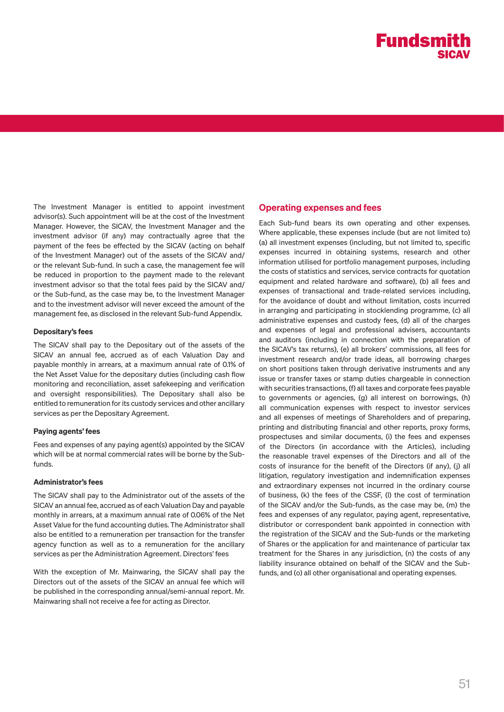The Investment Manager is entitled to appoint investment advisor(s). Such appointment will be at the cost of the Investment Manager. However, the SICAV, the Investment Manager and the investment advisor (if any) may contractually agree that the payment of the fees be effected by the SICAV (acting on behalf of the Investment Manager) out of the assets of the SICAV and/ or the relevant Sub-fund. In such a case, the management fee will be reduced in proportion to the payment made to the relevant investment advisor so that the total fees paid by the SICAV and/ or the Sub-fund, as the case may be, to the Investment Manager and to the investment advisor will never exceed the amount of the management fee, as disclosed in the relevant Sub-fund Appendix.

#### Depositary's fees

The SICAV shall pay to the Depositary out of the assets of the SICAV an annual fee, accrued as of each Valuation Day and payable monthly in arrears, at a maximum annual rate of 0.1% of the Net Asset Value for the depositary duties (including cash flow monitoring and reconciliation, asset safekeeping and verification and oversight responsibilities). The Depositary shall also be entitled to remuneration for its custody services and other ancillary services as per the Depositary Agreement.

#### Paying agents' fees

Fees and expenses of any paying agent(s) appointed by the SICAV which will be at normal commercial rates will be borne by the Subfunds.

#### Administrator's fees

The SICAV shall pay to the Administrator out of the assets of the SICAV an annual fee, accrued as of each Valuation Day and payable monthly in arrears, at a maximum annual rate of 0.06% of the Net Asset Value for the fund accounting duties. The Administrator shall also be entitled to a remuneration per transaction for the transfer agency function as well as to a remuneration for the ancillary services as per the Administration Agreement. Directors' fees

With the exception of Mr. Mainwaring, the SICAV shall pay the Directors out of the assets of the SICAV an annual fee which will be published in the corresponding annual/semi-annual report. Mr. Mainwaring shall not receive a fee for acting as Director.

#### Operating expenses and fees

Each Sub-fund bears its own operating and other expenses. Where applicable, these expenses include (but are not limited to) (a) all investment expenses (including, but not limited to, specific expenses incurred in obtaining systems, research and other information utilised for portfolio management purposes, including the costs of statistics and services, service contracts for quotation equipment and related hardware and software), (b) all fees and expenses of transactional and trade-related services including, for the avoidance of doubt and without limitation, costs incurred in arranging and participating in stocklending programme, (c) all administrative expenses and custody fees, (d) all of the charges and expenses of legal and professional advisers, accountants and auditors (including in connection with the preparation of the SICAV's tax returns), (e) all brokers' commissions, all fees for investment research and/or trade ideas, all borrowing charges on short positions taken through derivative instruments and any issue or transfer taxes or stamp duties chargeable in connection with securities transactions, (f) all taxes and corporate fees payable to governments or agencies, (g) all interest on borrowings, (h) all communication expenses with respect to investor services and all expenses of meetings of Shareholders and of preparing, printing and distributing financial and other reports, proxy forms, prospectuses and similar documents, (i) the fees and expenses of the Directors (in accordance with the Articles), including the reasonable travel expenses of the Directors and all of the costs of insurance for the benefit of the Directors (if any), (j) all litigation, regulatory investigation and indemnification expenses and extraordinary expenses not incurred in the ordinary course of business, (k) the fees of the CSSF, (l) the cost of termination of the SICAV and/or the Sub-funds, as the case may be, (m) the fees and expenses of any regulator, paying agent, representative, distributor or correspondent bank appointed in connection with the registration of the SICAV and the Sub-funds or the marketing of Shares or the application for and maintenance of particular tax treatment for the Shares in any jurisdiction, (n) the costs of any liability insurance obtained on behalf of the SICAV and the Subfunds, and (o) all other organisational and operating expenses.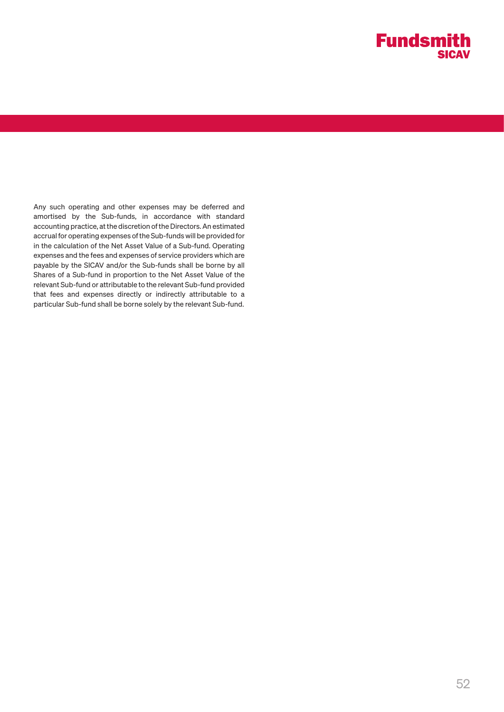Any such operating and other expenses may be deferred and amortised by the Sub-funds, in accordance with standard accounting practice, at the discretion of the Directors. An estimated accrual for operating expenses of the Sub-funds will be provided for in the calculation of the Net Asset Value of a Sub-fund. Operating expenses and the fees and expenses of service providers which are payable by the SICAV and/or the Sub-funds shall be borne by all Shares of a Sub-fund in proportion to the Net Asset Value of the relevant Sub-fund or attributable to the relevant Sub-fund provided that fees and expenses directly or indirectly attributable to a particular Sub-fund shall be borne solely by the relevant Sub-fund.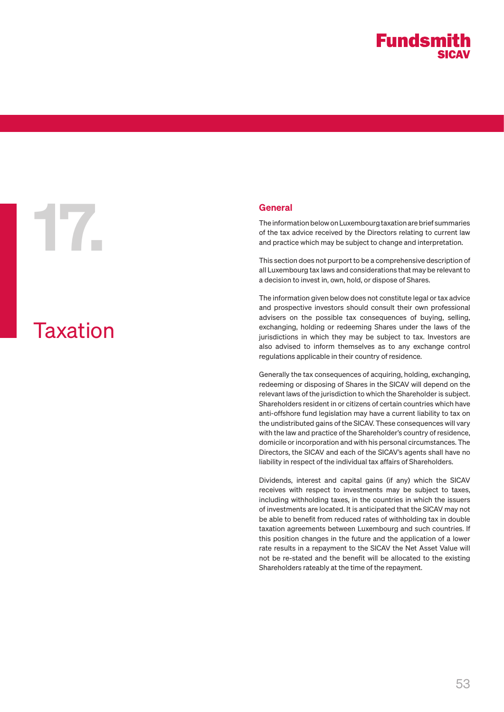# General<br>The inform<br>of the tax<br>and profit

# Taxation

The information below on Luxembourg taxation are brief summaries of the tax advice received by the Directors relating to current law and practice which may be subject to change and interpretation.

This section does not purport to be a comprehensive description of all Luxembourg tax laws and considerations that may be relevant to a decision to invest in, own, hold, or dispose of Shares.

The information given below does not constitute legal or tax advice and prospective investors should consult their own professional advisers on the possible tax consequences of buying, selling, exchanging, holding or redeeming Shares under the laws of the jurisdictions in which they may be subject to tax. Investors are also advised to inform themselves as to any exchange control regulations applicable in their country of residence.

Generally the tax consequences of acquiring, holding, exchanging, redeeming or disposing of Shares in the SICAV will depend on the relevant laws of the jurisdiction to which the Shareholder is subject. Shareholders resident in or citizens of certain countries which have anti-offshore fund legislation may have a current liability to tax on the undistributed gains of the SICAV. These consequences will vary with the law and practice of the Shareholder's country of residence, domicile or incorporation and with his personal circumstances. The Directors, the SICAV and each of the SICAV's agents shall have no liability in respect of the individual tax affairs of Shareholders.

Dividends, interest and capital gains (if any) which the SICAV receives with respect to investments may be subject to taxes, including withholding taxes, in the countries in which the issuers of investments are located. It is anticipated that the SICAV may not be able to benefit from reduced rates of withholding tax in double taxation agreements between Luxembourg and such countries. If this position changes in the future and the application of a lower rate results in a repayment to the SICAV the Net Asset Value will not be re-stated and the benefit will be allocated to the existing Shareholders rateably at the time of the repayment.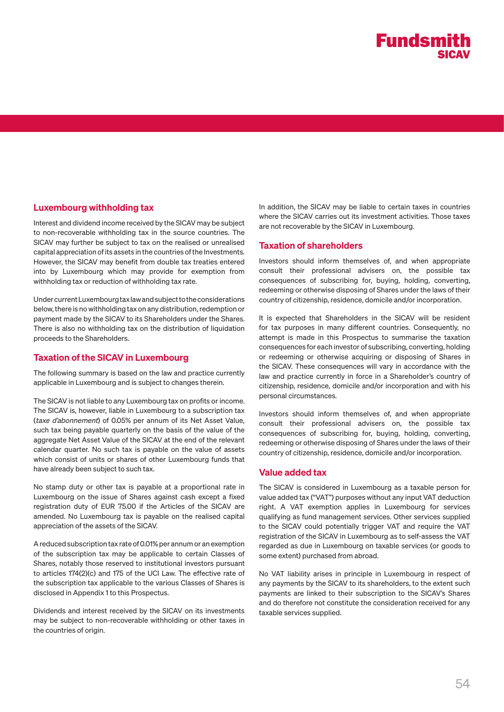

#### Luxembourg withholding tax

Interest and dividend income received by the SICAV may be subject to non-recoverable withholding tax in the source countries. The SICAV may further be subject to tax on the realised or unrealised capital appreciation of its assets in the countries of the Investments. However, the SICAV may benefit from double tax treaties entered into by Luxembourg which may provide for exemption from withholding tax or reduction of withholding tax rate.

Under current Luxembourg tax law and subject to the considerations below, there is no withholding tax on any distribution, redemption or payment made by the SICAV to its Shareholders under the Shares. There is also no withholding tax on the distribution of liquidation proceeds to the Shareholders.

#### Taxation of the SICAV in Luxembourg

The following summary is based on the law and practice currently applicable in Luxembourg and is subject to changes therein.

The SICAV is not liable to any Luxembourg tax on profits or income. The SICAV is, however, liable in Luxembourg to a subscription tax (taxe d'abonnement) of 0.05% per annum of its Net Asset Value, such tax being payable quarterly on the basis of the value of the aggregate Net Asset Value of the SICAV at the end of the relevant calendar quarter. No such tax is payable on the value of assets which consist of units or shares of other Luxembourg funds that have already been subject to such tax.

No stamp duty or other tax is payable at a proportional rate in Luxembourg on the issue of Shares against cash except a fixed registration duty of EUR 75.00 if the Articles of the SICAV are amended. No Luxembourg tax is payable on the realised capital appreciation of the assets of the SICAV.

A reduced subscription tax rate of 0.01% per annum or an exemption of the subscription tax may be applicable to certain Classes of Shares, notably those reserved to institutional investors pursuant to articles 174(2)(c) and 175 of the UCI Law. The effective rate of the subscription tax applicable to the various Classes of Shares is disclosed in Appendix 1 to this Prospectus.

Dividends and interest received by the SICAV on its investments may be subject to non-recoverable withholding or other taxes in the countries of origin.

In addition, the SICAV may be liable to certain taxes in countries where the SICAV carries out its investment activities. Those taxes are not recoverable by the SICAV in Luxembourg.

#### Taxation of shareholders

Investors should inform themselves of, and when appropriate consult their professional advisers on, the possible tax consequences of subscribing for, buying, holding, converting, redeeming or otherwise disposing of Shares under the laws of their country of citizenship, residence, domicile and/or incorporation.

It is expected that Shareholders in the SICAV will be resident for tax purposes in many different countries. Consequently, no attempt is made in this Prospectus to summarise the taxation consequences for each investor of subscribing, converting, holding or redeeming or otherwise acquiring or disposing of Shares in the SICAV. These consequences will vary in accordance with the law and practice currently in force in a Shareholder's country of citizenship, residence, domicile and/or incorporation and with his personal circumstances.

Investors should inform themselves of, and when appropriate consult their professional advisers on, the possible tax consequences of subscribing for, buying, holding, converting, redeeming or otherwise disposing of Shares under the laws of their country of citizenship, residence, domicile and/or incorporation.

#### Value added tax

The SICAV is considered in Luxembourg as a taxable person for value added tax ("VAT") purposes without any input VAT deduction right. A VAT exemption applies in Luxembourg for services qualifying as fund management services. Other services supplied to the SICAV could potentially trigger VAT and require the VAT registration of the SICAV in Luxembourg as to self-assess the VAT regarded as due in Luxembourg on taxable services (or goods to some extent) purchased from abroad.

No VAT liability arises in principle in Luxembourg in respect of any payments by the SICAV to its shareholders, to the extent such payments are linked to their subscription to the SICAV's Shares and do therefore not constitute the consideration received for any taxable services supplied.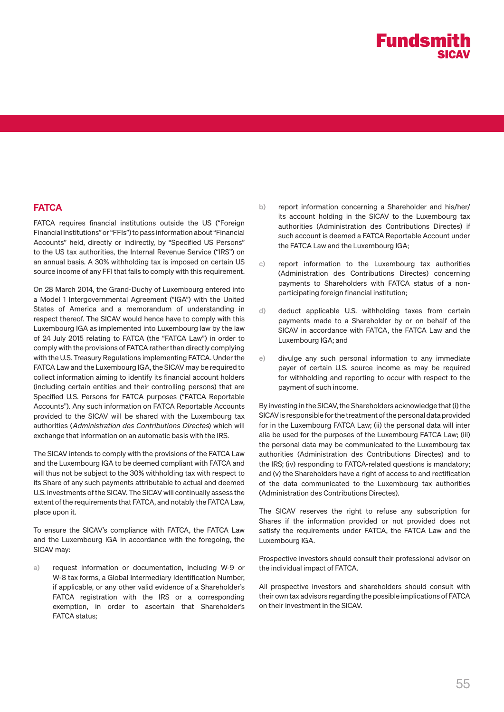#### **FATCA**

FATCA requires financial institutions outside the US ("Foreign Financial Institutions" or "FFIs") to pass information about "Financial Accounts" held, directly or indirectly, by "Specified US Persons" to the US tax authorities, the Internal Revenue Service ("IRS") on an annual basis. A 30% withholding tax is imposed on certain US source income of any FFI that fails to comply with this requirement.

On 28 March 2014, the Grand-Duchy of Luxembourg entered into a Model 1 Intergovernmental Agreement ("IGA") with the United States of America and a memorandum of understanding in respect thereof. The SICAV would hence have to comply with this Luxembourg IGA as implemented into Luxembourg law by the law of 24 July 2015 relating to FATCA (the "FATCA Law") in order to comply with the provisions of FATCA rather than directly complying with the U.S. Treasury Regulations implementing FATCA. Under the FATCA Law and the Luxembourg IGA, the SICAV may be required to collect information aiming to identify its financial account holders (including certain entities and their controlling persons) that are Specified U.S. Persons for FATCA purposes ("FATCA Reportable Accounts"). Any such information on FATCA Reportable Accounts provided to the SICAV will be shared with the Luxembourg tax authorities (Administration des Contributions Directes) which will exchange that information on an automatic basis with the IRS.

The SICAV intends to comply with the provisions of the FATCA Law and the Luxembourg IGA to be deemed compliant with FATCA and will thus not be subject to the 30% withholding tax with respect to its Share of any such payments attributable to actual and deemed U.S. investments of the SICAV. The SICAV will continually assess the extent of the requirements that FATCA, and notably the FATCA Law, place upon it.

To ensure the SICAV's compliance with FATCA, the FATCA Law and the Luxembourg IGA in accordance with the foregoing, the SICAV may:

a) request information or documentation, including W-9 or W-8 tax forms, a Global Intermediary Identification Number, if applicable, or any other valid evidence of a Shareholder's FATCA registration with the IRS or a corresponding exemption, in order to ascertain that Shareholder's FATCA status;

- b) report information concerning a Shareholder and his/her/ its account holding in the SICAV to the Luxembourg tax authorities (Administration des Contributions Directes) if such account is deemed a FATCA Reportable Account under the FATCA Law and the Luxembourg IGA;
- c) report information to the Luxembourg tax authorities (Administration des Contributions Directes) concerning payments to Shareholders with FATCA status of a nonparticipating foreign financial institution;
- d) deduct applicable U.S. withholding taxes from certain payments made to a Shareholder by or on behalf of the SICAV in accordance with FATCA, the FATCA Law and the Luxembourg IGA; and
- e) divulge any such personal information to any immediate payer of certain U.S. source income as may be required for withholding and reporting to occur with respect to the payment of such income.

By investing in the SICAV, the Shareholders acknowledge that (i) the SICAV is responsible for the treatment of the personal data provided for in the Luxembourg FATCA Law; (ii) the personal data will inter alia be used for the purposes of the Luxembourg FATCA Law; (iii) the personal data may be communicated to the Luxembourg tax authorities (Administration des Contributions Directes) and to the IRS; (iv) responding to FATCA-related questions is mandatory; and (v) the Shareholders have a right of access to and rectification of the data communicated to the Luxembourg tax authorities (Administration des Contributions Directes).

The SICAV reserves the right to refuse any subscription for Shares if the information provided or not provided does not satisfy the requirements under FATCA, the FATCA Law and the Luxembourg IGA.

Prospective investors should consult their professional advisor on the individual impact of FATCA.

All prospective investors and shareholders should consult with their own tax advisors regarding the possible implications of FATCA on their investment in the SICAV.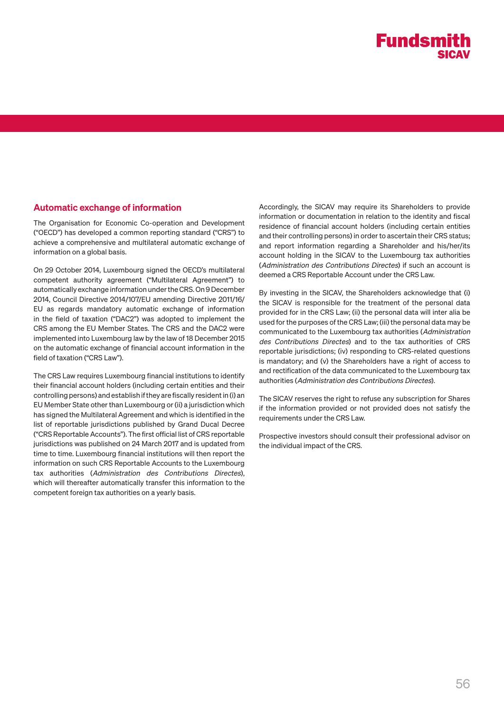

#### Automatic exchange of information

The Organisation for Economic Co-operation and Development ("OECD") has developed a common reporting standard ("CRS") to achieve a comprehensive and multilateral automatic exchange of information on a global basis.

On 29 October 2014, Luxembourg signed the OECD's multilateral competent authority agreement ("Multilateral Agreement") to automatically exchange information under the CRS. On 9 December 2014, Council Directive 2014/107/EU amending Directive 2011/16/ EU as regards mandatory automatic exchange of information in the field of taxation ("DAC2") was adopted to implement the CRS among the EU Member States. The CRS and the DAC2 were implemented into Luxembourg law by the law of 18 December 2015 on the automatic exchange of financial account information in the field of taxation ("CRS Law").

The CRS Law requires Luxembourg financial institutions to identify their financial account holders (including certain entities and their controlling persons) and establish if they are fiscally resident in (i) an EU Member State other than Luxembourg or (ii) a jurisdiction which has signed the Multilateral Agreement and which is identified in the list of reportable jurisdictions published by Grand Ducal Decree ("CRS Reportable Accounts"). The first official list of CRS reportable jurisdictions was published on 24 March 2017 and is updated from time to time. Luxembourg financial institutions will then report the information on such CRS Reportable Accounts to the Luxembourg tax authorities (Administration des Contributions Directes), which will thereafter automatically transfer this information to the competent foreign tax authorities on a yearly basis.

Accordingly, the SICAV may require its Shareholders to provide information or documentation in relation to the identity and fiscal residence of financial account holders (including certain entities and their controlling persons) in order to ascertain their CRS status; and report information regarding a Shareholder and his/her/its account holding in the SICAV to the Luxembourg tax authorities (Administration des Contributions Directes) if such an account is deemed a CRS Reportable Account under the CRS Law.

By investing in the SICAV, the Shareholders acknowledge that (i) the SICAV is responsible for the treatment of the personal data provided for in the CRS Law; (ii) the personal data will inter alia be used for the purposes of the CRS Law; (iii) the personal data may be communicated to the Luxembourg tax authorities (Administration des Contributions Directes) and to the tax authorities of CRS reportable jurisdictions; (iv) responding to CRS-related questions is mandatory; and (v) the Shareholders have a right of access to and rectification of the data communicated to the Luxembourg tax authorities (Administration des Contributions Directes).

The SICAV reserves the right to refuse any subscription for Shares if the information provided or not provided does not satisfy the requirements under the CRS Law.

Prospective investors should consult their professional advisor on the individual impact of the CRS.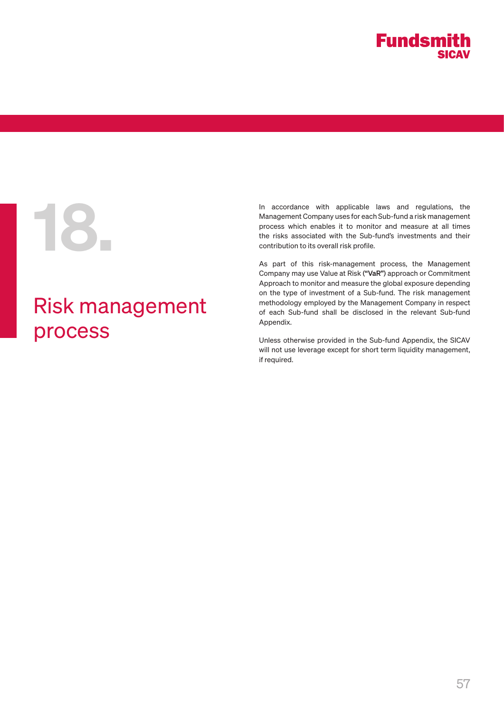

## Risk management process

In accordance with applicable laws and regulations, the<br>Management Company uses for each Sub-fund a risk management<br>process which enables it to monitor and measure at all times<br>the risks associated with the Sub-fund's inve Management Company uses for each Sub-fund a risk management process which enables it to monitor and measure at all times the risks associated with the Sub-fund's investments and their contribution to its overall risk profile.

> As part of this risk-management process, the Management Company may use Value at Risk ("VaR") approach or Commitment Approach to monitor and measure the global exposure depending on the type of investment of a Sub-fund. The risk management methodology employed by the Management Company in respect of each Sub-fund shall be disclosed in the relevant Sub-fund Appendix.

> Unless otherwise provided in the Sub-fund Appendix, the SICAV will not use leverage except for short term liquidity management, if required.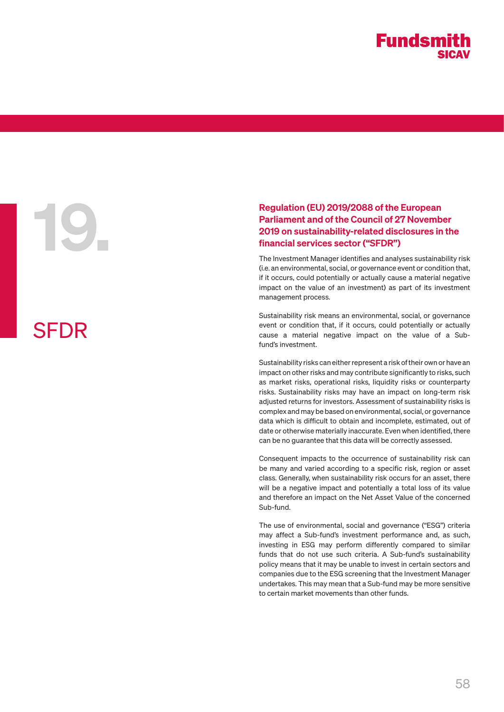SFDR

## Regulation (EU) 2019/2088 of the European<br>Parliament and of the Council of 27 Novemb<br>2019 on sustainability-related disclosures in<br>financial services sector ("SFDR")<br>The Investment Manager identifies and analyses sustainal Parliament and of the Council of 27 November 2019 on sustainability-related disclosures in the financial services sector ("SFDR")

The Investment Manager identifies and analyses sustainability risk (i.e. an environmental, social, or governance event or condition that, if it occurs, could potentially or actually cause a material negative impact on the value of an investment) as part of its investment management process.

Sustainability risk means an environmental, social, or governance event or condition that, if it occurs, could potentially or actually cause a material negative impact on the value of a Subfund's investment.

Sustainability risks can either represent a risk of their own or have an impact on other risks and may contribute significantly to risks, such as market risks, operational risks, liquidity risks or counterparty risks. Sustainability risks may have an impact on long-term risk adjusted returns for investors. Assessment of sustainability risks is complex and may be based on environmental, social, or governance data which is difficult to obtain and incomplete, estimated, out of date or otherwise materially inaccurate. Even when identified, there can be no guarantee that this data will be correctly assessed.

Consequent impacts to the occurrence of sustainability risk can be many and varied according to a specific risk, region or asset class. Generally, when sustainability risk occurs for an asset, there will be a negative impact and potentially a total loss of its value and therefore an impact on the Net Asset Value of the concerned Sub-fund.

The use of environmental, social and governance ("ESG") criteria may affect a Sub-fund's investment performance and, as such, investing in ESG may perform differently compared to similar funds that do not use such criteria. A Sub-fund's sustainability policy means that it may be unable to invest in certain sectors and companies due to the ESG screening that the Investment Manager undertakes. This may mean that a Sub-fund may be more sensitive to certain market movements than other funds.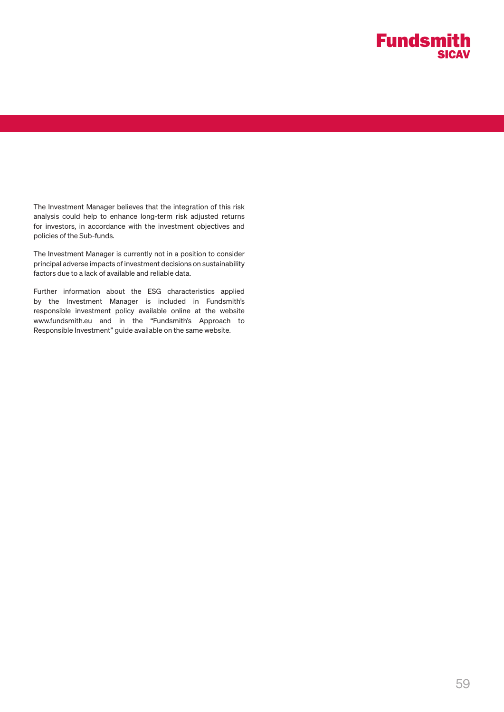

The Investment Manager believes that the integration of this risk analysis could help to enhance long-term risk adjusted returns for investors, in accordance with the investment objectives and policies of the Sub-funds.

The Investment Manager is currently not in a position to consider principal adverse impacts of investment decisions on sustainability factors due to a lack of available and reliable data.

Further information about the ESG characteristics applied by the Investment Manager is included in Fundsmith's responsible investment policy available online at the website www.fundsmith.eu and in the "Fundsmith's Approach to Responsible Investment" guide available on the same website.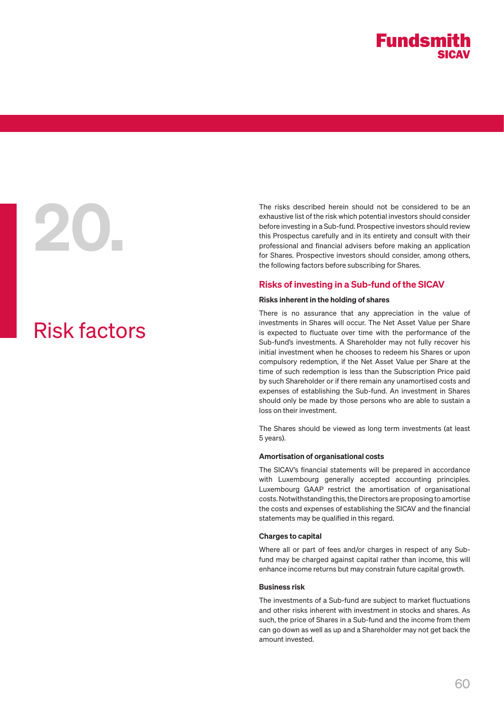# Risk factors

The risks described herein should not be considered to be an exhaustive list of the risk which potential investors should consider before investing in a Sub-fund. Prospective investors should review this Prospectus careful exhaustive list of the risk which potential investors should consider before investing in a Sub-fund. Prospective investors should review this Prospectus carefully and in its entirety and consult with their professional and financial advisers before making an application for Shares. Prospective investors should consider, among others, the following factors before subscribing for Shares.

#### Risks of investing in a Sub-fund of the SICAV

#### Risks inherent in the holding of shares

There is no assurance that any appreciation in the value of investments in Shares will occur. The Net Asset Value per Share is expected to fluctuate over time with the performance of the Sub-fund's investments. A Shareholder may not fully recover his initial investment when he chooses to redeem his Shares or upon compulsory redemption, if the Net Asset Value per Share at the time of such redemption is less than the Subscription Price paid by such Shareholder or if there remain any unamortised costs and expenses of establishing the Sub-fund. An investment in Shares should only be made by those persons who are able to sustain a loss on their investment.

The Shares should be viewed as long term investments (at least 5 years).

#### Amortisation of organisational costs

The SICAV's financial statements will be prepared in accordance with Luxembourg generally accepted accounting principles. Luxembourg GAAP restrict the amortisation of organisational costs. Notwithstanding this, the Directors are proposing to amortise the costs and expenses of establishing the SICAV and the financial statements may be qualified in this regard.

#### Charges to capital

Where all or part of fees and/or charges in respect of any Subfund may be charged against capital rather than income, this will enhance income returns but may constrain future capital growth.

#### Business risk

The investments of a Sub-fund are subject to market fluctuations and other risks inherent with investment in stocks and shares. As such, the price of Shares in a Sub-fund and the income from them can go down as well as up and a Shareholder may not get back the amount invested.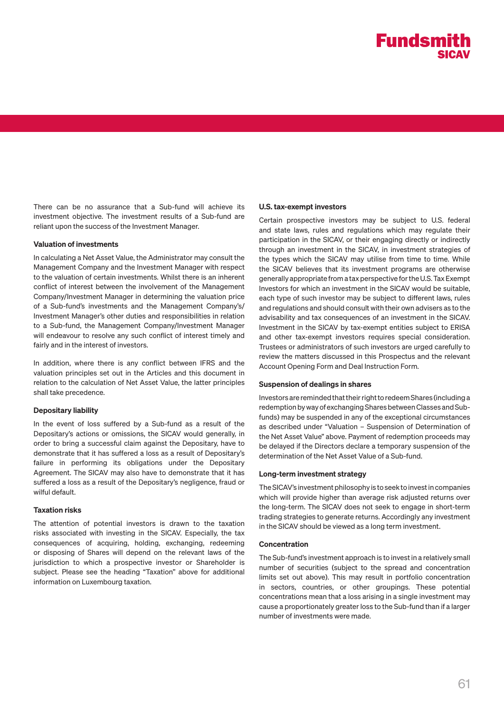There can be no assurance that a Sub-fund will achieve its investment objective. The investment results of a Sub-fund are reliant upon the success of the Investment Manager.

#### Valuation of investments

In calculating a Net Asset Value, the Administrator may consult the Management Company and the Investment Manager with respect to the valuation of certain investments. Whilst there is an inherent conflict of interest between the involvement of the Management Company/Investment Manager in determining the valuation price of a Sub-fund's investments and the Management Company's/ Investment Manager's other duties and responsibilities in relation to a Sub-fund, the Management Company/Investment Manager will endeavour to resolve any such conflict of interest timely and fairly and in the interest of investors.

In addition, where there is any conflict between IFRS and the valuation principles set out in the Articles and this document in relation to the calculation of Net Asset Value, the latter principles shall take precedence.

#### Depositary liability

In the event of loss suffered by a Sub-fund as a result of the Depositary's actions or omissions, the SICAV would generally, in order to bring a successful claim against the Depositary, have to demonstrate that it has suffered a loss as a result of Depositary's failure in performing its obligations under the Depositary Agreement. The SICAV may also have to demonstrate that it has suffered a loss as a result of the Depositary's negligence, fraud or wilful default.

#### Taxation risks

The attention of potential investors is drawn to the taxation risks associated with investing in the SICAV. Especially, the tax consequences of acquiring, holding, exchanging, redeeming or disposing of Shares will depend on the relevant laws of the jurisdiction to which a prospective investor or Shareholder is subject. Please see the heading "Taxation" above for additional information on Luxembourg taxation.

#### U.S. tax-exempt investors

Certain prospective investors may be subject to U.S. federal and state laws, rules and regulations which may regulate their participation in the SICAV, or their engaging directly or indirectly through an investment in the SICAV, in investment strategies of the types which the SICAV may utilise from time to time. While the SICAV believes that its investment programs are otherwise generally appropriate from a tax perspective for the U.S. Tax Exempt Investors for which an investment in the SICAV would be suitable, each type of such investor may be subject to different laws, rules and regulations and should consult with their own advisers as to the advisability and tax consequences of an investment in the SICAV. Investment in the SICAV by tax-exempt entities subject to ERISA and other tax-exempt investors requires special consideration. Trustees or administrators of such investors are urged carefully to review the matters discussed in this Prospectus and the relevant Account Opening Form and Deal Instruction Form.

#### Suspension of dealings in shares

Investors are reminded that their right to redeem Shares (including a redemption by way of exchanging Shares between Classes and Subfunds) may be suspended in any of the exceptional circumstances as described under "Valuation – Suspension of Determination of the Net Asset Value" above. Payment of redemption proceeds may be delayed if the Directors declare a temporary suspension of the determination of the Net Asset Value of a Sub-fund.

#### Long-term investment strategy

The SICAV's investment philosophy is to seek to invest in companies which will provide higher than average risk adjusted returns over the long-term. The SICAV does not seek to engage in short-term trading strategies to generate returns. Accordingly any investment in the SICAV should be viewed as a long term investment.

#### Concentration

The Sub-fund's investment approach is to invest in a relatively small number of securities (subject to the spread and concentration limits set out above). This may result in portfolio concentration in sectors, countries, or other groupings. These potential concentrations mean that a loss arising in a single investment may cause a proportionately greater loss to the Sub-fund than if a larger number of investments were made.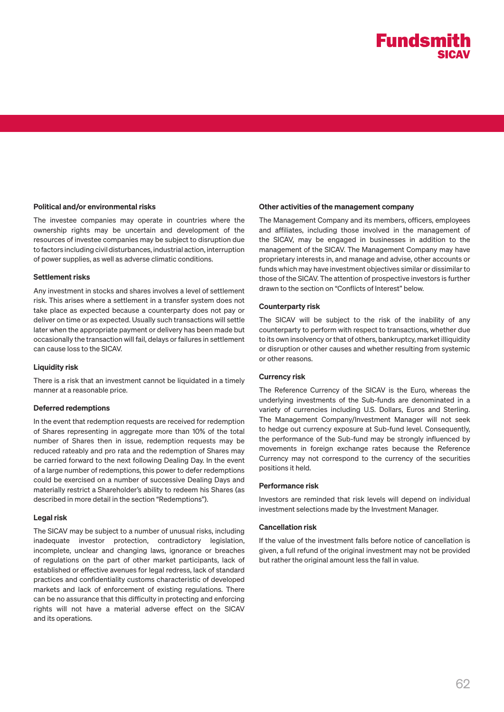#### Political and/or environmental risks

The investee companies may operate in countries where the ownership rights may be uncertain and development of the resources of investee companies may be subject to disruption due to factors including civil disturbances, industrial action, interruption of power supplies, as well as adverse climatic conditions.

#### Settlement risks

Any investment in stocks and shares involves a level of settlement risk. This arises where a settlement in a transfer system does not take place as expected because a counterparty does not pay or deliver on time or as expected. Usually such transactions will settle later when the appropriate payment or delivery has been made but occasionally the transaction will fail, delays or failures in settlement can cause loss to the SICAV.

#### Liquidity risk

There is a risk that an investment cannot be liquidated in a timely manner at a reasonable price.

#### Deferred redemptions

In the event that redemption requests are received for redemption of Shares representing in aggregate more than 10% of the total number of Shares then in issue, redemption requests may be reduced rateably and pro rata and the redemption of Shares may be carried forward to the next following Dealing Day. In the event of a large number of redemptions, this power to defer redemptions could be exercised on a number of successive Dealing Days and materially restrict a Shareholder's ability to redeem his Shares (as described in more detail in the section "Redemptions").

#### Legal risk

The SICAV may be subject to a number of unusual risks, including inadequate investor protection, contradictory legislation, incomplete, unclear and changing laws, ignorance or breaches of regulations on the part of other market participants, lack of established or effective avenues for legal redress, lack of standard practices and confidentiality customs characteristic of developed markets and lack of enforcement of existing regulations. There can be no assurance that this difficulty in protecting and enforcing rights will not have a material adverse effect on the SICAV and its operations.

#### Other activities of the management company

The Management Company and its members, officers, employees and affiliates, including those involved in the management of the SICAV, may be engaged in businesses in addition to the management of the SICAV. The Management Company may have proprietary interests in, and manage and advise, other accounts or funds which may have investment objectives similar or dissimilar to those of the SICAV. The attention of prospective investors is further drawn to the section on "Conflicts of Interest" below.

#### Counterparty risk

The SICAV will be subject to the risk of the inability of any counterparty to perform with respect to transactions, whether due to its own insolvency or that of others, bankruptcy, market illiquidity or disruption or other causes and whether resulting from systemic or other reasons.

#### Currency risk

The Reference Currency of the SICAV is the Euro, whereas the underlying investments of the Sub-funds are denominated in a variety of currencies including U.S. Dollars, Euros and Sterling. The Management Company/Investment Manager will not seek to hedge out currency exposure at Sub-fund level. Consequently, the performance of the Sub-fund may be strongly influenced by movements in foreign exchange rates because the Reference Currency may not correspond to the currency of the securities positions it held.

#### Performance risk

Investors are reminded that risk levels will depend on individual investment selections made by the Investment Manager.

#### Cancellation risk

If the value of the investment falls before notice of cancellation is given, a full refund of the original investment may not be provided but rather the original amount less the fall in value.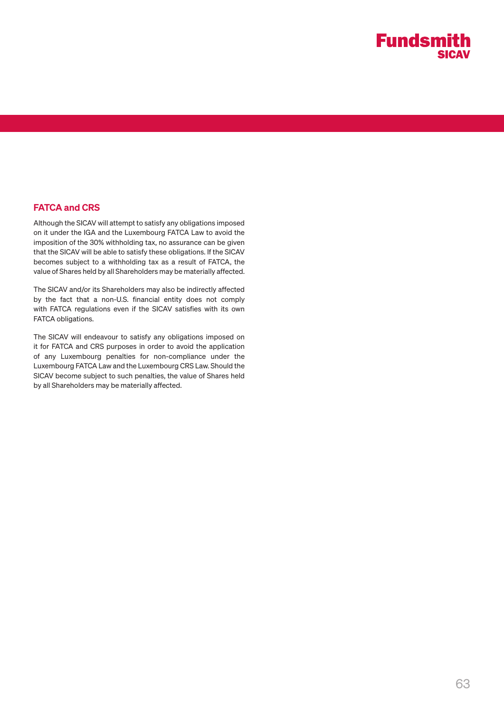

#### FATCA and CRS

Although the SICAV will attempt to satisfy any obligations imposed on it under the IGA and the Luxembourg FATCA Law to avoid the imposition of the 30% withholding tax, no assurance can be given that the SICAV will be able to satisfy these obligations. If the SICAV becomes subject to a withholding tax as a result of FATCA, the value of Shares held by all Shareholders may be materially affected.

The SICAV and/or its Shareholders may also be indirectly affected by the fact that a non-U.S. financial entity does not comply with FATCA regulations even if the SICAV satisfies with its own FATCA obligations.

The SICAV will endeavour to satisfy any obligations imposed on it for FATCA and CRS purposes in order to avoid the application of any Luxembourg penalties for non-compliance under the Luxembourg FATCA Law and the Luxembourg CRS Law. Should the SICAV become subject to such penalties, the value of Shares held by all Shareholders may be materially affected.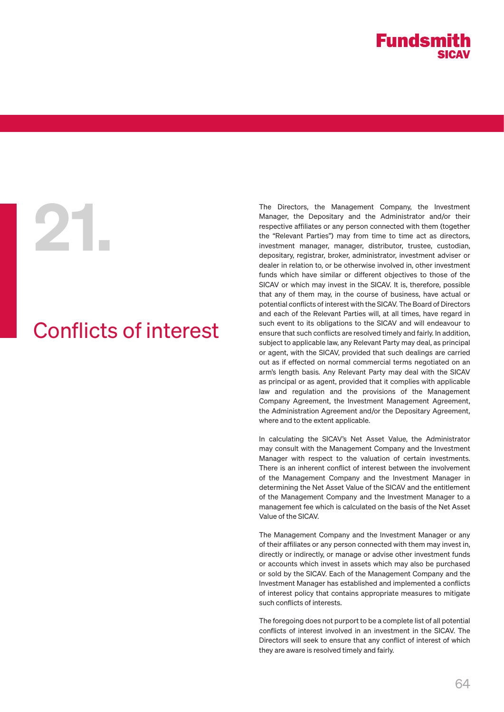

# 21.

# Conflicts of interest

The Directors, the Management Company, the Investment Manager, the Depositary and the Administrator and/or their respective affiliates or any person connected with them (together the "Relevant Parties") may from time to time act as directors, investment manager, manager, distributor, trustee, custodian, depositary, registrar, broker, administrator, investment adviser or dealer in relation to, or be otherwise involved in, other investment funds which have similar or different objectives to those of the SICAV or which may invest in the SICAV. It is, therefore, possible that any of them may, in the course of business, have actual or potential conflicts of interest with the SICAV. The Board of Directors and each of the Relevant Parties will, at all times, have regard in such event to its obligations to the SICAV and will endeavour to ensure that such conflicts are resolved timely and fairly. In addition, subject to applicable law, any Relevant Party may deal, as principal or agent, with the SICAV, provided that such dealings are carried out as if effected on normal commercial terms negotiated on an arm's length basis. Any Relevant Party may deal with the SICAV as principal or as agent, provided that it complies with applicable law and regulation and the provisions of the Management Company Agreement, the Investment Management Agreement, the Administration Agreement and/or the Depositary Agreement, where and to the extent applicable.

In calculating the SICAV's Net Asset Value, the Administrator may consult with the Management Company and the Investment Manager with respect to the valuation of certain investments. There is an inherent conflict of interest between the involvement of the Management Company and the Investment Manager in determining the Net Asset Value of the SICAV and the entitlement of the Management Company and the Investment Manager to a management fee which is calculated on the basis of the Net Asset Value of the SICAV.

The Management Company and the Investment Manager or any of their affiliates or any person connected with them may invest in, directly or indirectly, or manage or advise other investment funds or accounts which invest in assets which may also be purchased or sold by the SICAV. Each of the Management Company and the Investment Manager has established and implemented a conflicts of interest policy that contains appropriate measures to mitigate such conflicts of interests.

The foregoing does not purport to be a complete list of all potential conflicts of interest involved in an investment in the SICAV. The Directors will seek to ensure that any conflict of interest of which they are aware is resolved timely and fairly.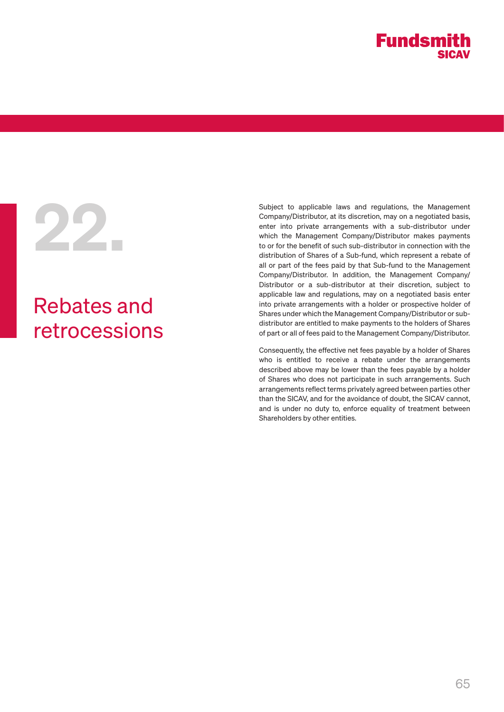

# 22.

# Rebates and retrocessions

Subject to applicable laws and regulations, the Management Company/Distributor, at its discretion, may on a negotiated basis, enter into private arrangements with a sub-distributor under which the Management Company/Distributor makes payments to or for the benefit of such sub-distributor in connection with the distribution of Shares of a Sub-fund, which represent a rebate of all or part of the fees paid by that Sub-fund to the Management Company/Distributor. In addition, the Management Company/ Distributor or a sub-distributor at their discretion, subject to applicable law and regulations, may on a negotiated basis enter into private arrangements with a holder or prospective holder of Shares under which the Management Company/Distributor or subdistributor are entitled to make payments to the holders of Shares of part or all of fees paid to the Management Company/Distributor.

Consequently, the effective net fees payable by a holder of Shares who is entitled to receive a rebate under the arrangements described above may be lower than the fees payable by a holder of Shares who does not participate in such arrangements. Such arrangements reflect terms privately agreed between parties other than the SICAV, and for the avoidance of doubt, the SICAV cannot, and is under no duty to, enforce equality of treatment between Shareholders by other entities.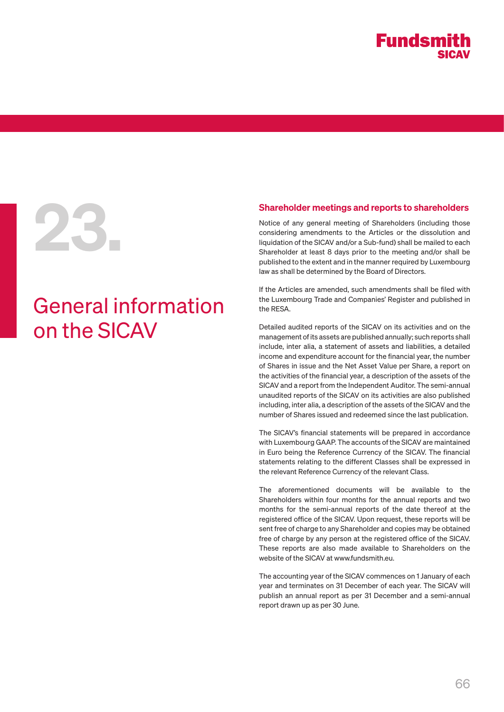# General information on the SICAV

**23. Shareholder meetings and reports to shareholders**<br>Notice of any general meeting of Shareholders (including those<br>considering amendments to the Articles or the dissolution and<br>liquidation of the SICAV and/or a Sub-fund Notice of any general meeting of Shareholders (including those considering amendments to the Articles or the dissolution and liquidation of the SICAV and/or a Sub-fund) shall be mailed to each Shareholder at least 8 days prior to the meeting and/or shall be published to the extent and in the manner required by Luxembourg law as shall be determined by the Board of Directors.

> If the Articles are amended, such amendments shall be filed with the Luxembourg Trade and Companies' Register and published in the RESA.

> Detailed audited reports of the SICAV on its activities and on the management of its assets are published annually; such reports shall include, inter alia, a statement of assets and liabilities, a detailed income and expenditure account for the financial year, the number of Shares in issue and the Net Asset Value per Share, a report on the activities of the financial year, a description of the assets of the SICAV and a report from the Independent Auditor. The semi-annual unaudited reports of the SICAV on its activities are also published including, inter alia, a description of the assets of the SICAV and the number of Shares issued and redeemed since the last publication.

> The SICAV's financial statements will be prepared in accordance with Luxembourg GAAP. The accounts of the SICAV are maintained in Euro being the Reference Currency of the SICAV. The financial statements relating to the different Classes shall be expressed in the relevant Reference Currency of the relevant Class.

> The aforementioned documents will be available to the Shareholders within four months for the annual reports and two months for the semi-annual reports of the date thereof at the registered office of the SICAV. Upon request, these reports will be sent free of charge to any Shareholder and copies may be obtained free of charge by any person at the registered office of the SICAV. These reports are also made available to Shareholders on the website of the SICAV at www.fundsmith.eu.

> The accounting year of the SICAV commences on 1 January of each year and terminates on 31 December of each year. The SICAV will publish an annual report as per 31 December and a semi-annual report drawn up as per 30 June.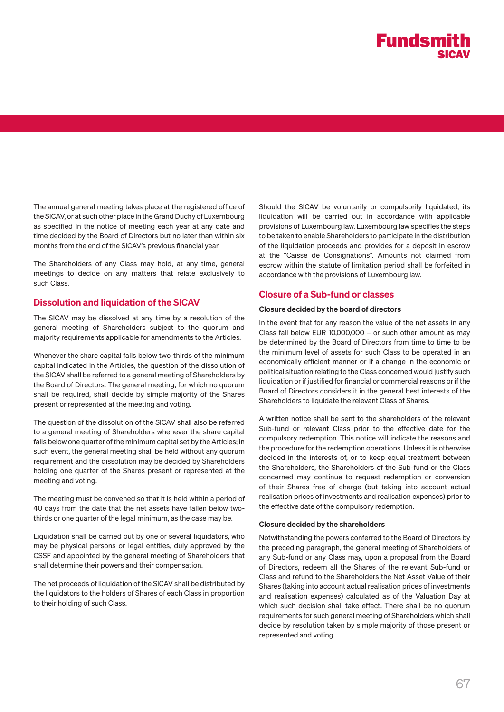

The annual general meeting takes place at the registered office of the SICAV, or at such other place in the Grand Duchy of Luxembourg as specified in the notice of meeting each year at any date and time decided by the Board of Directors but no later than within six months from the end of the SICAV's previous financial year.

The Shareholders of any Class may hold, at any time, general meetings to decide on any matters that relate exclusively to such Class.

#### Dissolution and liquidation of the SICAV

The SICAV may be dissolved at any time by a resolution of the general meeting of Shareholders subject to the quorum and majority requirements applicable for amendments to the Articles.

Whenever the share capital falls below two-thirds of the minimum capital indicated in the Articles, the question of the dissolution of the SICAV shall be referred to a general meeting of Shareholders by the Board of Directors. The general meeting, for which no quorum shall be required, shall decide by simple majority of the Shares present or represented at the meeting and voting.

The question of the dissolution of the SICAV shall also be referred to a general meeting of Shareholders whenever the share capital falls below one quarter of the minimum capital set by the Articles; in such event, the general meeting shall be held without any quorum requirement and the dissolution may be decided by Shareholders holding one quarter of the Shares present or represented at the meeting and voting.

The meeting must be convened so that it is held within a period of 40 days from the date that the net assets have fallen below twothirds or one quarter of the legal minimum, as the case may be.

Liquidation shall be carried out by one or several liquidators, who may be physical persons or legal entities, duly approved by the CSSF and appointed by the general meeting of Shareholders that shall determine their powers and their compensation.

The net proceeds of liquidation of the SICAV shall be distributed by the liquidators to the holders of Shares of each Class in proportion to their holding of such Class.

Should the SICAV be voluntarily or compulsorily liquidated, its liquidation will be carried out in accordance with applicable provisions of Luxembourg law. Luxembourg law specifies the steps to be taken to enable Shareholders to participate in the distribution of the liquidation proceeds and provides for a deposit in escrow at the "Caisse de Consignations". Amounts not claimed from escrow within the statute of limitation period shall be forfeited in accordance with the provisions of Luxembourg law.

#### Closure of a Sub-fund or classes

#### Closure decided by the board of directors

In the event that for any reason the value of the net assets in any Class fall below EUR 10,000,000 – or such other amount as may be determined by the Board of Directors from time to time to be the minimum level of assets for such Class to be operated in an economically efficient manner or if a change in the economic or political situation relating to the Class concerned would justify such liquidation or if justified for financial or commercial reasons or if the Board of Directors considers it in the general best interests of the Shareholders to liquidate the relevant Class of Shares.

A written notice shall be sent to the shareholders of the relevant Sub-fund or relevant Class prior to the effective date for the compulsory redemption. This notice will indicate the reasons and the procedure for the redemption operations. Unless it is otherwise decided in the interests of, or to keep equal treatment between the Shareholders, the Shareholders of the Sub-fund or the Class concerned may continue to request redemption or conversion of their Shares free of charge (but taking into account actual realisation prices of investments and realisation expenses) prior to the effective date of the compulsory redemption.

#### Closure decided by the shareholders

Notwithstanding the powers conferred to the Board of Directors by the preceding paragraph, the general meeting of Shareholders of any Sub-fund or any Class may, upon a proposal from the Board of Directors, redeem all the Shares of the relevant Sub-fund or Class and refund to the Shareholders the Net Asset Value of their Shares (taking into account actual realisation prices of investments and realisation expenses) calculated as of the Valuation Day at which such decision shall take effect. There shall be no quorum requirements for such general meeting of Shareholders which shall decide by resolution taken by simple majority of those present or represented and voting.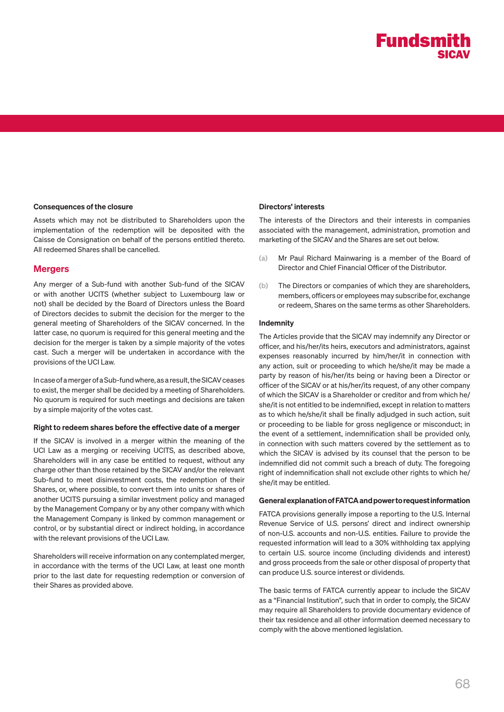#### Consequences of the closure

Assets which may not be distributed to Shareholders upon the implementation of the redemption will be deposited with the Caisse de Consignation on behalf of the persons entitled thereto. All redeemed Shares shall be cancelled.

#### **Mergers**

Any merger of a Sub-fund with another Sub-fund of the SICAV or with another UCITS (whether subject to Luxembourg law or not) shall be decided by the Board of Directors unless the Board of Directors decides to submit the decision for the merger to the general meeting of Shareholders of the SICAV concerned. In the latter case, no quorum is required for this general meeting and the decision for the merger is taken by a simple majority of the votes cast. Such a merger will be undertaken in accordance with the provisions of the UCI Law.

In case of a merger of a Sub-fund where, as a result, the SICAV ceases to exist, the merger shall be decided by a meeting of Shareholders. No quorum is required for such meetings and decisions are taken by a simple majority of the votes cast.

#### Right to redeem shares before the effective date of a merger

If the SICAV is involved in a merger within the meaning of the UCI Law as a merging or receiving UCITS, as described above, Shareholders will in any case be entitled to request, without any charge other than those retained by the SICAV and/or the relevant Sub-fund to meet disinvestment costs, the redemption of their Shares, or, where possible, to convert them into units or shares of another UCITS pursuing a similar investment policy and managed by the Management Company or by any other company with which the Management Company is linked by common management or control, or by substantial direct or indirect holding, in accordance with the relevant provisions of the UCI Law.

Shareholders will receive information on any contemplated merger, in accordance with the terms of the UCI Law, at least one month prior to the last date for requesting redemption or conversion of their Shares as provided above.

#### Directors' interests

The interests of the Directors and their interests in companies associated with the management, administration, promotion and marketing of the SICAV and the Shares are set out below.

- (a) Mr Paul Richard Mainwaring is a member of the Board of Director and Chief Financial Officer of the Distributor.
- (b) The Directors or companies of which they are shareholders, members, officers or employees may subscribe for, exchange or redeem, Shares on the same terms as other Shareholders.

#### Indemnity

The Articles provide that the SICAV may indemnify any Director or officer, and his/her/its heirs, executors and administrators, against expenses reasonably incurred by him/her/it in connection with any action, suit or proceeding to which he/she/it may be made a party by reason of his/her/its being or having been a Director or officer of the SICAV or at his/her/its request, of any other company of which the SICAV is a Shareholder or creditor and from which he/ she/it is not entitled to be indemnified, except in relation to matters as to which he/she/it shall be finally adjudged in such action, suit or proceeding to be liable for gross negligence or misconduct; in the event of a settlement, indemnification shall be provided only, in connection with such matters covered by the settlement as to which the SICAV is advised by its counsel that the person to be indemnified did not commit such a breach of duty. The foregoing right of indemnification shall not exclude other rights to which he/ she/it may be entitled.

#### General explanation of FATCA and power to request information

FATCA provisions generally impose a reporting to the U.S. Internal Revenue Service of U.S. persons' direct and indirect ownership of non-U.S. accounts and non-U.S. entities. Failure to provide the requested information will lead to a 30% withholding tax applying to certain U.S. source income (including dividends and interest) and gross proceeds from the sale or other disposal of property that can produce U.S. source interest or dividends.

The basic terms of FATCA currently appear to include the SICAV as a "Financial Institution", such that in order to comply, the SICAV may require all Shareholders to provide documentary evidence of their tax residence and all other information deemed necessary to comply with the above mentioned legislation.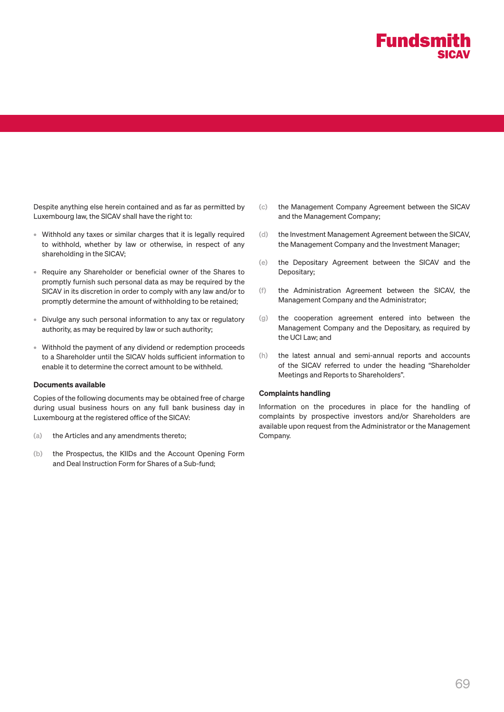

Despite anything else herein contained and as far as permitted by Luxembourg law, the SICAV shall have the right to:

- Withhold any taxes or similar charges that it is legally required to withhold, whether by law or otherwise, in respect of any shareholding in the SICAV;
- Require any Shareholder or beneficial owner of the Shares to promptly furnish such personal data as may be required by the SICAV in its discretion in order to comply with any law and/or to promptly determine the amount of withholding to be retained;
- Divulge any such personal information to any tax or regulatory authority, as may be required by law or such authority;
- Withhold the payment of any dividend or redemption proceeds to a Shareholder until the SICAV holds sufficient information to enable it to determine the correct amount to be withheld.

#### Documents available

Copies of the following documents may be obtained free of charge during usual business hours on any full bank business day in Luxembourg at the registered office of the SICAV:

- (a) the Articles and any amendments thereto;
- (b) the Prospectus, the KIIDs and the Account Opening Form and Deal Instruction Form for Shares of a Sub-fund;
- (c) the Management Company Agreement between the SICAV and the Management Company;
- (d) the Investment Management Agreement between the SICAV, the Management Company and the Investment Manager;
- (e) the Depositary Agreement between the SICAV and the Depositary;
- (f) the Administration Agreement between the SICAV, the Management Company and the Administrator;
- (g) the cooperation agreement entered into between the Management Company and the Depositary, as required by the UCI Law; and
- (h) the latest annual and semi-annual reports and accounts of the SICAV referred to under the heading "Shareholder Meetings and Reports to Shareholders".

#### Complaints handling

Information on the procedures in place for the handling of complaints by prospective investors and/or Shareholders are available upon request from the Administrator or the Management Company.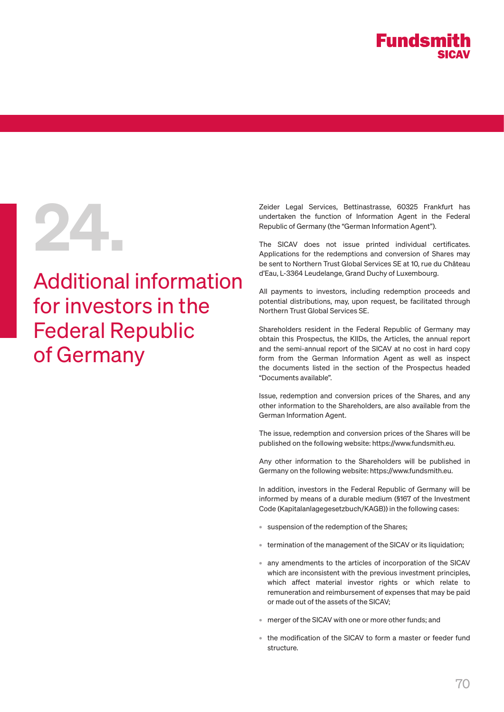

# Additional information for investors in the Federal Republic of Germany

Zeider Legal Services, Bettinastrasse, 60325 Frankfurt has<br>undertaken the function of Information Agent in the Federal<br>Republic of Germany (the "German Information Agent").<br>The SICAV does not issue printed individual certi undertaken the function of Information Agent in the Federal Republic of Germany (the "German Information Agent").

The SICAV does not issue printed individual certificates. Applications for the redemptions and conversion of Shares may be sent to Northern Trust Global Services SE at 10, rue du Château d'Eau, L-3364 Leudelange, Grand Duchy of Luxembourg.

All payments to investors, including redemption proceeds and potential distributions, may, upon request, be facilitated through Northern Trust Global Services SE.

Shareholders resident in the Federal Republic of Germany may obtain this Prospectus, the KIIDs, the Articles, the annual report and the semi-annual report of the SICAV at no cost in hard copy form from the German Information Agent as well as inspect the documents listed in the section of the Prospectus headed "Documents available".

Issue, redemption and conversion prices of the Shares, and any other information to the Shareholders, are also available from the German Information Agent.

The issue, redemption and conversion prices of the Shares will be published on the following website: https://www.fundsmith.eu.

Any other information to the Shareholders will be published in Germany on the following website: https://www.fundsmith.eu.

In addition, investors in the Federal Republic of Germany will be informed by means of a durable medium (§167 of the Investment Code (Kapitalanlagegesetzbuch/KAGB)) in the following cases:

- suspension of the redemption of the Shares;
- termination of the management of the SICAV or its liquidation;
- any amendments to the articles of incorporation of the SICAV which are inconsistent with the previous investment principles, which affect material investor rights or which relate to remuneration and reimbursement of expenses that may be paid or made out of the assets of the SICAV;
- merger of the SICAV with one or more other funds; and
- the modification of the SICAV to form a master or feeder fund structure.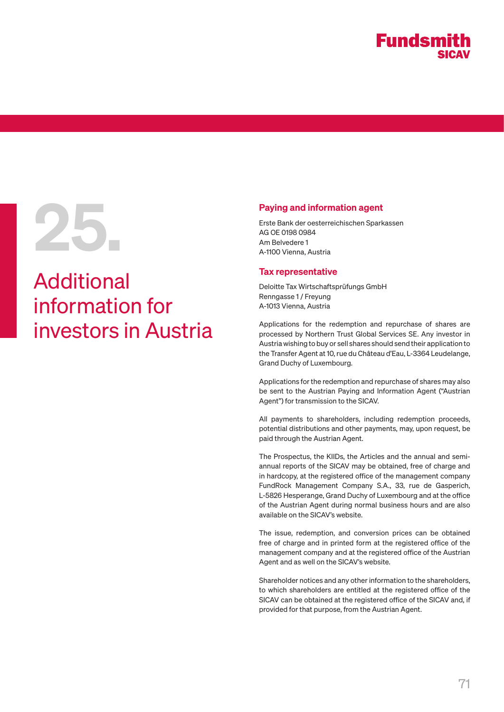# Paying and information agent<br>Erste Bank der oesterreichischen Sparl<br>AG OE 0198 0984<br>Am Belvedere 1<br>A-1100 Vienna, Austria

# Additional information for investors in Austria

Erste Bank der oesterreichischen Sparkassen AG OE 0198 0984 Am Belvedere 1 A-1100 Vienna, Austria

#### Tax representative

Deloitte Tax Wirtschaftsprüfungs GmbH Renngasse 1 / Freyung A-1013 Vienna, Austria

Applications for the redemption and repurchase of shares are processed by Northern Trust Global Services SE. Any investor in Austria wishing to buy or sell shares should send their application to the Transfer Agent at 10, rue du Château d'Eau, L-3364 Leudelange, Grand Duchy of Luxembourg.

Applications for the redemption and repurchase of shares may also be sent to the Austrian Paying and Information Agent ("Austrian Agent") for transmission to the SICAV.

All payments to shareholders, including redemption proceeds, potential distributions and other payments, may, upon request, be paid through the Austrian Agent.

The Prospectus, the KIIDs, the Articles and the annual and semiannual reports of the SICAV may be obtained, free of charge and in hardcopy, at the registered office of the management company FundRock Management Company S.A., 33, rue de Gasperich, L-5826 Hesperange, Grand Duchy of Luxembourg and at the office of the Austrian Agent during normal business hours and are also available on the SICAV's website.

The issue, redemption, and conversion prices can be obtained free of charge and in printed form at the registered office of the management company and at the registered office of the Austrian Agent and as well on the SICAV's website.

Shareholder notices and any other information to the shareholders, to which shareholders are entitled at the registered office of the SICAV can be obtained at the registered office of the SICAV and, if provided for that purpose, from the Austrian Agent.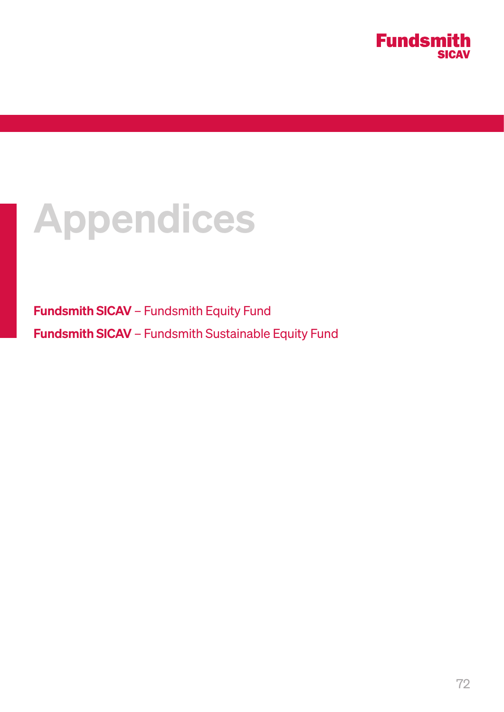

# Appendices

Fundsmith SICAV – Fundsmith Equity Fund Fundsmith SICAV – Fundsmith Sustainable Equity Fund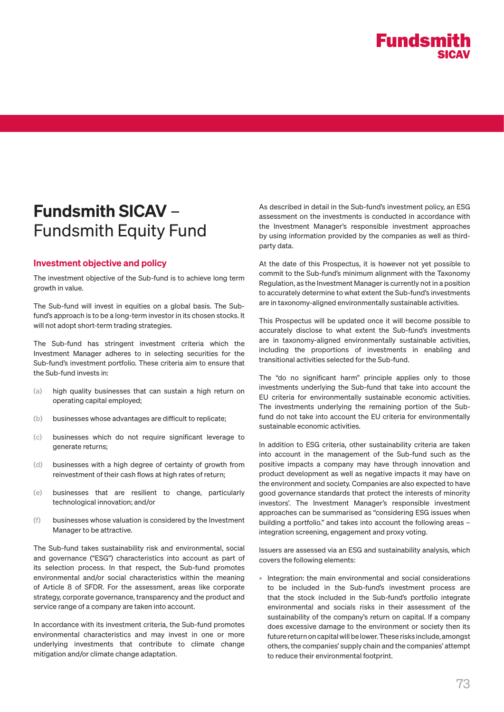

# Fundsmith SICAV – Fundsmith Equity Fund

### Investment objective and policy

The investment objective of the Sub-fund is to achieve long term growth in value.

The Sub-fund will invest in equities on a global basis. The Subfund's approach is to be a long-term investor in its chosen stocks. It will not adopt short-term trading strategies.

The Sub-fund has stringent investment criteria which the Investment Manager adheres to in selecting securities for the Sub-fund's investment portfolio. These criteria aim to ensure that the Sub-fund invests in:

- (a) high quality businesses that can sustain a high return on operating capital employed;
- (b) businesses whose advantages are difficult to replicate;
- (c) businesses which do not require significant leverage to generate returns;
- (d) businesses with a high degree of certainty of growth from reinvestment of their cash flows at high rates of return;
- (e) businesses that are resilient to change, particularly technological innovation; and/or
- (f) businesses whose valuation is considered by the Investment Manager to be attractive.

The Sub-fund takes sustainability risk and environmental, social and governance ("ESG") characteristics into account as part of its selection process. In that respect, the Sub-fund promotes environmental and/or social characteristics within the meaning of Article 8 of SFDR. For the assessment, areas like corporate strategy, corporate governance, transparency and the product and service range of a company are taken into account.

In accordance with its investment criteria, the Sub-fund promotes environmental characteristics and may invest in one or more underlying investments that contribute to climate change mitigation and/or climate change adaptation.

As described in detail in the Sub-fund's investment policy, an ESG assessment on the investments is conducted in accordance with the Investment Manager's responsible investment approaches by using information provided by the companies as well as thirdparty data.

At the date of this Prospectus, it is however not yet possible to commit to the Sub-fund's minimum alignment with the Taxonomy Regulation, as the Investment Manager is currently not in a position to accurately determine to what extent the Sub-fund's investments are in taxonomy-aligned environmentally sustainable activities.

This Prospectus will be updated once it will become possible to accurately disclose to what extent the Sub-fund's investments are in taxonomy-aligned environmentally sustainable activities, including the proportions of investments in enabling and transitional activities selected for the Sub-fund.

The "do no significant harm" principle applies only to those investments underlying the Sub-fund that take into account the EU criteria for environmentally sustainable economic activities. The investments underlying the remaining portion of the Subfund do not take into account the EU criteria for environmentally sustainable economic activities.

In addition to ESG criteria, other sustainability criteria are taken into account in the management of the Sub-fund such as the positive impacts a company may have through innovation and product development as well as negative impacts it may have on the environment and society. Companies are also expected to have good governance standards that protect the interests of minority investors'. The Investment Manager's responsible investment approaches can be summarised as "considering ESG issues when building a portfolio." and takes into account the following areas – integration screening, engagement and proxy voting.

Issuers are assessed via an ESG and sustainability analysis, which covers the following elements:

• Integration: the main environmental and social considerations to be included in the Sub-fund's investment process are that the stock included in the Sub-fund's portfolio integrate environmental and socials risks in their assessment of the sustainability of the company's return on capital. If a company does excessive damage to the environment or society then its future return on capital will be lower. These risks include, amongst others, the companies' supply chain and the companies' attempt to reduce their environmental footprint.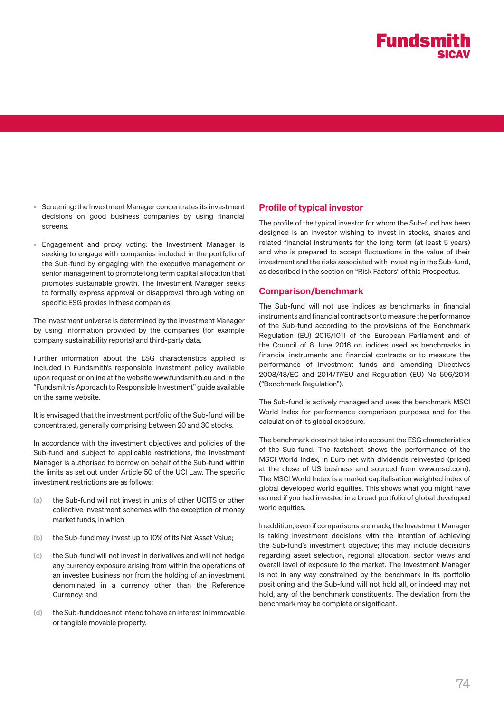

- Screening: the Investment Manager concentrates its investment decisions on good business companies by using financial screens.
- Engagement and proxy voting: the Investment Manager is seeking to engage with companies included in the portfolio of the Sub-fund by engaging with the executive management or senior management to promote long term capital allocation that promotes sustainable growth. The Investment Manager seeks to formally express approval or disapproval through voting on specific ESG proxies in these companies.

The investment universe is determined by the Investment Manager by using information provided by the companies (for example company sustainability reports) and third-party data.

Further information about the ESG characteristics applied is included in Fundsmith's responsible investment policy available upon request or online at the website www.fundsmith.eu and in the "Fundsmith's Approach to Responsible Investment" guide available on the same website.

It is envisaged that the investment portfolio of the Sub-fund will be concentrated, generally comprising between 20 and 30 stocks.

In accordance with the investment objectives and policies of the Sub-fund and subject to applicable restrictions, the Investment Manager is authorised to borrow on behalf of the Sub-fund within the limits as set out under Article 50 of the UCI Law. The specific investment restrictions are as follows:

- (a) the Sub-fund will not invest in units of other UCITS or other collective investment schemes with the exception of money market funds, in which
- (b) the Sub-fund may invest up to 10% of its Net Asset Value;
- (c) the Sub-fund will not invest in derivatives and will not hedge any currency exposure arising from within the operations of an investee business nor from the holding of an investment denominated in a currency other than the Reference Currency; and
- (d) the Sub-fund does not intend to have an interest in immovable or tangible movable property.

### Profile of typical investor

The profile of the typical investor for whom the Sub-fund has been designed is an investor wishing to invest in stocks, shares and related financial instruments for the long term (at least 5 years) and who is prepared to accept fluctuations in the value of their investment and the risks associated with investing in the Sub-fund, as described in the section on "Risk Factors" of this Prospectus.

### Comparison/benchmark

The Sub-fund will not use indices as benchmarks in financial instruments and financial contracts or to measure the performance of the Sub-fund according to the provisions of the Benchmark Regulation (EU) 2016/1011 of the European Parliament and of the Council of 8 June 2016 on indices used as benchmarks in financial instruments and financial contracts or to measure the performance of investment funds and amending Directives 2008/48/EC and 2014/17/EU and Regulation (EU) No 596/2014 ("Benchmark Regulation").

The Sub-fund is actively managed and uses the benchmark MSCI World Index for performance comparison purposes and for the calculation of its global exposure.

The benchmark does not take into account the ESG characteristics of the Sub-fund. The factsheet shows the performance of the MSCI World Index, in Euro net with dividends reinvested (priced at the close of US business and sourced from www.msci.com). The MSCI World Index is a market capitalisation weighted index of global developed world equities. This shows what you might have earned if you had invested in a broad portfolio of global developed world equities.

In addition, even if comparisons are made, the Investment Manager is taking investment decisions with the intention of achieving the Sub-fund's investment objective; this may include decisions regarding asset selection, regional allocation, sector views and overall level of exposure to the market. The Investment Manager is not in any way constrained by the benchmark in its portfolio positioning and the Sub-fund will not hold all, or indeed may not hold, any of the benchmark constituents. The deviation from the benchmark may be complete or significant.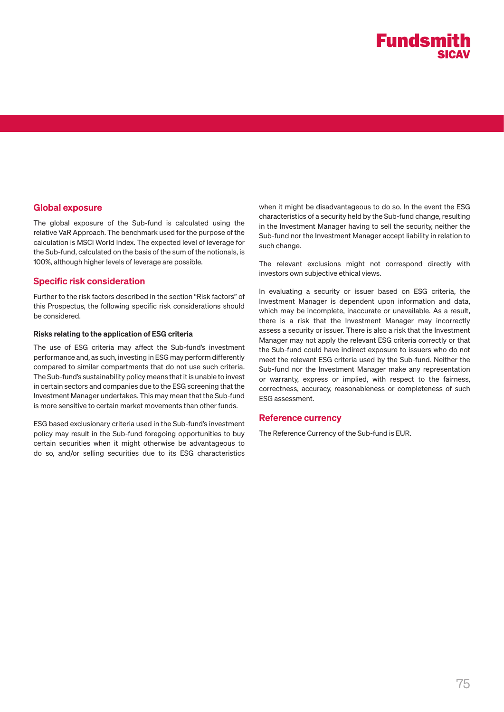

### Global exposure

The global exposure of the Sub-fund is calculated using the relative VaR Approach. The benchmark used for the purpose of the calculation is MSCI World Index. The expected level of leverage for the Sub-fund, calculated on the basis of the sum of the notionals, is 100%, although higher levels of leverage are possible.

### Specific risk consideration

Further to the risk factors described in the section "Risk factors" of this Prospectus, the following specific risk considerations should be considered.

#### Risks relating to the application of ESG criteria

The use of ESG criteria may affect the Sub-fund's investment performance and, as such, investing in ESG may perform differently compared to similar compartments that do not use such criteria. The Sub-fund's sustainability policy means that it is unable to invest in certain sectors and companies due to the ESG screening that the Investment Manager undertakes. This may mean that the Sub-fund is more sensitive to certain market movements than other funds.

ESG based exclusionary criteria used in the Sub-fund's investment policy may result in the Sub-fund foregoing opportunities to buy certain securities when it might otherwise be advantageous to do so, and/or selling securities due to its ESG characteristics

when it might be disadvantageous to do so. In the event the ESG characteristics of a security held by the Sub-fund change, resulting in the Investment Manager having to sell the security, neither the Sub-fund nor the Investment Manager accept liability in relation to such change.

The relevant exclusions might not correspond directly with investors own subjective ethical views.

In evaluating a security or issuer based on ESG criteria, the Investment Manager is dependent upon information and data, which may be incomplete, inaccurate or unavailable. As a result, there is a risk that the Investment Manager may incorrectly assess a security or issuer. There is also a risk that the Investment Manager may not apply the relevant ESG criteria correctly or that the Sub-fund could have indirect exposure to issuers who do not meet the relevant ESG criteria used by the Sub-fund. Neither the Sub-fund nor the Investment Manager make any representation or warranty, express or implied, with respect to the fairness, correctness, accuracy, reasonableness or completeness of such ESG assessment.

### Reference currency

The Reference Currency of the Sub-fund is EUR.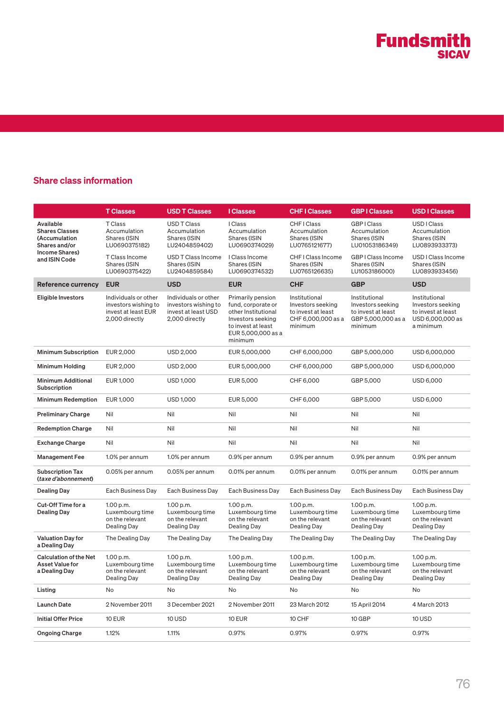### Share class information

|                                                                                                         | <b>T Classes</b>                                                                      | <b>USD T Classes</b>                                                                  | <b>I</b> Classes                                                                                                                           | <b>CHFIClasses</b>                                                                        | <b>GBPIClasses</b>                                                                        | <b>USD I Classes</b>                                                                      |
|---------------------------------------------------------------------------------------------------------|---------------------------------------------------------------------------------------|---------------------------------------------------------------------------------------|--------------------------------------------------------------------------------------------------------------------------------------------|-------------------------------------------------------------------------------------------|-------------------------------------------------------------------------------------------|-------------------------------------------------------------------------------------------|
| Available<br><b>Shares Classes</b><br>(Accumulation<br>Shares and/or<br>Income Shares)<br>and ISIN Code | <b>T</b> Class<br>Accumulation<br>Shares (ISIN<br>LU0690375182)                       | <b>USD T Class</b><br>Accumulation<br>Shares (ISIN<br>LU2404859402)                   | I Class<br>Accumulation<br>Shares (ISIN<br>LU0690374029)                                                                                   | CHF I Class<br>Accumulation<br>Shares (ISIN<br>LU0765121677)                              | <b>GBPIClass</b><br>Accumulation<br>Shares (ISIN<br>LU01053186349)                        | USD I Class<br>Accumulation<br>Shares (ISIN<br>LU0893933373)                              |
|                                                                                                         | T Class Income<br>Shares (ISIN<br>LU0690375422)                                       | USD T Class Income<br>Shares (ISIN<br>LU2404859584)                                   | I Class Income<br>Shares (ISIN<br>LU0690374532)                                                                                            | CHF I Class Income<br>Shares (ISIN<br>LU0765126635)                                       | GBP I Class Income<br>Shares (ISIN<br>LU1053186000)                                       | USD I Class Income<br>Shares (ISIN<br>LU0893933456)                                       |
| <b>Reference currency</b>                                                                               | <b>EUR</b>                                                                            | <b>USD</b>                                                                            | <b>EUR</b>                                                                                                                                 | <b>CHF</b>                                                                                | <b>GBP</b>                                                                                | <b>USD</b>                                                                                |
| Eligible Investors                                                                                      | Individuals or other<br>investors wishing to<br>invest at least EUR<br>2,000 directly | Individuals or other<br>investors wishing to<br>invest at least USD<br>2,000 directly | Primarily pension<br>fund, corporate or<br>other Institutional<br>Investors seeking<br>to invest at least<br>EUR 5,000,000 as a<br>minimum | Institutional<br>Investors seeking<br>to invest at least<br>CHF 6,000,000 as a<br>minimum | Institutional<br>Investors seeking<br>to invest at least<br>GBP 5,000,000 as a<br>minimum | Institutional<br>Investors seeking<br>to invest at least<br>USD 6,000,000 as<br>a minimum |
| <b>Minimum Subscription</b>                                                                             | EUR 2,000                                                                             | <b>USD 2,000</b>                                                                      | EUR 5,000,000                                                                                                                              | CHF 6,000,000                                                                             | GBP 5,000,000                                                                             | USD 6,000,000                                                                             |
| Minimum Holding                                                                                         | EUR 2,000                                                                             | USD 2,000                                                                             | EUR 5,000,000                                                                                                                              | CHF 6,000,000                                                                             | GBP 5,000,000                                                                             | USD 6,000,000                                                                             |
| <b>Minimum Additional</b><br>Subscription                                                               | EUR 1,000                                                                             | <b>USD 1,000</b>                                                                      | EUR 5,000                                                                                                                                  | CHF 6,000                                                                                 | GBP 5,000                                                                                 | USD 6,000                                                                                 |
| Minimum Redemption                                                                                      | EUR 1,000                                                                             | <b>USD 1,000</b>                                                                      | EUR 5,000                                                                                                                                  | CHF 6,000                                                                                 | GBP 5,000                                                                                 | USD 6,000                                                                                 |
| <b>Preliminary Charge</b>                                                                               | Nil                                                                                   | Nil                                                                                   | Nil                                                                                                                                        | Nil                                                                                       | Nil                                                                                       | Nil                                                                                       |
| <b>Redemption Charge</b>                                                                                | Nil                                                                                   | Nil                                                                                   | Nil                                                                                                                                        | Nil                                                                                       | Nil                                                                                       | Nil                                                                                       |
| <b>Exchange Charge</b>                                                                                  | Nil                                                                                   | Nil                                                                                   | Nil                                                                                                                                        | Nil                                                                                       | Nil                                                                                       | Nil                                                                                       |
| <b>Management Fee</b>                                                                                   | 1.0% per annum                                                                        | 1.0% per annum                                                                        | 0.9% per annum                                                                                                                             | 0.9% per annum                                                                            | 0.9% per annum                                                                            | 0.9% per annum                                                                            |
| <b>Subscription Tax</b><br>(taxe d'abonnement)                                                          | 0.05% per annum                                                                       | 0.05% per annum                                                                       | 0.01% per annum                                                                                                                            | 0.01% per annum                                                                           | 0.01% per annum                                                                           | 0.01% per annum                                                                           |
| Dealing Day                                                                                             | Each Business Day                                                                     | Each Business Day                                                                     | Each Business Day                                                                                                                          | Each Business Day                                                                         | Each Business Day                                                                         | Each Business Day                                                                         |
| Cut-Off Time for a<br>Dealing Day                                                                       | 1.00 p.m.<br>Luxembourg time<br>on the relevant<br>Dealing Day                        | 1.00 p.m.<br>Luxembourg time<br>on the relevant<br>Dealing Day                        | 1.00 p.m.<br>Luxembourg time<br>on the relevant<br>Dealing Day                                                                             | 1.00 p.m.<br>Luxembourg time<br>on the relevant<br>Dealing Day                            | 1.00 p.m.<br>Luxembourg time<br>on the relevant<br>Dealing Day                            | 1.00 p.m.<br>Luxembourg time<br>on the relevant<br>Dealing Day                            |
| Valuation Day for<br>a Dealing Day                                                                      | The Dealing Day                                                                       | The Dealing Day                                                                       | The Dealing Day                                                                                                                            | The Dealing Day                                                                           | The Dealing Day                                                                           | The Dealing Day                                                                           |
| <b>Calculation of the Net</b><br><b>Asset Value for</b><br>a Dealing Day                                | 1.00 p.m.<br>Luxembourg time<br>on the relevant<br>Dealing Day                        | 1.00 p.m.<br>Luxembourg time<br>on the relevant<br>Dealing Day                        | 1.00 p.m.<br>Luxembourg time<br>on the relevant<br>Dealing Day                                                                             | 1.00 p.m.<br>Luxembourg time<br>on the relevant<br>Dealing Day                            | 1.00 p.m.<br>Luxembourg time<br>on the relevant<br>Dealing Day                            | 1.00 p.m.<br>Luxembourg time<br>on the relevant<br>Dealing Day                            |
| Listing                                                                                                 | No                                                                                    | No                                                                                    | No.                                                                                                                                        | No                                                                                        | No                                                                                        | No                                                                                        |
| <b>Launch Date</b>                                                                                      | 2 November 2011                                                                       | 3 December 2021                                                                       | 2 November 2011                                                                                                                            | 23 March 2012                                                                             | 15 April 2014                                                                             | 4 March 2013                                                                              |
| <b>Initial Offer Price</b>                                                                              | <b>10 EUR</b>                                                                         | 10 USD                                                                                | <b>10 EUR</b>                                                                                                                              | 10 CHF                                                                                    | 10 GBP                                                                                    | 10 USD                                                                                    |
| <b>Ongoing Charge</b>                                                                                   | 1.12%                                                                                 | 1.11%                                                                                 | 0.97%                                                                                                                                      | 0.97%                                                                                     | 0.97%                                                                                     | 0.97%                                                                                     |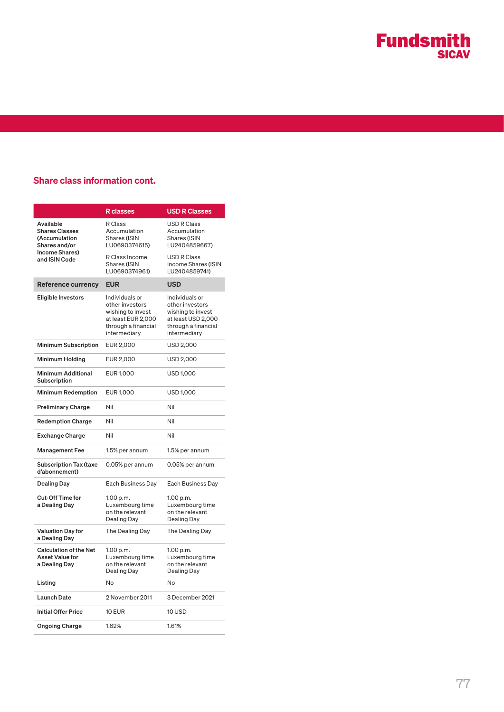# **Fundsmith**

### Share class information cont.

|                                                                          | <b>R</b> classes                                                                                                    | <b>USD R Classes</b>                                                                                                |  |
|--------------------------------------------------------------------------|---------------------------------------------------------------------------------------------------------------------|---------------------------------------------------------------------------------------------------------------------|--|
| Available<br><b>Shares Classes</b><br>(Accumulation<br>Shares and/or     | R Class<br>Accumulation<br><b>Shares (ISIN</b><br>LU0690374615)                                                     | <b>USD R Class</b><br>Accumulation<br>Shares (ISIN<br>LU2404859667)                                                 |  |
| Income Shares)<br>and ISIN Code                                          | R Class Income<br>Shares (ISIN<br>LU0690374961)                                                                     | <b>USD R Class</b><br>Income Shares (ISIN<br>LU2404859741)                                                          |  |
| Reference currency                                                       | <b>EUR</b>                                                                                                          | <b>USD</b>                                                                                                          |  |
| <b>Eligible Investors</b>                                                | Individuals or<br>other investors<br>wishing to invest<br>at least EUR 2,000<br>through a financial<br>intermediary | Individuals or<br>other investors<br>wishing to invest<br>at least USD 2,000<br>through a financial<br>intermediary |  |
| <b>Minimum Subscription</b>                                              | EUR 2,000                                                                                                           | USD 2,000                                                                                                           |  |
| <b>Minimum Holding</b>                                                   | EUR 2,000                                                                                                           | <b>USD 2,000</b>                                                                                                    |  |
| <b>Minimum Additional</b><br>Subscription                                | EUR 1,000                                                                                                           | USD 1,000                                                                                                           |  |
| <b>Minimum Redemption</b>                                                | EUR 1,000                                                                                                           | USD 1,000                                                                                                           |  |
| <b>Preliminary Charge</b>                                                | Nil                                                                                                                 | Nil                                                                                                                 |  |
| <b>Redemption Charge</b>                                                 | Nil                                                                                                                 | Nil                                                                                                                 |  |
| <b>Exchange Charge</b>                                                   | Nil                                                                                                                 | Nil                                                                                                                 |  |
| <b>Management Fee</b>                                                    | 1.5% per annum                                                                                                      | 1.5% per annum                                                                                                      |  |
| <b>Subscription Tax (taxe</b><br>d'abonnement)                           | 0.05% per annum                                                                                                     | 0.05% per annum                                                                                                     |  |
| <b>Dealing Day</b>                                                       | Each Business Day                                                                                                   | Each Business Day                                                                                                   |  |
| <b>Cut-Off Time for</b><br>a Dealing Day                                 | 1.00 p.m.<br>Luxembourg time<br>on the relevant<br>Dealing Day                                                      | 1.00 p.m.<br>Luxembourg time<br>on the relevant<br>Dealing Day                                                      |  |
| <b>Valuation Day for</b><br>a Dealing Day                                | The Dealing Day                                                                                                     | The Dealing Day                                                                                                     |  |
| <b>Calculation of the Net</b><br><b>Asset Value for</b><br>a Dealing Day | 1.00 p.m.<br>Luxembourg time<br>on the relevant<br>Dealing Day                                                      | 1.00 p.m.<br>Luxembourg time<br>on the relevant<br>Dealing Day                                                      |  |
| Listing                                                                  | No                                                                                                                  | No                                                                                                                  |  |
| <b>Launch Date</b>                                                       | 2 November 2011                                                                                                     | 3 December 2021                                                                                                     |  |
| <b>Initial Offer Price</b>                                               | 10 EUR                                                                                                              | 10 USD                                                                                                              |  |
| <b>Ongoing Charge</b>                                                    | 1.62%                                                                                                               | 1.61%                                                                                                               |  |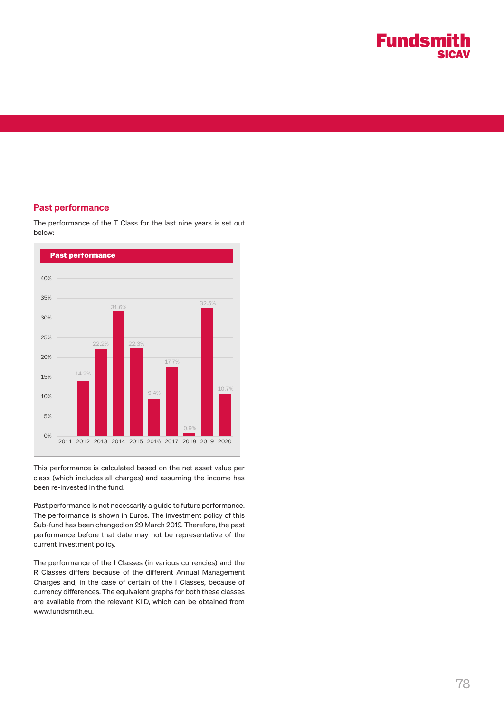

### Past performance



The performance of the T Class for the last nine years is set out below:

This performance is calculated based on the net asset value per class (which includes all charges) and assuming the income has been re-invested in the fund.

Past performance is not necessarily a guide to future performance. The performance is shown in Euros. The investment policy of this Sub-fund has been changed on 29 March 2019. Therefore, the past performance before that date may not be representative of the current investment policy.

The performance of the I Classes (in various currencies) and the R Classes differs because of the different Annual Management Charges and, in the case of certain of the I Classes, because of currency differences. The equivalent graphs for both these classes are available from the relevant KIID, which can be obtained from www.fundsmith.eu.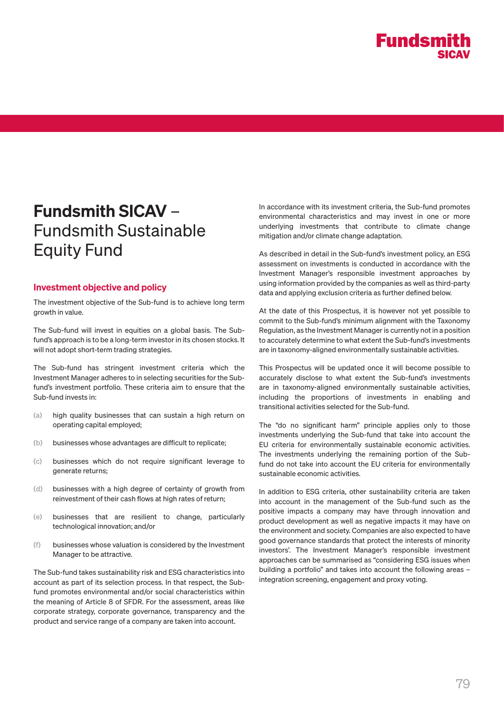

# Fundsmith SICAV – Fundsmith Sustainable Equity Fund

### Investment objective and policy

The investment objective of the Sub-fund is to achieve long term growth in value.

The Sub-fund will invest in equities on a global basis. The Subfund's approach is to be a long-term investor in its chosen stocks. It will not adopt short-term trading strategies.

The Sub-fund has stringent investment criteria which the Investment Manager adheres to in selecting securities for the Subfund's investment portfolio. These criteria aim to ensure that the Sub-fund invests in:

- (a) high quality businesses that can sustain a high return on operating capital employed;
- (b) businesses whose advantages are difficult to replicate;
- (c) businesses which do not require significant leverage to generate returns;
- (d) businesses with a high degree of certainty of growth from reinvestment of their cash flows at high rates of return;
- (e) businesses that are resilient to change, particularly technological innovation; and/or
- (f) businesses whose valuation is considered by the Investment Manager to be attractive.

The Sub-fund takes sustainability risk and ESG characteristics into account as part of its selection process. In that respect, the Subfund promotes environmental and/or social characteristics within the meaning of Article 8 of SFDR. For the assessment, areas like corporate strategy, corporate governance, transparency and the product and service range of a company are taken into account.

In accordance with its investment criteria, the Sub-fund promotes environmental characteristics and may invest in one or more underlying investments that contribute to climate change mitigation and/or climate change adaptation.

As described in detail in the Sub-fund's investment policy, an ESG assessment on investments is conducted in accordance with the Investment Manager's responsible investment approaches by using information provided by the companies as well as third-party data and applying exclusion criteria as further defined below.

At the date of this Prospectus, it is however not yet possible to commit to the Sub-fund's minimum alignment with the Taxonomy Regulation, as the Investment Manager is currently not in a position to accurately determine to what extent the Sub-fund's investments are in taxonomy-aligned environmentally sustainable activities.

This Prospectus will be updated once it will become possible to accurately disclose to what extent the Sub-fund's investments are in taxonomy-aligned environmentally sustainable activities, including the proportions of investments in enabling and transitional activities selected for the Sub-fund.

The "do no significant harm" principle applies only to those investments underlying the Sub-fund that take into account the EU criteria for environmentally sustainable economic activities. The investments underlying the remaining portion of the Subfund do not take into account the EU criteria for environmentally sustainable economic activities.

In addition to ESG criteria, other sustainability criteria are taken into account in the management of the Sub-fund such as the positive impacts a company may have through innovation and product development as well as negative impacts it may have on the environment and society. Companies are also expected to have good governance standards that protect the interests of minority investors'. The Investment Manager's responsible investment approaches can be summarised as "considering ESG issues when building a portfolio" and takes into account the following areas – integration screening, engagement and proxy voting.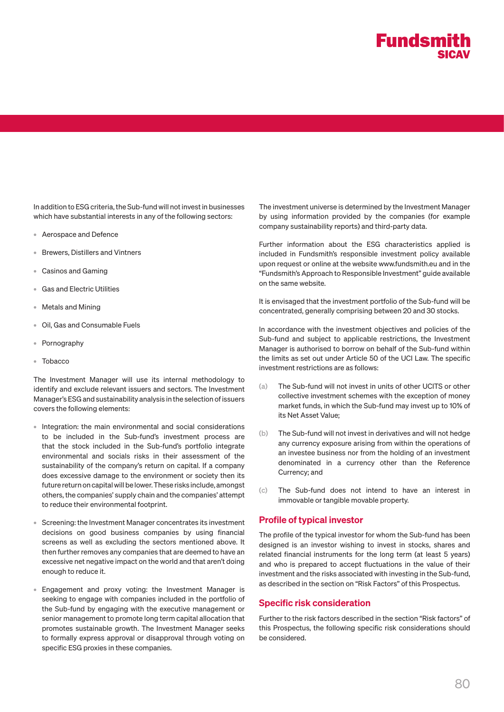

In addition to ESG criteria, the Sub-fund will not invest in businesses which have substantial interests in any of the following sectors:

- Aerospace and Defence
- Brewers, Distillers and Vintners
- Casinos and Gaming
- Gas and Electric Utilities
- Metals and Mining
- Oil, Gas and Consumable Fuels
- **Pornography**
- Tobacco

The Investment Manager will use its internal methodology to identify and exclude relevant issuers and sectors. The Investment Manager's ESG and sustainability analysis in the selection of issuers covers the following elements:

- Integration: the main environmental and social considerations to be included in the Sub-fund's investment process are that the stock included in the Sub-fund's portfolio integrate environmental and socials risks in their assessment of the sustainability of the company's return on capital. If a company does excessive damage to the environment or society then its future return on capital will be lower. These risks include, amongst others, the companies' supply chain and the companies' attempt to reduce their environmental footprint.
- Screening: the Investment Manager concentrates its investment decisions on good business companies by using financial screens as well as excluding the sectors mentioned above. It then further removes any companies that are deemed to have an excessive net negative impact on the world and that aren't doing enough to reduce it.
- Engagement and proxy voting: the Investment Manager is seeking to engage with companies included in the portfolio of the Sub-fund by engaging with the executive management or senior management to promote long term capital allocation that promotes sustainable growth. The Investment Manager seeks to formally express approval or disapproval through voting on specific ESG proxies in these companies.

The investment universe is determined by the Investment Manager by using information provided by the companies (for example company sustainability reports) and third-party data.

Further information about the ESG characteristics applied is included in Fundsmith's responsible investment policy available upon request or online at the website www.fundsmith.eu and in the "Fundsmith's Approach to Responsible Investment" guide available on the same website.

It is envisaged that the investment portfolio of the Sub-fund will be concentrated, generally comprising between 20 and 30 stocks.

In accordance with the investment objectives and policies of the Sub-fund and subject to applicable restrictions, the Investment Manager is authorised to borrow on behalf of the Sub-fund within the limits as set out under Article 50 of the UCI Law. The specific investment restrictions are as follows:

- (a) The Sub-fund will not invest in units of other UCITS or other collective investment schemes with the exception of money market funds, in which the Sub-fund may invest up to 10% of its Net Asset Value;
- (b) The Sub-fund will not invest in derivatives and will not hedge any currency exposure arising from within the operations of an investee business nor from the holding of an investment denominated in a currency other than the Reference Currency; and
- (c) The Sub-fund does not intend to have an interest in immovable or tangible movable property.

### Profile of typical investor

The profile of the typical investor for whom the Sub-fund has been designed is an investor wishing to invest in stocks, shares and related financial instruments for the long term (at least 5 years) and who is prepared to accept fluctuations in the value of their investment and the risks associated with investing in the Sub-fund, as described in the section on "Risk Factors" of this Prospectus.

### Specific risk consideration

Further to the risk factors described in the section "Risk factors" of this Prospectus, the following specific risk considerations should be considered.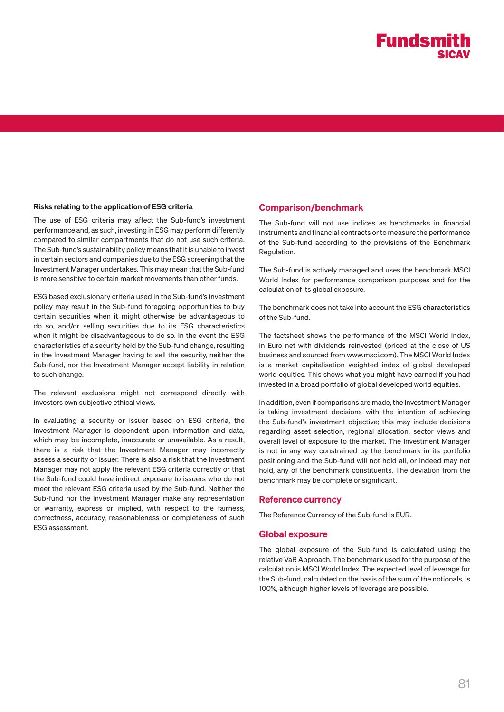## **Fundsmith SICAV**

### Risks relating to the application of ESG criteria

The use of ESG criteria may affect the Sub-fund's investment performance and, as such, investing in ESG may perform differently compared to similar compartments that do not use such criteria. The Sub-fund's sustainability policy means that it is unable to invest in certain sectors and companies due to the ESG screening that the Investment Manager undertakes. This may mean that the Sub-fund is more sensitive to certain market movements than other funds.

ESG based exclusionary criteria used in the Sub-fund's investment policy may result in the Sub-fund foregoing opportunities to buy certain securities when it might otherwise be advantageous to do so, and/or selling securities due to its ESG characteristics when it might be disadvantageous to do so. In the event the ESG characteristics of a security held by the Sub-fund change, resulting in the Investment Manager having to sell the security, neither the Sub-fund, nor the Investment Manager accept liability in relation to such change.

The relevant exclusions might not correspond directly with investors own subjective ethical views.

In evaluating a security or issuer based on ESG criteria, the Investment Manager is dependent upon information and data, which may be incomplete, inaccurate or unavailable. As a result, there is a risk that the Investment Manager may incorrectly assess a security or issuer. There is also a risk that the Investment Manager may not apply the relevant ESG criteria correctly or that the Sub-fund could have indirect exposure to issuers who do not meet the relevant ESG criteria used by the Sub-fund. Neither the Sub-fund nor the Investment Manager make any representation or warranty, express or implied, with respect to the fairness, correctness, accuracy, reasonableness or completeness of such ESG assessment.

### Comparison/benchmark

The Sub-fund will not use indices as benchmarks in financial instruments and financial contracts or to measure the performance of the Sub-fund according to the provisions of the Benchmark Regulation.

The Sub-fund is actively managed and uses the benchmark MSCI World Index for performance comparison purposes and for the calculation of its global exposure.

The benchmark does not take into account the ESG characteristics of the Sub-fund.

The factsheet shows the performance of the MSCI World Index, in Euro net with dividends reinvested (priced at the close of US business and sourced from www.msci.com). The MSCI World Index is a market capitalisation weighted index of global developed world equities. This shows what you might have earned if you had invested in a broad portfolio of global developed world equities.

In addition, even if comparisons are made, the Investment Manager is taking investment decisions with the intention of achieving the Sub-fund's investment objective; this may include decisions regarding asset selection, regional allocation, sector views and overall level of exposure to the market. The Investment Manager is not in any way constrained by the benchmark in its portfolio positioning and the Sub-fund will not hold all, or indeed may not hold, any of the benchmark constituents. The deviation from the benchmark may be complete or significant.

#### Reference currency

The Reference Currency of the Sub-fund is EUR.

### Global exposure

The global exposure of the Sub-fund is calculated using the relative VaR Approach. The benchmark used for the purpose of the calculation is MSCI World Index. The expected level of leverage for the Sub-fund, calculated on the basis of the sum of the notionals, is 100%, although higher levels of leverage are possible.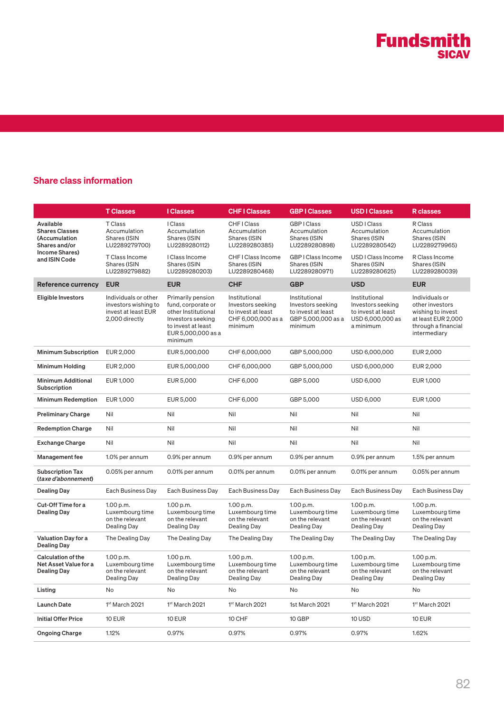### Share class information

|                                                                                                         | <b>T Classes</b>                                                                      | <b>I</b> Classes                                                                                                                           | <b>CHF I Classes</b>                                                                      | <b>GBPIClasses</b>                                                                        | <b>USD I Classes</b>                                                                      | <b>R</b> classes                                                                                                    |
|---------------------------------------------------------------------------------------------------------|---------------------------------------------------------------------------------------|--------------------------------------------------------------------------------------------------------------------------------------------|-------------------------------------------------------------------------------------------|-------------------------------------------------------------------------------------------|-------------------------------------------------------------------------------------------|---------------------------------------------------------------------------------------------------------------------|
| Available<br><b>Shares Classes</b><br>(Accumulation<br>Shares and/or<br>Income Shares)<br>and ISIN Code | <b>T</b> Class<br>Accumulation<br>Shares (ISIN<br>LU2289279700)                       | <b>I</b> Class<br>Accumulation<br>Shares (ISIN<br>LU2289280112)                                                                            | CHF I Class<br>Accumulation<br>Shares (ISIN<br>LU2289280385)                              | GBP   Class<br>Accumulation<br>Shares (ISIN<br>LU2289280898)                              | USD I Class<br>Accumulation<br>Shares (ISIN<br>LU2289280542)                              | R Class<br>Accumulation<br>Shares (ISIN<br>LU2289279965)                                                            |
|                                                                                                         | T Class Income<br>Shares (ISIN<br>LU2289279882)                                       | I Class Income<br>Shares (ISIN<br>LU2289280203)                                                                                            | CHF I Class Income<br>Shares (ISIN<br>LU2289280468)                                       | GBP I Class Income<br>Shares (ISIN<br>LU2289280971)                                       | USD I Class Income<br><b>Shares (ISIN</b><br>LU2289280625)                                | R Class Income<br>Shares (ISIN<br>LU2289280039)                                                                     |
| Reference currency                                                                                      | <b>EUR</b>                                                                            | <b>EUR</b>                                                                                                                                 | <b>CHF</b>                                                                                | <b>GBP</b>                                                                                | <b>USD</b>                                                                                | <b>EUR</b>                                                                                                          |
| Eligible Investors                                                                                      | Individuals or other<br>investors wishing to<br>invest at least EUR<br>2,000 directly | Primarily pension<br>fund, corporate or<br>other Institutional<br>Investors seeking<br>to invest at least<br>EUR 5,000,000 as a<br>minimum | Institutional<br>Investors seeking<br>to invest at least<br>CHF 6,000,000 as a<br>minimum | Institutional<br>Investors seeking<br>to invest at least<br>GBP 5,000,000 as a<br>minimum | Institutional<br>Investors seeking<br>to invest at least<br>USD 6,000,000 as<br>a minimum | Individuals or<br>other investors<br>wishing to invest<br>at least EUR 2,000<br>through a financial<br>intermediary |
| <b>Minimum Subscription</b>                                                                             | EUR 2,000                                                                             | EUR 5,000,000                                                                                                                              | CHF 6,000,000                                                                             | GBP 5,000,000                                                                             | USD 6,000,000                                                                             | EUR 2,000                                                                                                           |
| Minimum Holding                                                                                         | EUR 2,000                                                                             | EUR 5,000,000                                                                                                                              | CHF 6,000,000                                                                             | GBP 5,000,000                                                                             | USD 6,000,000                                                                             | EUR 2,000                                                                                                           |
| <b>Minimum Additional</b><br>Subscription                                                               | EUR 1,000                                                                             | EUR 5,000                                                                                                                                  | CHF 6,000                                                                                 | GBP 5,000                                                                                 | USD 6,000                                                                                 | EUR 1,000                                                                                                           |
| <b>Minimum Redemption</b>                                                                               | EUR 1,000                                                                             | EUR 5,000                                                                                                                                  | CHF 6,000                                                                                 | GBP 5,000                                                                                 | USD 6,000                                                                                 | <b>EUR 1,000</b>                                                                                                    |
| <b>Preliminary Charge</b>                                                                               | Nil                                                                                   | Nil                                                                                                                                        | Nil                                                                                       | Nil                                                                                       | Nil                                                                                       | Nil                                                                                                                 |
| <b>Redemption Charge</b>                                                                                | Nil                                                                                   | Nil                                                                                                                                        | Nil                                                                                       | Nil                                                                                       | Nil                                                                                       | Nil                                                                                                                 |
| <b>Exchange Charge</b>                                                                                  | Nil                                                                                   | Nil                                                                                                                                        | Nil                                                                                       | Nil                                                                                       | Nil                                                                                       | Nil                                                                                                                 |
| Management fee                                                                                          | 1.0% per annum                                                                        | 0.9% per annum                                                                                                                             | 0.9% per annum                                                                            | 0.9% per annum                                                                            | 0.9% per annum                                                                            | 1.5% per annum                                                                                                      |
| <b>Subscription Tax</b><br>(taxe d'abonnement)                                                          | 0.05% per annum                                                                       | 0.01% per annum                                                                                                                            | 0.01% per annum                                                                           | 0.01% per annum                                                                           | 0.01% per annum                                                                           | 0.05% per annum                                                                                                     |
| <b>Dealing Day</b>                                                                                      | Each Business Day                                                                     | Each Business Day                                                                                                                          | Each Business Day                                                                         | Each Business Day                                                                         | Each Business Day                                                                         | Each Business Day                                                                                                   |
| Cut-Off Time for a<br><b>Dealing Day</b>                                                                | 1.00 p.m.<br>Luxembourg time<br>on the relevant<br>Dealing Day                        | 1.00 p.m.<br>Luxembourg time<br>on the relevant<br>Dealing Day                                                                             | 1.00 p.m.<br>Luxembourg time<br>on the relevant<br>Dealing Day                            | 1.00 p.m.<br>Luxembourg time<br>on the relevant<br>Dealing Day                            | 1.00 p.m.<br>Luxembourg time<br>on the relevant<br>Dealing Day                            | 1.00 p.m.<br>Luxembourg time<br>on the relevant<br>Dealing Day                                                      |
| Valuation Day for a<br><b>Dealing Day</b>                                                               | The Dealing Day                                                                       | The Dealing Day                                                                                                                            | The Dealing Day                                                                           | The Dealing Day                                                                           | The Dealing Day                                                                           | The Dealing Day                                                                                                     |
| Calculation of the<br>Net Asset Value for a<br><b>Dealing Day</b>                                       | 1.00 p.m.<br>Luxembourg time<br>on the relevant<br>Dealing Day                        | 1.00 p.m.<br>Luxembourg time<br>on the relevant<br>Dealing Day                                                                             | 1.00 p.m.<br>Luxembourg time<br>on the relevant<br>Dealing Day                            | 1.00 p.m.<br>Luxembourg time<br>on the relevant<br>Dealing Day                            | 1.00 p.m.<br>Luxembourg time<br>on the relevant<br>Dealing Day                            | 1.00 p.m.<br>Luxembourg time<br>on the relevant<br>Dealing Day                                                      |
| Listing                                                                                                 | No                                                                                    | No                                                                                                                                         | No                                                                                        | No                                                                                        | No                                                                                        | No                                                                                                                  |
| <b>Launch Date</b>                                                                                      | 1st March 2021                                                                        | 1st March 2021                                                                                                                             | 1st March 2021                                                                            | 1st March 2021                                                                            | 1st March 2021                                                                            | 1st March 2021                                                                                                      |
| <b>Initial Offer Price</b>                                                                              | <b>10 EUR</b>                                                                         | <b>10 EUR</b>                                                                                                                              | 10 CHF                                                                                    | 10 GBP                                                                                    | 10 USD                                                                                    | <b>10 EUR</b>                                                                                                       |
| Ongoing Charge                                                                                          | 1.12%                                                                                 | 0.97%                                                                                                                                      | 0.97%                                                                                     | 0.97%                                                                                     | 0.97%                                                                                     | 1.62%                                                                                                               |